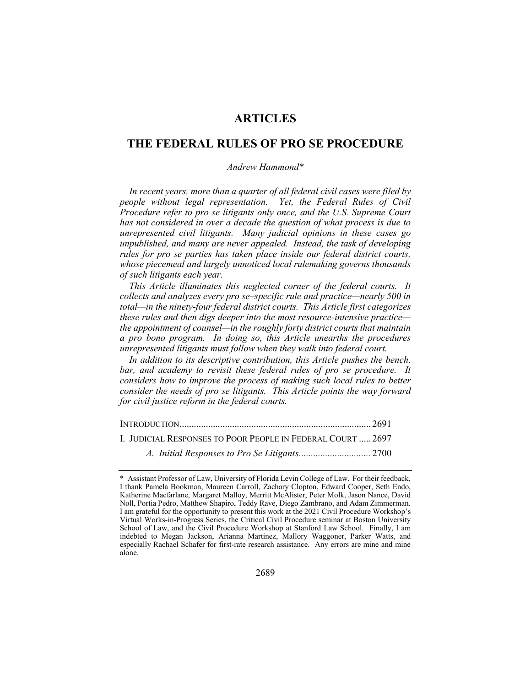# **ARTICLES**

## **THE FEDERAL RULES OF PRO SE PROCEDURE**

## *Andrew Hammond\**

*In recent years, more than a quarter of all federal civil cases were filed by people without legal representation. Yet, the Federal Rules of Civil Procedure refer to pro se litigants only once, and the U.S. Supreme Court has not considered in over a decade the question of what process is due to unrepresented civil litigants. Many judicial opinions in these cases go unpublished, and many are never appealed. Instead, the task of developing rules for pro se parties has taken place inside our federal district courts, whose piecemeal and largely unnoticed local rulemaking governs thousands of such litigants each year.*

*This Article illuminates this neglected corner of the federal courts. It collects and analyzes every pro se–specific rule and practice—nearly 500 in total—in the ninety-four federal district courts. This Article first categorizes these rules and then digs deeper into the most resource-intensive practice the appointment of counsel—in the roughly forty district courts that maintain a pro bono program. In doing so, this Article unearths the procedures unrepresented litigants must follow when they walk into federal court.*

*In addition to its descriptive contribution, this Article pushes the bench, bar, and academy to revisit these federal rules of pro se procedure. It considers how to improve the process of making such local rules to better consider the needs of pro se litigants. This Article points the way forward for civil justice reform in the federal courts.*

INTRODUCTION................................................................................ 2691

I. JUDICIAL RESPONSES TO POOR PEOPLE IN FEDERAL COURT ..... 2697

*A. Initial Responses to Pro Se Litigants..............................* 2700

<sup>\*</sup> Assistant Professor of Law, University of Florida Levin College of Law. For their feedback, I thank Pamela Bookman, Maureen Carroll, Zachary Clopton, Edward Cooper, Seth Endo, Katherine Macfarlane, Margaret Malloy, Merritt McAlister, Peter Molk, Jason Nance, David Noll, Portia Pedro, Matthew Shapiro, Teddy Rave, Diego Zambrano, and Adam Zimmerman. I am grateful for the opportunity to present this work at the 2021 Civil Procedure Workshop's Virtual Works-in-Progress Series, the Critical Civil Procedure seminar at Boston University School of Law, and the Civil Procedure Workshop at Stanford Law School. Finally, I am indebted to Megan Jackson, Arianna Martinez, Mallory Waggoner, Parker Watts, and especially Rachael Schafer for first-rate research assistance. Any errors are mine and mine alone.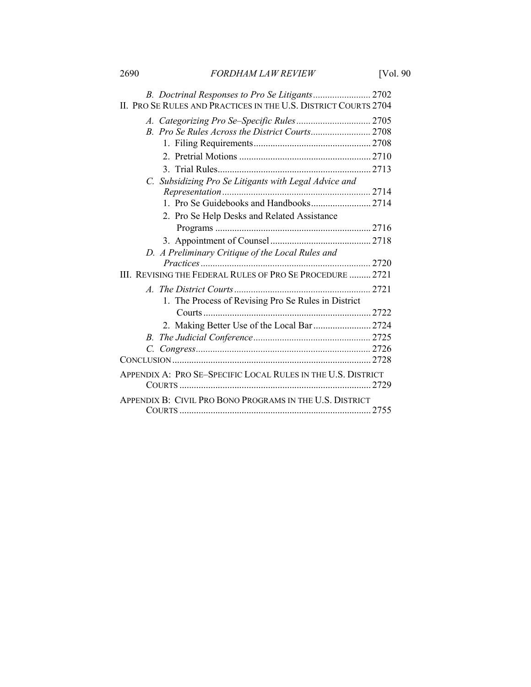2690 *FORDHAM LAW REVIEW* [Vol. 90

| II. PRO SE RULES AND PRACTICES IN THE U.S. DISTRICT COURTS 2704 |  |
|-----------------------------------------------------------------|--|
|                                                                 |  |
|                                                                 |  |
|                                                                 |  |
|                                                                 |  |
|                                                                 |  |
| C. Subsidizing Pro Se Litigants with Legal Advice and           |  |
|                                                                 |  |
|                                                                 |  |
| 2. Pro Se Help Desks and Related Assistance                     |  |
|                                                                 |  |
|                                                                 |  |
| D. A Preliminary Critique of the Local Rules and                |  |
|                                                                 |  |
| III. REVISING THE FEDERAL RULES OF PRO SE PROCEDURE  2721       |  |
|                                                                 |  |
| 1. The Process of Revising Pro Se Rules in District             |  |
|                                                                 |  |
| 2. Making Better Use of the Local Bar  2724                     |  |
|                                                                 |  |
|                                                                 |  |
|                                                                 |  |
| APPENDIX A: PRO SE-SPECIFIC LOCAL RULES IN THE U.S. DISTRICT    |  |
|                                                                 |  |
| APPENDIX B: CIVIL PRO BONO PROGRAMS IN THE U.S. DISTRICT        |  |
|                                                                 |  |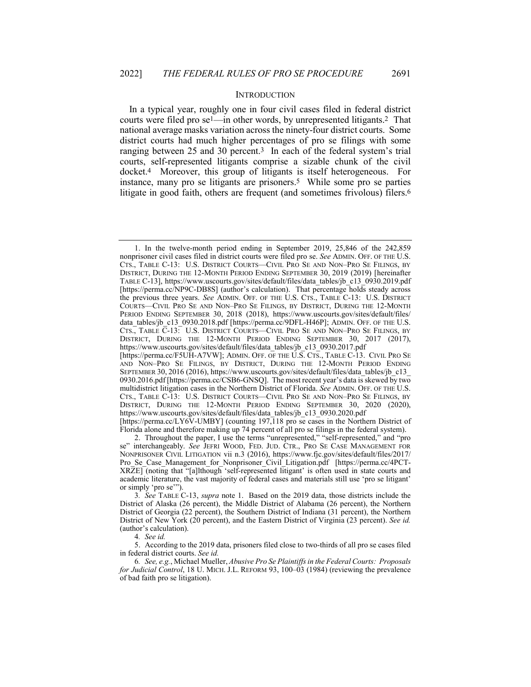#### **INTRODUCTION**

In a typical year, roughly one in four civil cases filed in federal district courts were filed pro se<sup>1</sup>—in other words, by unrepresented litigants.<sup>2</sup> That national average masks variation across the ninety-four district courts. Some district courts had much higher percentages of pro se filings with some ranging between 25 and 30 percent.<sup>3</sup> In each of the federal system's trial courts, self-represented litigants comprise a sizable chunk of the civil docket.4 Moreover, this group of litigants is itself heterogeneous. For instance, many pro se litigants are prisoners.5 While some pro se parties litigate in good faith, others are frequent (and sometimes frivolous) filers.<sup>6</sup>

4*. See id.*

5. According to the 2019 data, prisoners filed close to two-thirds of all pro se cases filed in federal district courts. *See id.*

6*. See, e.g.*, Michael Mueller, *Abusive Pro Se Plaintiffs in the Federal Courts: Proposals for Judicial Control*, 18 U. MICH. J.L. REFORM 93, 100–03 (1984) (reviewing the prevalence of bad faith pro se litigation).

<sup>1.</sup> In the twelve-month period ending in September 2019, 25,846 of the 242,859 nonprisoner civil cases filed in district courts were filed pro se. *See* ADMIN. OFF. OF THE U.S. CTS., TABLE C-13: U.S. DISTRICT COURTS—CIVIL PRO SE AND NON–PRO SE FILINGS, BY DISTRICT, DURING THE 12-MONTH PERIOD ENDING SEPTEMBER 30, 2019 (2019) [hereinafter TABLE C-13], https://www.uscourts.gov/sites/default/files/data\_tables/jb\_c13\_0930.2019.pdf [https://perma.cc/NP9C-DB8S] (author's calculation). That percentage holds steady across the previous three years. *See* ADMIN. OFF. OF THE U.S. CTS., TABLE C-13: U.S. DISTRICT COURTS—CIVIL PRO SE AND NON–PRO SE FILINGS, BY DISTRICT, DURING THE 12-MONTH PERIOD ENDING SEPTEMBER 30, 2018 (2018), https://www.uscourts.gov/sites/default/files/ data tables/jb\_c13\_0930.2018.pdf [https://perma.cc/9DFL-H46P]; ADMIN. OFF. OF THE U.S. CTS., TABLE  $\overline{C}$ -13: U.S. DISTRICT COURTS—CIVIL PRO SE AND NON–PRO SE FILINGS, BY DISTRICT, DURING THE 12-MONTH PERIOD ENDING SEPTEMBER 30, 2017 (2017), https://www.uscourts.gov/sites/default/files/data\_tables/jb\_c13\_0930.2017.pdf [https://perma.cc/F5UH-A7VW]; ADMIN. OFF. OF THE U.S. CTS., TABLE C-13. CIVIL PRO SE

AND NON–PRO SE FILINGS, BY DISTRICT, DURING THE 12-MONTH PERIOD ENDING SEPTEMBER 30, 2016 (2016), https://www.uscourts.gov/sites/default/files/data\_tables/jb\_c13\_ 0930.2016.pdf [https://perma.cc/CSB6-GNSQ]. The most recent year's data is skewed by two multidistrict litigation cases in the Northern District of Florida. *See* ADMIN. OFF. OF THE U.S. CTS., TABLE C-13: U.S. DISTRICT COURTS—CIVIL PRO SE AND NON–PRO SE FILINGS, BY DISTRICT, DURING THE 12-MONTH PERIOD ENDING SEPTEMBER 30, 2020 (2020), https://www.uscourts.gov/sites/default/files/data\_tables/jb\_c13\_0930.2020.pdf [https://perma.cc/LY6V-UMBY] (counting 197,118 pro se cases in the Northern District of

Florida alone and therefore making up 74 percent of all pro se filings in the federal system).

<sup>2.</sup> Throughout the paper, I use the terms "unrepresented," "self-represented," and "pro se" interchangeably. *See* JEFRI WOOD, FED. JUD. CTR., PRO SE CASE MANAGEMENT FOR NONPRISONER CIVIL LITIGATION vii n.3 (2016), https://www.fjc.gov/sites/default/files/2017/ Pro Se Case Management for Nonprisoner Civil Litigation.pdf [https://perma.cc/4PCT-XRZE] (noting that "[a]lthough 'self-represented litigant' is often used in state courts and academic literature, the vast majority of federal cases and materials still use 'pro se litigant' or simply 'pro se'").

<sup>3</sup>*. See* TABLE C-13, *supra* note 1. Based on the 2019 data, those districts include the District of Alaska (26 percent), the Middle District of Alabama (26 percent), the Northern District of Georgia (22 percent), the Southern District of Indiana (31 percent), the Northern District of New York (20 percent), and the Eastern District of Virginia (23 percent). *See id.* (author's calculation).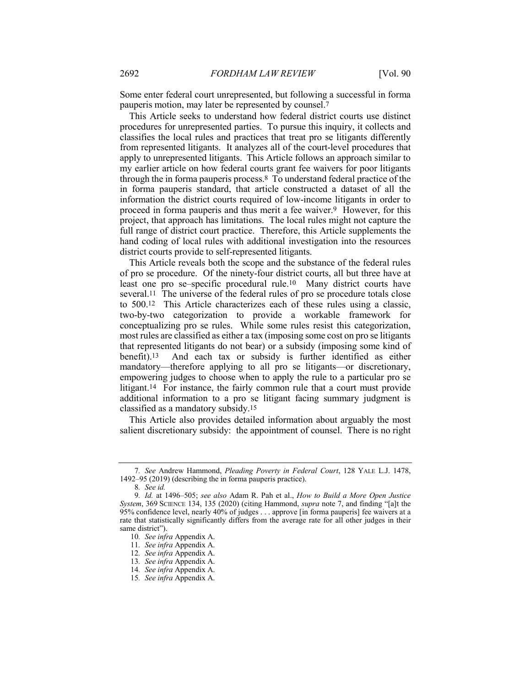Some enter federal court unrepresented, but following a successful in forma pauperis motion, may later be represented by counsel.7

This Article seeks to understand how federal district courts use distinct procedures for unrepresented parties. To pursue this inquiry, it collects and classifies the local rules and practices that treat pro se litigants differently from represented litigants. It analyzes all of the court-level procedures that apply to unrepresented litigants. This Article follows an approach similar to my earlier article on how federal courts grant fee waivers for poor litigants through the in forma pauperis process.8 To understand federal practice of the in forma pauperis standard, that article constructed a dataset of all the information the district courts required of low-income litigants in order to proceed in forma pauperis and thus merit a fee waiver.9 However, for this project, that approach has limitations. The local rules might not capture the full range of district court practice. Therefore, this Article supplements the hand coding of local rules with additional investigation into the resources district courts provide to self-represented litigants.

This Article reveals both the scope and the substance of the federal rules of pro se procedure. Of the ninety-four district courts, all but three have at least one pro se–specific procedural rule.10 Many district courts have several.11 The universe of the federal rules of pro se procedure totals close to 500.12 This Article characterizes each of these rules using a classic, two-by-two categorization to provide a workable framework for conceptualizing pro se rules. While some rules resist this categorization, most rules are classified as either a tax (imposing some cost on pro se litigants that represented litigants do not bear) or a subsidy (imposing some kind of benefit).13 And each tax or subsidy is further identified as either mandatory—therefore applying to all pro se litigants—or discretionary, empowering judges to choose when to apply the rule to a particular pro se litigant.14 For instance, the fairly common rule that a court must provide additional information to a pro se litigant facing summary judgment is classified as a mandatory subsidy.15

This Article also provides detailed information about arguably the most salient discretionary subsidy: the appointment of counsel. There is no right

<sup>7</sup>*. See* Andrew Hammond, *Pleading Poverty in Federal Court*, 128 YALE L.J. 1478, 1492–95 (2019) (describing the in forma pauperis practice).

<sup>8</sup>*. See id.*

<sup>9</sup>*. Id.* at 1496–505; *see also* Adam R. Pah et al., *How to Build a More Open Justice System*, 369 SCIENCE 134, 135 (2020) (citing Hammond, *supra* note 7, and finding "[a]t the 95% confidence level, nearly 40% of judges . . . approve [in forma pauperis] fee waivers at a rate that statistically significantly differs from the average rate for all other judges in their same district").

<sup>10</sup>*. See infra* Appendix A.

<sup>11</sup>*. See infra* Appendix A.

<sup>12</sup>*. See infra* Appendix A.

<sup>13</sup>*. See infra* Appendix A.

<sup>14</sup>*. See infra* Appendix A.

<sup>15</sup>*. See infra* Appendix A.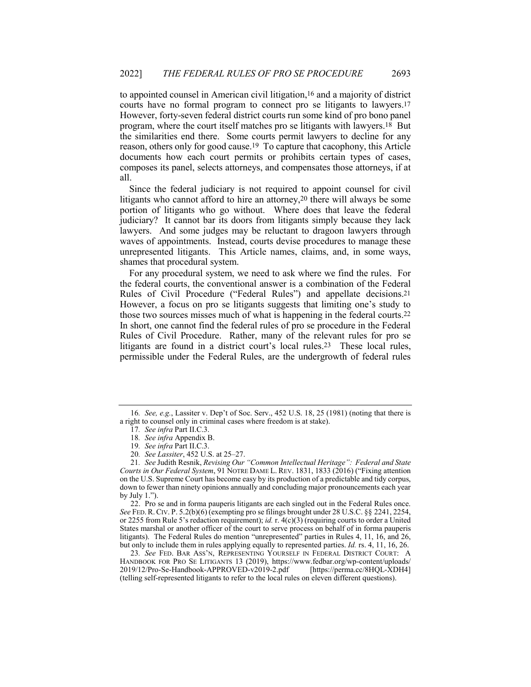to appointed counsel in American civil litigation,16 and a majority of district courts have no formal program to connect pro se litigants to lawyers.17 However, forty-seven federal district courts run some kind of pro bono panel program, where the court itself matches pro se litigants with lawyers.18 But the similarities end there. Some courts permit lawyers to decline for any reason, others only for good cause.19 To capture that cacophony, this Article documents how each court permits or prohibits certain types of cases, composes its panel, selects attorneys, and compensates those attorneys, if at all.

Since the federal judiciary is not required to appoint counsel for civil litigants who cannot afford to hire an attorney,20 there will always be some portion of litigants who go without. Where does that leave the federal judiciary? It cannot bar its doors from litigants simply because they lack lawyers. And some judges may be reluctant to dragoon lawyers through waves of appointments. Instead, courts devise procedures to manage these unrepresented litigants. This Article names, claims, and, in some ways, shames that procedural system.

For any procedural system, we need to ask where we find the rules. For the federal courts, the conventional answer is a combination of the Federal Rules of Civil Procedure ("Federal Rules") and appellate decisions.21 However, a focus on pro se litigants suggests that limiting one's study to those two sources misses much of what is happening in the federal courts.22 In short, one cannot find the federal rules of pro se procedure in the Federal Rules of Civil Procedure. Rather, many of the relevant rules for pro se litigants are found in a district court's local rules.<sup>23</sup> These local rules, permissible under the Federal Rules, are the undergrowth of federal rules

22. Pro se and in forma pauperis litigants are each singled out in the Federal Rules once. *See* FED.R.CIV. P. 5.2(b)(6) (exempting pro se filings brought under 28 U.S.C. §§ 2241, 2254, or 2255 from Rule 5's redaction requirement); *id.* r. 4(c)(3) (requiring courts to order a United States marshal or another officer of the court to serve process on behalf of in forma pauperis litigants). The Federal Rules do mention "unrepresented" parties in Rules 4, 11, 16, and 26, but only to include them in rules applying equally to represented parties. *Id.* rs. 4, 11, 16, 26.

23*. See* FED. BAR ASS'N, REPRESENTING YOURSELF IN FEDERAL DISTRICT COURT: A HANDBOOK FOR PRO SE LITIGANTS 13 (2019), https://www.fedbar.org/wp-content/uploads/ 2019/12/Pro-Se-Handbook-APPROVED-v2019-2.pdf [https://perma.cc/8HQL-XDH4] (telling self-represented litigants to refer to the local rules on eleven different questions).

<sup>16</sup>*. See, e.g.*, Lassiter v. Dep't of Soc. Serv., 452 U.S. 18, 25 (1981) (noting that there is a right to counsel only in criminal cases where freedom is at stake).

<sup>17</sup>*. See infra* Part II.C.3.

<sup>18</sup>*. See infra* Appendix B.

<sup>19</sup>*. See infra* Part II.C.3.

<sup>20</sup>*. See Lassiter*, 452 U.S. at 25–27.

<sup>21</sup>*. See* Judith Resnik, *Revising Our "Common Intellectual Heritage": Federal and State Courts in Our Federal System*, 91 NOTRE DAME L. REV. 1831, 1833 (2016) ("Fixing attention on the U.S. Supreme Court has become easy by its production of a predictable and tidy corpus, down to fewer than ninety opinions annually and concluding major pronouncements each year by July 1.").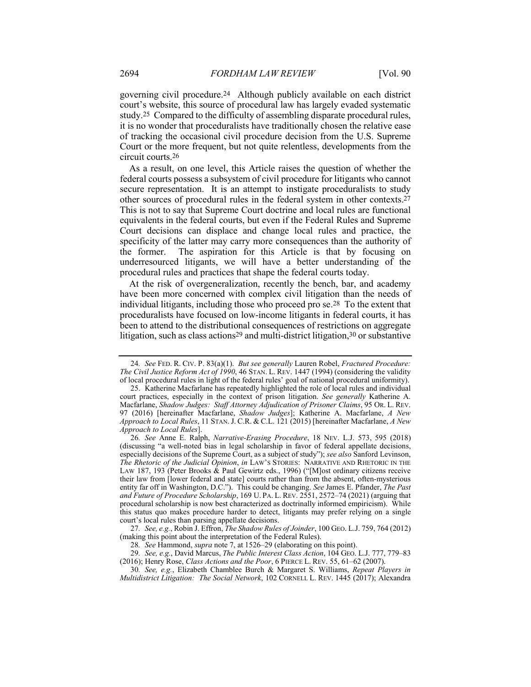governing civil procedure.24 Although publicly available on each district court's website, this source of procedural law has largely evaded systematic study.25 Compared to the difficulty of assembling disparate procedural rules, it is no wonder that proceduralists have traditionally chosen the relative ease of tracking the occasional civil procedure decision from the U.S. Supreme Court or the more frequent, but not quite relentless, developments from the circuit courts.26

As a result, on one level, this Article raises the question of whether the federal courts possess a subsystem of civil procedure for litigants who cannot secure representation. It is an attempt to instigate proceduralists to study other sources of procedural rules in the federal system in other contexts.27 This is not to say that Supreme Court doctrine and local rules are functional equivalents in the federal courts, but even if the Federal Rules and Supreme Court decisions can displace and change local rules and practice, the specificity of the latter may carry more consequences than the authority of the former. The aspiration for this Article is that by focusing on underresourced litigants, we will have a better understanding of the procedural rules and practices that shape the federal courts today.

At the risk of overgeneralization, recently the bench, bar, and academy have been more concerned with complex civil litigation than the needs of individual litigants, including those who proceed pro se.28 To the extent that proceduralists have focused on low-income litigants in federal courts, it has been to attend to the distributional consequences of restrictions on aggregate litigation, such as class actions<sup>29</sup> and multi-district litigation,<sup>30</sup> or substantive

<sup>24</sup>*. See* FED. R. CIV. P. 83(a)(1). *But see generally* Lauren Robel, *Fractured Procedure: The Civil Justice Reform Act of 1990*, 46 STAN. L. REV. 1447 (1994) (considering the validity of local procedural rules in light of the federal rules' goal of national procedural uniformity).

<sup>25.</sup> Katherine Macfarlane has repeatedly highlighted the role of local rules and individual court practices, especially in the context of prison litigation. *See generally* Katherine A. Macfarlane, *Shadow Judges: Staff Attorney Adjudication of Prisoner Claims*, 95 OR. L. REV. 97 (2016) [hereinafter Macfarlane, *Shadow Judges*]; Katherine A. Macfarlane, *A New Approach to Local Rules*, 11 STAN.J. C.R. & C.L. 121 (2015) [hereinafter Macfarlane, *A New Approach to Local Rules*].

<sup>26</sup>*. See* Anne E. Ralph, *Narrative-Erasing Procedure*, 18 NEV. L.J. 573, 595 (2018) (discussing "a well-noted bias in legal scholarship in favor of federal appellate decisions, especially decisions of the Supreme Court, as a subject of study"); *see also* Sanford Levinson, *The Rhetoric of the Judicial Opinion*, *in* LAW'S STORIES: NARRATIVE AND RHETORIC IN THE LAW 187, 193 (Peter Brooks & Paul Gewirtz eds., 1996) ("[M]ost ordinary citizens receive their law from [lower federal and state] courts rather than from the absent, often-mysterious entity far off in Washington, D.C."). This could be changing. *See* James E. Pfander, *The Past and Future of Procedure Scholarship*, 169 U. PA. L. REV. 2551, 2572–74 (2021) (arguing that procedural scholarship is now best characterized as doctrinally informed empiricism). While this status quo makes procedure harder to detect, litigants may prefer relying on a single court's local rules than parsing appellate decisions.

<sup>27</sup>*. See, e.g.*, Robin J. Effron, *The Shadow Rules of Joinder*, 100 GEO. L.J. 759, 764 (2012) (making this point about the interpretation of the Federal Rules).

<sup>28</sup>*. See* Hammond, *supra* note 7, at 1526–29 (elaborating on this point).

<sup>29</sup>*. See, e.g.*, David Marcus, *The Public Interest Class Action*, 104 GEO. L.J. 777, 779–83 (2016); Henry Rose, *Class Actions and the Poor*, 6 PIERCE L. REV. 55, 61–62 (2007).

<sup>30</sup>*. See, e.g.*, Elizabeth Chamblee Burch & Margaret S. Williams, *Repeat Players in Multidistrict Litigation: The Social Network*, 102 CORNELL L. REV. 1445 (2017); Alexandra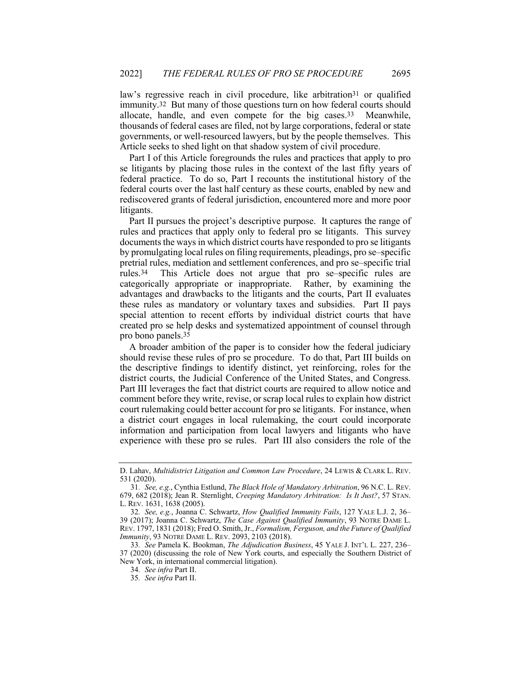law's regressive reach in civil procedure, like arbitration<sup>31</sup> or qualified immunity.32 But many of those questions turn on how federal courts should allocate, handle, and even compete for the big cases.33 Meanwhile, thousands of federal cases are filed, not by large corporations, federal or state governments, or well-resourced lawyers, but by the people themselves. This Article seeks to shed light on that shadow system of civil procedure.

Part I of this Article foregrounds the rules and practices that apply to pro se litigants by placing those rules in the context of the last fifty years of federal practice. To do so, Part I recounts the institutional history of the federal courts over the last half century as these courts, enabled by new and rediscovered grants of federal jurisdiction, encountered more and more poor litigants.

Part II pursues the project's descriptive purpose. It captures the range of rules and practices that apply only to federal pro se litigants. This survey documents the ways in which district courts have responded to pro se litigants by promulgating local rules on filing requirements, pleadings, pro se–specific pretrial rules, mediation and settlement conferences, and pro se–specific trial rules.34 This Article does not argue that pro se–specific rules are categorically appropriate or inappropriate. Rather, by examining the advantages and drawbacks to the litigants and the courts, Part II evaluates these rules as mandatory or voluntary taxes and subsidies. Part II pays special attention to recent efforts by individual district courts that have created pro se help desks and systematized appointment of counsel through pro bono panels.35

A broader ambition of the paper is to consider how the federal judiciary should revise these rules of pro se procedure. To do that, Part III builds on the descriptive findings to identify distinct, yet reinforcing, roles for the district courts, the Judicial Conference of the United States, and Congress. Part III leverages the fact that district courts are required to allow notice and comment before they write, revise, or scrap local rules to explain how district court rulemaking could better account for pro se litigants. For instance, when a district court engages in local rulemaking, the court could incorporate information and participation from local lawyers and litigants who have experience with these pro se rules. Part III also considers the role of the

D. Lahav, *Multidistrict Litigation and Common Law Procedure*, 24 LEWIS & CLARK L. REV. 531 (2020).

<sup>31</sup>*. See, e.g.*, Cynthia Estlund, *The Black Hole of Mandatory Arbitration*, 96 N.C. L. REV. 679, 682 (2018); Jean R. Sternlight, *Creeping Mandatory Arbitration: Is It Just?*, 57 STAN. L. REV. 1631, 1638 (2005).

<sup>32</sup>*. See, e.g.*, Joanna C. Schwartz, *How Qualified Immunity Fails*, 127 YALE L.J. 2, 36– 39 (2017); Joanna C. Schwartz, *The Case Against Qualified Immunity*, 93 NOTRE DAME L. REV. 1797, 1831 (2018); Fred O. Smith, Jr., *Formalism, Ferguson, and the Future of Qualified Immunity*, 93 NOTRE DAME L. REV. 2093, 2103 (2018).

<sup>33</sup>*. See* Pamela K. Bookman, *The Adjudication Business*, 45 YALE J. INT'L L. 227, 236– 37 (2020) (discussing the role of New York courts, and especially the Southern District of New York, in international commercial litigation).

<sup>34</sup>*. See infra* Part II.

<sup>35</sup>*. See infra* Part II.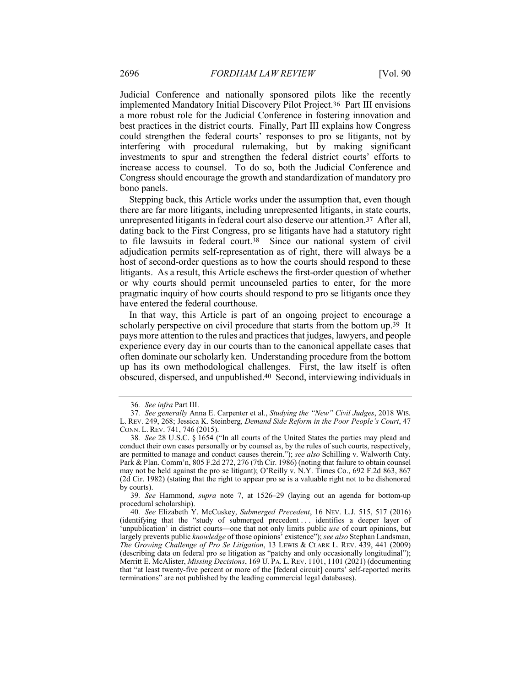Judicial Conference and nationally sponsored pilots like the recently implemented Mandatory Initial Discovery Pilot Project.36 Part III envisions a more robust role for the Judicial Conference in fostering innovation and best practices in the district courts. Finally, Part III explains how Congress could strengthen the federal courts' responses to pro se litigants, not by interfering with procedural rulemaking, but by making significant investments to spur and strengthen the federal district courts' efforts to increase access to counsel. To do so, both the Judicial Conference and Congress should encourage the growth and standardization of mandatory pro bono panels.

Stepping back, this Article works under the assumption that, even though there are far more litigants, including unrepresented litigants, in state courts, unrepresented litigants in federal court also deserve our attention.37 After all, dating back to the First Congress, pro se litigants have had a statutory right to file lawsuits in federal court.38 Since our national system of civil adjudication permits self-representation as of right, there will always be a host of second-order questions as to how the courts should respond to these litigants. As a result, this Article eschews the first-order question of whether or why courts should permit uncounseled parties to enter, for the more pragmatic inquiry of how courts should respond to pro se litigants once they have entered the federal courthouse.

In that way, this Article is part of an ongoing project to encourage a scholarly perspective on civil procedure that starts from the bottom up.<sup>39</sup> It pays more attention to the rules and practices that judges, lawyers, and people experience every day in our courts than to the canonical appellate cases that often dominate our scholarly ken. Understanding procedure from the bottom up has its own methodological challenges. First, the law itself is often obscured, dispersed, and unpublished.40 Second, interviewing individuals in

39*. See* Hammond, *supra* note 7, at 1526–29 (laying out an agenda for bottom-up procedural scholarship).

<sup>36</sup>*. See infra* Part III.

<sup>37</sup>*. See generally* Anna E. Carpenter et al., *Studying the "New" Civil Judges*, 2018 WIS. L. REV. 249, 268; Jessica K. Steinberg, *Demand Side Reform in the Poor People's Court*, 47 CONN. L. REV. 741, 746 (2015).

<sup>38</sup>*. See* 28 U.S.C. § 1654 ("In all courts of the United States the parties may plead and conduct their own cases personally or by counsel as, by the rules of such courts, respectively, are permitted to manage and conduct causes therein."); *see also* Schilling v. Walworth Cnty. Park & Plan. Comm'n, 805 F.2d 272, 276 (7th Cir. 1986) (noting that failure to obtain counsel may not be held against the pro se litigant); O'Reilly v. N.Y. Times Co., 692 F.2d 863, 867 (2d Cir. 1982) (stating that the right to appear pro se is a valuable right not to be dishonored by courts).

<sup>40</sup>*. See* Elizabeth Y. McCuskey, *Submerged Precedent*, 16 NEV. L.J. 515, 517 (2016) (identifying that the "study of submerged precedent . . . identifies a deeper layer of 'unpublication' in district courts—one that not only limits public *use* of court opinions, but largely prevents public *knowledge* of those opinions' existence"); *see also* Stephan Landsman, *The Growing Challenge of Pro Se Litigation*, 13 LEWIS & CLARK L. REV. 439, 441 (2009) (describing data on federal pro se litigation as "patchy and only occasionally longitudinal"); Merritt E. McAlister, *Missing Decisions*, 169 U. PA. L. REV. 1101, 1101 (2021) (documenting that "at least twenty-five percent or more of the [federal circuit] courts' self-reported merits terminations" are not published by the leading commercial legal databases).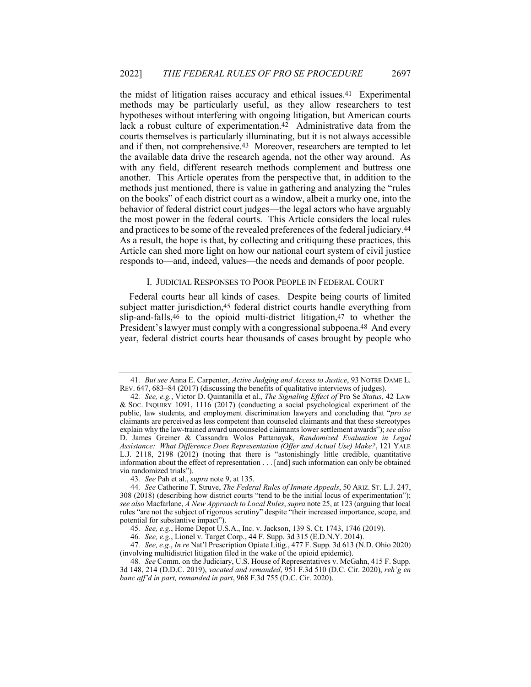the midst of litigation raises accuracy and ethical issues.41 Experimental methods may be particularly useful, as they allow researchers to test hypotheses without interfering with ongoing litigation, but American courts lack a robust culture of experimentation.42 Administrative data from the courts themselves is particularly illuminating, but it is not always accessible and if then, not comprehensive.43 Moreover, researchers are tempted to let the available data drive the research agenda, not the other way around. As with any field, different research methods complement and buttress one another. This Article operates from the perspective that, in addition to the methods just mentioned, there is value in gathering and analyzing the "rules on the books" of each district court as a window, albeit a murky one, into the behavior of federal district court judges—the legal actors who have arguably the most power in the federal courts. This Article considers the local rules and practices to be some of the revealed preferences of the federal judiciary.44 As a result, the hope is that, by collecting and critiquing these practices, this Article can shed more light on how our national court system of civil justice responds to—and, indeed, values—the needs and demands of poor people.

## I. JUDICIAL RESPONSES TO POOR PEOPLE IN FEDERAL COURT

Federal courts hear all kinds of cases. Despite being courts of limited subject matter jurisdiction,45 federal district courts handle everything from slip-and-falls,46 to the opioid multi-district litigation,47 to whether the President's lawyer must comply with a congressional subpoena.<sup>48</sup> And every year, federal district courts hear thousands of cases brought by people who

<sup>41</sup>*. But see* Anna E. Carpenter, *Active Judging and Access to Justice*, 93 NOTRE DAME L. REV. 647, 683–84 (2017) (discussing the benefits of qualitative interviews of judges).

<sup>42</sup>*. See, e.g.*, Victor D. Quintanilla et al., *The Signaling Effect of* Pro Se *Status*, 42 LAW & SOC. INQUIRY 1091, 1116 (2017) (conducting a social psychological experiment of the public, law students, and employment discrimination lawyers and concluding that "*pro se* claimants are perceived as less competent than counseled claimants and that these stereotypes explain why the law-trained award uncounseled claimants lower settlement awards"); *see also* D. James Greiner & Cassandra Wolos Pattanayak, *Randomized Evaluation in Legal Assistance: What Difference Does Representation (Offer and Actual Use) Make?*, 121 YALE L.J. 2118, 2198 (2012) (noting that there is "astonishingly little credible, quantitative information about the effect of representation . . . [and] such information can only be obtained via randomized trials").

<sup>43</sup>*. See* Pah et al., *supra* note 9, at 135.

<sup>44</sup>*. See* Catherine T. Struve, *The Federal Rules of Inmate Appeals*, 50 ARIZ. ST. L.J. 247, 308 (2018) (describing how district courts "tend to be the initial locus of experimentation"); *see also* Macfarlane, *A New Approach to Local Rules*, *supra* note 25, at 123 (arguing that local rules "are not the subject of rigorous scrutiny" despite "their increased importance, scope, and potential for substantive impact").

<sup>45</sup>*. See, e.g.*, Home Depot U.S.A., Inc. v. Jackson, 139 S. Ct. 1743, 1746 (2019).

<sup>46</sup>*. See, e.g.*, Lionel v. Target Corp., 44 F. Supp. 3d 315 (E.D.N.Y. 2014).

<sup>47</sup>*. See, e.g.*, *In re* Nat'l Prescription Opiate Litig., 477 F. Supp. 3d 613 (N.D. Ohio 2020) (involving multidistrict litigation filed in the wake of the opioid epidemic).

<sup>48</sup>*. See* Comm. on the Judiciary, U.S. House of Representatives v. McGahn, 415 F. Supp. 3d 148, 214 (D.D.C. 2019), *vacated and remanded*, 951 F.3d 510 (D.C. Cir. 2020), *reh'g en banc aff'd in part, remanded in part*, 968 F.3d 755 (D.C. Cir. 2020).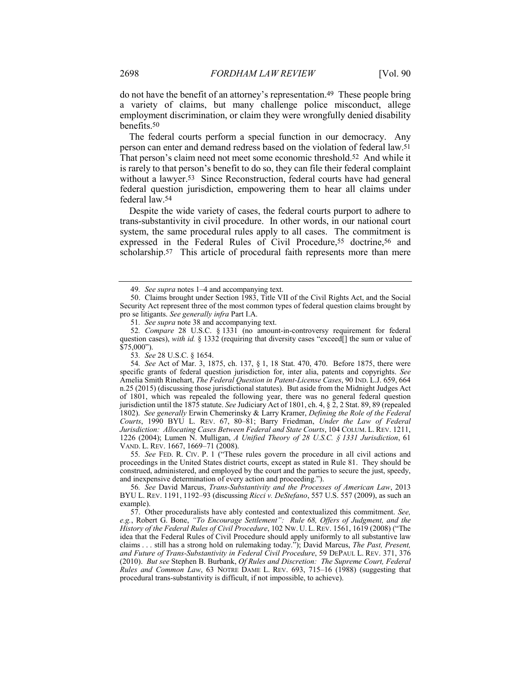do not have the benefit of an attorney's representation.49 These people bring a variety of claims, but many challenge police misconduct, allege employment discrimination, or claim they were wrongfully denied disability benefits.50

The federal courts perform a special function in our democracy. Any person can enter and demand redress based on the violation of federal law.51 That person's claim need not meet some economic threshold.52 And while it is rarely to that person's benefit to do so, they can file their federal complaint without a lawyer.53 Since Reconstruction, federal courts have had general federal question jurisdiction, empowering them to hear all claims under federal law.54

Despite the wide variety of cases, the federal courts purport to adhere to trans-substantivity in civil procedure. In other words, in our national court system, the same procedural rules apply to all cases. The commitment is expressed in the Federal Rules of Civil Procedure,<sup>55</sup> doctrine,<sup>56</sup> and scholarship.<sup>57</sup> This article of procedural faith represents more than mere

55*. See* FED. R. CIV. P. 1 ("These rules govern the procedure in all civil actions and proceedings in the United States district courts, except as stated in Rule 81. They should be construed, administered, and employed by the court and the parties to secure the just, speedy, and inexpensive determination of every action and proceeding.").

<sup>49</sup>*. See supra* notes 1–4 and accompanying text.

<sup>50.</sup> Claims brought under Section 1983, Title VII of the Civil Rights Act, and the Social Security Act represent three of the most common types of federal question claims brought by pro se litigants. *See generally infra* Part I.A.

<sup>51</sup>*. See supra* note 38 and accompanying text.

<sup>52</sup>*. Compare* 28 U.S.C. § 1331 (no amount-in-controversy requirement for federal question cases), *with id.* § 1332 (requiring that diversity cases "exceed[] the sum or value of \$75,000").

<sup>53</sup>*. See* 28 U.S.C. § 1654.

<sup>54</sup>*. See* Act of Mar. 3, 1875, ch. 137, § 1, 18 Stat. 470, 470. Before 1875, there were specific grants of federal question jurisdiction for, inter alia, patents and copyrights. *See* Amelia Smith Rinehart, *The Federal Question in Patent-License Cases*, 90 IND. L.J. 659, 664 n.25 (2015) (discussing those jurisdictional statutes). But aside from the Midnight Judges Act of 1801, which was repealed the following year, there was no general federal question jurisdiction until the 1875 statute. *See* Judiciary Act of 1801, ch. 4, § 2, 2 Stat. 89, 89 (repealed 1802). *See generally* Erwin Chemerinsky & Larry Kramer, *Defining the Role of the Federal Courts*, 1990 BYU L. REV. 67, 80–81; Barry Friedman, *Under the Law of Federal Jurisdiction: Allocating Cases Between Federal and State Courts*, 104 COLUM. L. REV. 1211, 1226 (2004); Lumen N. Mulligan, *A Unified Theory of 28 U.S.C. § 1331 Jurisdiction*, 61 VAND. L. REV. 1667, 1669–71 (2008).

<sup>56</sup>*. See* David Marcus, *Trans-Substantivity and the Processes of American Law*, 2013 BYU L. REV. 1191, 1192–93 (discussing *Ricci v. DeStefano*, 557 U.S. 557 (2009), as such an example).

<sup>57.</sup> Other proceduralists have ably contested and contextualized this commitment. *See, e.g.*, Robert G. Bone, *"To Encourage Settlement": Rule 68, Offers of Judgment, and the History of the Federal Rules of Civil Procedure*, 102 NW. U. L. REV. 1561, 1619 (2008) ("The idea that the Federal Rules of Civil Procedure should apply uniformly to all substantive law claims . . . still has a strong hold on rulemaking today."); David Marcus, *The Past, Present, and Future of Trans-Substantivity in Federal Civil Procedure*, 59 DEPAUL L. REV. 371, 376 (2010). *But see* Stephen B. Burbank, *Of Rules and Discretion: The Supreme Court, Federal Rules and Common Law*, 63 NOTRE DAME L. REV. 693, 715–16 (1988) (suggesting that procedural trans-substantivity is difficult, if not impossible, to achieve).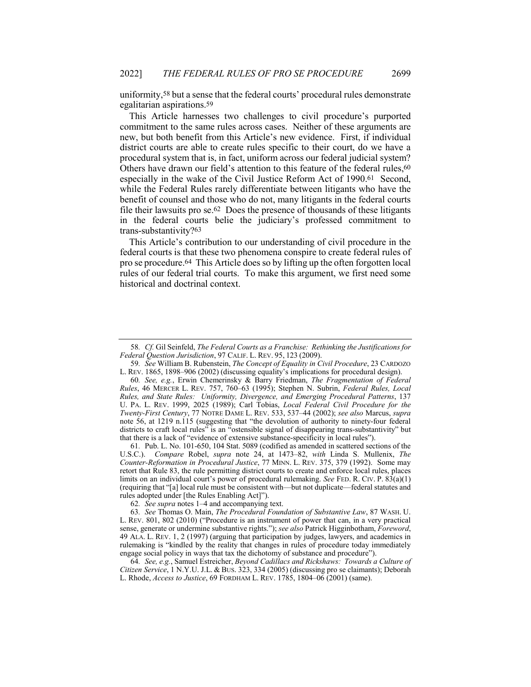uniformity,58 but a sense that the federal courts' procedural rules demonstrate egalitarian aspirations.59

This Article harnesses two challenges to civil procedure's purported commitment to the same rules across cases. Neither of these arguments are new, but both benefit from this Article's new evidence. First, if individual district courts are able to create rules specific to their court, do we have a procedural system that is, in fact, uniform across our federal judicial system? Others have drawn our field's attention to this feature of the federal rules, 60 especially in the wake of the Civil Justice Reform Act of 1990.61 Second, while the Federal Rules rarely differentiate between litigants who have the benefit of counsel and those who do not, many litigants in the federal courts file their lawsuits pro se.62 Does the presence of thousands of these litigants in the federal courts belie the judiciary's professed commitment to trans-substantivity?63

This Article's contribution to our understanding of civil procedure in the federal courts is that these two phenomena conspire to create federal rules of pro se procedure.64 This Article does so by lifting up the often forgotten local rules of our federal trial courts. To make this argument, we first need some historical and doctrinal context.

61*.* Pub. L. No. 101-650, 104 Stat. 5089 (codified as amended in scattered sections of the U.S.C.). *Compare* Robel, *supra* note 24, at 1473–82, *with* Linda S. Mullenix, *The Counter-Reformation in Procedural Justice*, 77 MINN. L. REV. 375, 379 (1992). Some may retort that Rule 83, the rule permitting district courts to create and enforce local rules, places limits on an individual court's power of procedural rulemaking. *See* FED. R. CIV. P. 83(a)(1) (requiring that "[a] local rule must be consistent with—but not duplicate—federal statutes and rules adopted under [the Rules Enabling Act]").

62*. See supra* notes 1–4 and accompanying text.

63*. See* Thomas O. Main, *The Procedural Foundation of Substantive Law*, 87 WASH. U. L. REV. 801, 802 (2010) ("Procedure is an instrument of power that can, in a very practical sense, generate or undermine substantive rights."); *see also* Patrick Higginbotham, *Foreword*, 49 ALA. L. REV. 1, 2 (1997) (arguing that participation by judges, lawyers, and academics in rulemaking is "kindled by the reality that changes in rules of procedure today immediately engage social policy in ways that tax the dichotomy of substance and procedure").

64*. See, e.g.*, Samuel Estreicher, *Beyond Cadillacs and Rickshaws: Towards a Culture of Citizen Service*, 1 N.Y.U. J.L. & BUS. 323, 334 (2005) (discussing pro se claimants); Deborah L. Rhode, *Access to Justice*, 69 FORDHAM L. REV. 1785, 1804–06 (2001) (same).

<sup>58</sup>*. Cf.* Gil Seinfeld, *The Federal Courts as a Franchise: Rethinking the Justifications for Federal Question Jurisdiction*, 97 CALIF. L. REV. 95, 123 (2009).

<sup>59</sup>*. See* William B. Rubenstein, *The Concept of Equality in Civil Procedure*, 23 CARDOZO L. REV. 1865, 1898–906 (2002) (discussing equality's implications for procedural design).

<sup>60</sup>*. See, e.g.*, Erwin Chemerinsky & Barry Friedman, *The Fragmentation of Federal Rules*, 46 MERCER L. REV. 757, 760–63 (1995); Stephen N. Subrin, *Federal Rules, Local Rules, and State Rules: Uniformity, Divergence, and Emerging Procedural Patterns*, 137 U. PA. L. REV. 1999, 2025 (1989); Carl Tobias, *Local Federal Civil Procedure for the Twenty-First Century*, 77 NOTRE DAME L. REV. 533, 537–44 (2002); *see also* Marcus, *supra* note 56, at 1219 n.115 (suggesting that "the devolution of authority to ninety-four federal districts to craft local rules" is an "ostensible signal of disappearing trans-substantivity" but that there is a lack of "evidence of extensive substance-specificity in local rules").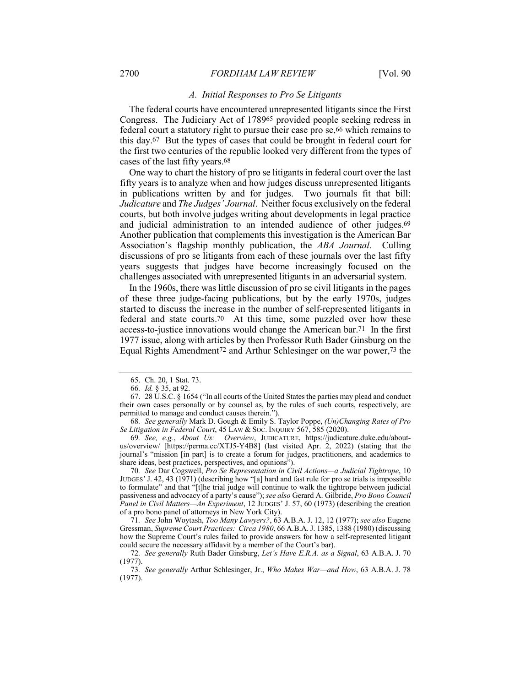#### *A. Initial Responses to Pro Se Litigants*

The federal courts have encountered unrepresented litigants since the First Congress. The Judiciary Act of 178965 provided people seeking redress in federal court a statutory right to pursue their case pro se,<sup>66</sup> which remains to this day.67 But the types of cases that could be brought in federal court for the first two centuries of the republic looked very different from the types of cases of the last fifty years.68

One way to chart the history of pro se litigants in federal court over the last fifty years is to analyze when and how judges discuss unrepresented litigants in publications written by and for judges. Two journals fit that bill: *Judicature* and *The Judges' Journal*. Neither focus exclusively on the federal courts, but both involve judges writing about developments in legal practice and judicial administration to an intended audience of other judges.69 Another publication that complements this investigation is the American Bar Association's flagship monthly publication, the *ABA Journal*. Culling discussions of pro se litigants from each of these journals over the last fifty years suggests that judges have become increasingly focused on the challenges associated with unrepresented litigants in an adversarial system.

In the 1960s, there was little discussion of pro se civil litigants in the pages of these three judge-facing publications, but by the early 1970s, judges started to discuss the increase in the number of self-represented litigants in federal and state courts.70 At this time, some puzzled over how these access-to-justice innovations would change the American bar.71 In the first 1977 issue, along with articles by then Professor Ruth Bader Ginsburg on the Equal Rights Amendment72 and Arthur Schlesinger on the war power,73 the

<sup>65.</sup> Ch. 20, 1 Stat. 73.

<sup>66</sup>*. Id.* § 35, at 92.

<sup>67.</sup> 28 U.S.C. § 1654 ("In all courts of the United States the parties may plead and conduct their own cases personally or by counsel as, by the rules of such courts, respectively, are permitted to manage and conduct causes therein.").

<sup>68</sup>*. See generally* Mark D. Gough & Emily S. Taylor Poppe, *(Un)Changing Rates of Pro Se Litigation in Federal Court*, 45 LAW & SOC. INQUIRY 567, 585 (2020).

<sup>69</sup>*. See, e.g.*, *About Us: Overview*, JUDICATURE, https://judicature.duke.edu/aboutus/overview/ [https://perma.cc/XTJ5-Y4B8] (last visited Apr. 2, 2022) (stating that the journal's "mission [in part] is to create a forum for judges, practitioners, and academics to share ideas, best practices, perspectives, and opinions").

<sup>70</sup>*. See* Dar Cogswell, *Pro Se Representation in Civil Actions—a Judicial Tightrope*, 10 JUDGES' J. 42, 43 (1971) (describing how "[a] hard and fast rule for pro se trials is impossible to formulate" and that "[t]he trial judge will continue to walk the tightrope between judicial passiveness and advocacy of a party's cause"); *see also* Gerard A. Gilbride, *Pro Bono Council Panel in Civil Matters—An Experiment*, 12 JUDGES' J. 57, 60 (1973) (describing the creation of a pro bono panel of attorneys in New York City).

<sup>71</sup>*. See* John Woytash, *Too Many Lawyers?*, 63 A.B.A. J. 12, 12 (1977); *see also* Eugene Gressman, *Supreme Court Practices: Circa 1980*, 66 A.B.A. J. 1385, 1388 (1980) (discussing how the Supreme Court's rules failed to provide answers for how a self-represented litigant could secure the necessary affidavit by a member of the Court's bar).

<sup>72</sup>*. See generally* Ruth Bader Ginsburg, *Let's Have E.R.A. as a Signal*, 63 A.B.A. J. 70 (1977).

<sup>73</sup>*. See generally* Arthur Schlesinger, Jr., *Who Makes War—and How*, 63 A.B.A. J. 78 (1977).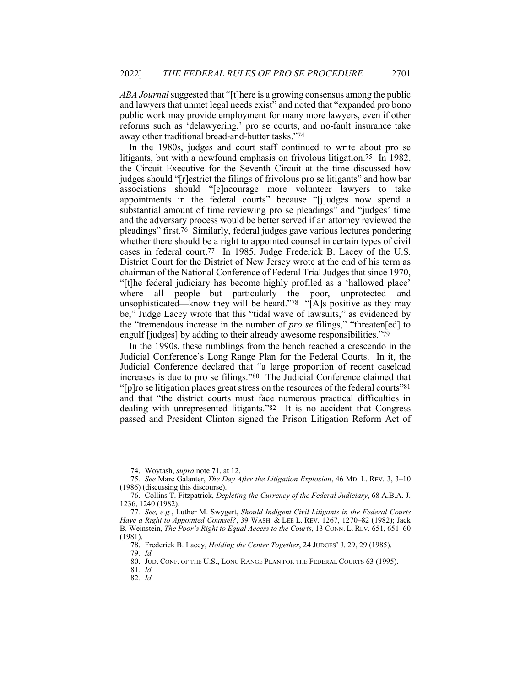ABA *Journal* suggested that "[t]here is a growing consensus among the public and lawyers that unmet legal needs exist" and noted that "expanded pro bono public work may provide employment for many more lawyers, even if other reforms such as 'delawyering,' pro se courts, and no-fault insurance take away other traditional bread-and-butter tasks."74

In the 1980s, judges and court staff continued to write about pro se litigants, but with a newfound emphasis on frivolous litigation.75 In 1982, the Circuit Executive for the Seventh Circuit at the time discussed how judges should "[r]estrict the filings of frivolous pro se litigants" and how bar associations should "[e]ncourage more volunteer lawyers to take appointments in the federal courts" because "[j]udges now spend a substantial amount of time reviewing pro se pleadings" and "judges' time and the adversary process would be better served if an attorney reviewed the pleadings" first.76 Similarly, federal judges gave various lectures pondering whether there should be a right to appointed counsel in certain types of civil cases in federal court.77 In 1985, Judge Frederick B. Lacey of the U.S. District Court for the District of New Jersey wrote at the end of his term as chairman of the National Conference of Federal Trial Judges that since 1970, "[t]he federal judiciary has become highly profiled as a 'hallowed place' where all people—but particularly the poor, unprotected and unsophisticated—know they will be heard."78 "[A]s positive as they may be," Judge Lacey wrote that this "tidal wave of lawsuits," as evidenced by the "tremendous increase in the number of *pro se* filings," "threaten[ed] to engulf [judges] by adding to their already awesome responsibilities."79

In the 1990s, these rumblings from the bench reached a crescendo in the Judicial Conference's Long Range Plan for the Federal Courts. In it, the Judicial Conference declared that "a large proportion of recent caseload increases is due to pro se filings."80 The Judicial Conference claimed that "[p]ro se litigation places great stress on the resources of the federal courts"81 and that "the district courts must face numerous practical difficulties in dealing with unrepresented litigants."82 It is no accident that Congress passed and President Clinton signed the Prison Litigation Reform Act of

<sup>74.</sup> Woytash, *supra* note 71, at 12.

<sup>75</sup>*. See* Marc Galanter, *The Day After the Litigation Explosion*, 46 MD. L. REV. 3, 3–10 (1986) (discussing this discourse).

<sup>76.</sup> Collins T. Fitzpatrick, *Depleting the Currency of the Federal Judiciary*, 68 A.B.A. J. 1236, 1240 (1982).

<sup>77</sup>*. See, e.g.*, Luther M. Swygert, *Should Indigent Civil Litigants in the Federal Courts Have a Right to Appointed Counsel?*, 39 WASH. & LEE L. REV. 1267, 1270–82 (1982); Jack B. Weinstein, *The Poor's Right to Equal Access to the Courts*, 13 CONN. L. REV. 651, 651–60 (1981).

<sup>78.</sup> Frederick B. Lacey, *Holding the Center Together*, 24 JUDGES' J. 29, 29 (1985).

<sup>79</sup>*. Id.*

<sup>80.</sup> JUD. CONF. OF THE U.S., LONG RANGE PLAN FOR THE FEDERAL COURTS 63 (1995).

<sup>81</sup>*. Id.* 82*. Id.*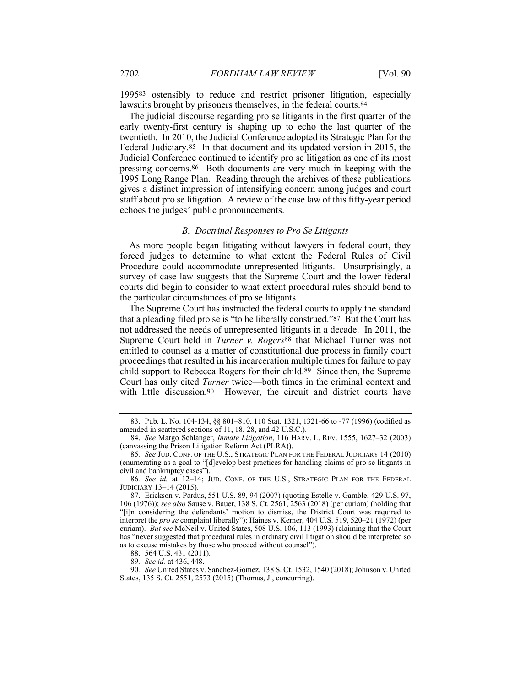199583 ostensibly to reduce and restrict prisoner litigation, especially lawsuits brought by prisoners themselves, in the federal courts.84

The judicial discourse regarding pro se litigants in the first quarter of the early twenty-first century is shaping up to echo the last quarter of the twentieth. In 2010, the Judicial Conference adopted its Strategic Plan for the Federal Judiciary.85 In that document and its updated version in 2015, the Judicial Conference continued to identify pro se litigation as one of its most pressing concerns.86 Both documents are very much in keeping with the 1995 Long Range Plan. Reading through the archives of these publications gives a distinct impression of intensifying concern among judges and court staff about pro se litigation. A review of the case law of this fifty-year period echoes the judges' public pronouncements.

#### *B. Doctrinal Responses to Pro Se Litigants*

As more people began litigating without lawyers in federal court, they forced judges to determine to what extent the Federal Rules of Civil Procedure could accommodate unrepresented litigants. Unsurprisingly, a survey of case law suggests that the Supreme Court and the lower federal courts did begin to consider to what extent procedural rules should bend to the particular circumstances of pro se litigants.

The Supreme Court has instructed the federal courts to apply the standard that a pleading filed pro se is "to be liberally construed."87 But the Court has not addressed the needs of unrepresented litigants in a decade. In 2011, the Supreme Court held in *Turner v. Rogers*88 that Michael Turner was not entitled to counsel as a matter of constitutional due process in family court proceedings that resulted in his incarceration multiple times for failure to pay child support to Rebecca Rogers for their child.89 Since then, the Supreme Court has only cited *Turner* twice—both times in the criminal context and with little discussion.<sup>90</sup> However, the circuit and district courts have

88. 564 U.S. 431 (2011).

<sup>83.</sup> Pub. L. No. 104-134, §§ 801–810, 110 Stat. 1321, 1321-66 to -77 (1996) (codified as amended in scattered sections of 11, 18, 28, and 42 U.S.C.).

<sup>84.</sup> *See* Margo Schlanger, *Inmate Litigation*, 116 HARV. L. REV. 1555, 1627–32 (2003) (canvassing the Prison Litigation Reform Act (PLRA)).

<sup>85</sup>*. See* JUD. CONF. OF THE U.S., STRATEGIC PLAN FOR THE FEDERAL JUDICIARY 14 (2010) (enumerating as a goal to "[d]evelop best practices for handling claims of pro se litigants in civil and bankruptcy cases").

<sup>86</sup>*. See id.* at 12–14; JUD. CONF. OF THE U.S., STRATEGIC PLAN FOR THE FEDERAL JUDICIARY 13–14 (2015).

<sup>87.</sup> Erickson v. Pardus, 551 U.S. 89, 94 (2007) (quoting Estelle v. Gamble, 429 U.S. 97, 106 (1976)); *see also* Sause v. Bauer, 138 S. Ct. 2561, 2563 (2018) (per curiam) (holding that "[i]n considering the defendants' motion to dismiss, the District Court was required to interpret the *pro se* complaint liberally"); Haines v. Kerner, 404 U.S. 519, 520–21 (1972) (per curiam). *But see* McNeil v. United States, 508 U.S. 106, 113 (1993) (claiming that the Court has "never suggested that procedural rules in ordinary civil litigation should be interpreted so as to excuse mistakes by those who proceed without counsel").

<sup>89</sup>*. See id.* at 436, 448.

<sup>90</sup>*. See* United States v. Sanchez-Gomez, 138 S. Ct. 1532, 1540 (2018); Johnson v. United States, 135 S. Ct. 2551, 2573 (2015) (Thomas, J., concurring).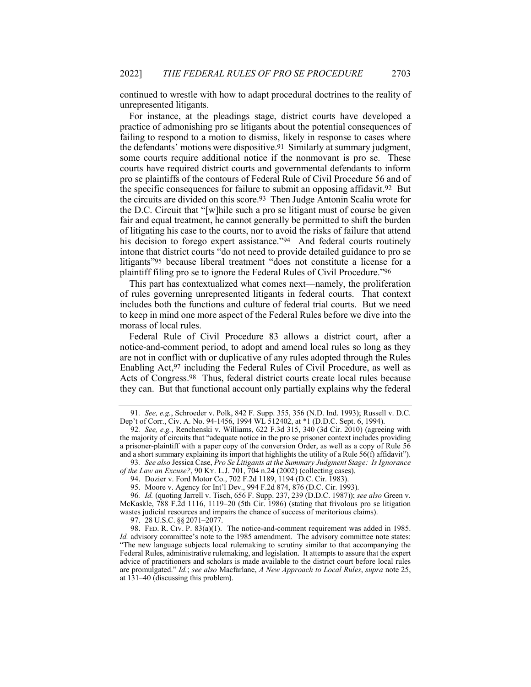continued to wrestle with how to adapt procedural doctrines to the reality of unrepresented litigants.

For instance, at the pleadings stage, district courts have developed a practice of admonishing pro se litigants about the potential consequences of failing to respond to a motion to dismiss, likely in response to cases where the defendants' motions were dispositive.91 Similarly at summary judgment, some courts require additional notice if the nonmovant is pro se. These courts have required district courts and governmental defendants to inform pro se plaintiffs of the contours of Federal Rule of Civil Procedure 56 and of the specific consequences for failure to submit an opposing affidavit.92 But the circuits are divided on this score.93 Then Judge Antonin Scalia wrote for the D.C. Circuit that "[w]hile such a pro se litigant must of course be given fair and equal treatment, he cannot generally be permitted to shift the burden of litigating his case to the courts, nor to avoid the risks of failure that attend his decision to forego expert assistance."94 And federal courts routinely intone that district courts "do not need to provide detailed guidance to pro se litigants"95 because liberal treatment "does not constitute a license for a plaintiff filing pro se to ignore the Federal Rules of Civil Procedure."96

This part has contextualized what comes next—namely, the proliferation of rules governing unrepresented litigants in federal courts. That context includes both the functions and culture of federal trial courts. But we need to keep in mind one more aspect of the Federal Rules before we dive into the morass of local rules.

Federal Rule of Civil Procedure 83 allows a district court, after a notice-and-comment period, to adopt and amend local rules so long as they are not in conflict with or duplicative of any rules adopted through the Rules Enabling Act,97 including the Federal Rules of Civil Procedure, as well as Acts of Congress.98 Thus, federal district courts create local rules because they can. But that functional account only partially explains why the federal

<sup>91</sup>*. See, e.g.*, Schroeder v. Polk, 842 F. Supp. 355, 356 (N.D. Ind. 1993); Russell v. D.C. Dep't of Corr., Civ. A. No. 94-1456, 1994 WL 512402, at \*1 (D.D.C. Sept. 6, 1994).

<sup>92</sup>*. See, e.g.*, Renchenski v. Williams, 622 F.3d 315, 340 (3d Cir. 2010) (agreeing with the majority of circuits that "adequate notice in the pro se prisoner context includes providing a prisoner-plaintiff with a paper copy of the conversion Order, as well as a copy of Rule 56 and a short summary explaining its import that highlights the utility of a Rule 56(f) affidavit").

<sup>93</sup>*. See also* Jessica Case, *Pro Se Litigants at the Summary Judgment Stage: Is Ignorance of the Law an Excuse?*, 90 KY. L.J. 701, 704 n.24 (2002) (collecting cases).

<sup>94.</sup> Dozier v. Ford Motor Co., 702 F.2d 1189, 1194 (D.C. Cir. 1983).

<sup>95.</sup> Moore v. Agency for Int'l Dev., 994 F.2d 874, 876 (D.C. Cir. 1993).

<sup>96</sup>*. Id.* (quoting Jarrell v. Tisch, 656 F. Supp. 237, 239 (D.D.C. 1987)); *see also* Green v. McKaskle, 788 F.2d 1116, 1119–20 (5th Cir. 1986) (stating that frivolous pro se litigation wastes judicial resources and impairs the chance of success of meritorious claims).

<sup>97.</sup> 28 U.S.C. §§ 2071–2077.

<sup>98.</sup> FED. R. CIV. P. 83(a)(1). The notice-and-comment requirement was added in 1985. *Id.* advisory committee's note to the 1985 amendment. The advisory committee note states: "The new language subjects local rulemaking to scrutiny similar to that accompanying the Federal Rules, administrative rulemaking, and legislation. It attempts to assure that the expert advice of practitioners and scholars is made available to the district court before local rules are promulgated." *Id.*; *see also* Macfarlane, *A New Approach to Local Rules*, *supra* note 25, at 131–40 (discussing this problem).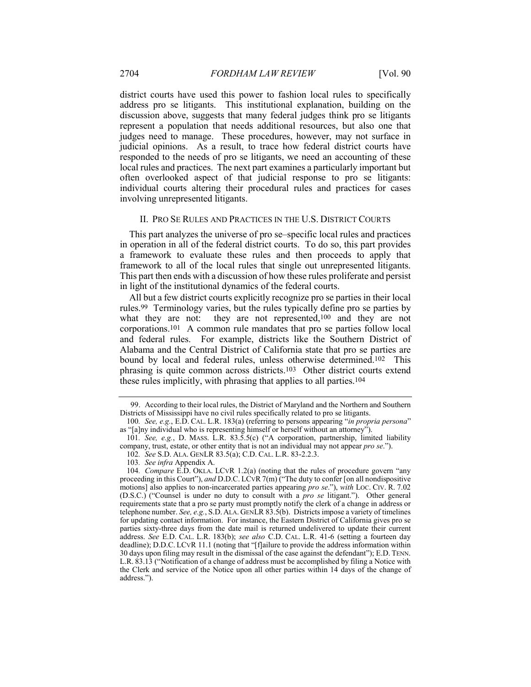district courts have used this power to fashion local rules to specifically address pro se litigants. This institutional explanation, building on the discussion above, suggests that many federal judges think pro se litigants represent a population that needs additional resources, but also one that judges need to manage. These procedures, however, may not surface in judicial opinions. As a result, to trace how federal district courts have responded to the needs of pro se litigants, we need an accounting of these local rules and practices. The next part examines a particularly important but often overlooked aspect of that judicial response to pro se litigants: individual courts altering their procedural rules and practices for cases involving unrepresented litigants.

## II. PRO SE RULES AND PRACTICES IN THE U.S. DISTRICT COURTS

This part analyzes the universe of pro se–specific local rules and practices in operation in all of the federal district courts. To do so, this part provides a framework to evaluate these rules and then proceeds to apply that framework to all of the local rules that single out unrepresented litigants. This part then ends with a discussion of how these rules proliferate and persist in light of the institutional dynamics of the federal courts.

All but a few district courts explicitly recognize pro se parties in their local rules.99 Terminology varies, but the rules typically define pro se parties by what they are not: they are not represented,<sup>100</sup> and they are not corporations.101 A common rule mandates that pro se parties follow local and federal rules. For example, districts like the Southern District of Alabama and the Central District of California state that pro se parties are bound by local and federal rules, unless otherwise determined.102 This phrasing is quite common across districts.103 Other district courts extend these rules implicitly, with phrasing that applies to all parties.104

<sup>99.</sup> According to their local rules, the District of Maryland and the Northern and Southern Districts of Mississippi have no civil rules specifically related to pro se litigants.

<sup>100</sup>*. See, e.g.*, E.D. CAL. L.R. 183(a) (referring to persons appearing "*in propria persona*" as "[a]ny individual who is representing himself or herself without an attorney").

<sup>101</sup>*. See, e.g.*, D. MASS. L.R. 83.5.5(c) ("A corporation, partnership, limited liability company, trust, estate, or other entity that is not an individual may not appear *pro se*.").

<sup>102</sup>*. See* S.D. ALA. GENLR 83.5(a); C.D. CAL. L.R. 83-2.2.3.

<sup>103</sup>*. See infra* Appendix A.

<sup>104</sup>*. Compare* E.D. OKLA. LCVR 1.2(a) (noting that the rules of procedure govern "any proceeding in this Court"), *and* D.D.C. LCVR 7(m) ("The duty to confer [on all nondispositive motions] also applies to non-incarcerated parties appearing *pro se*."), *with* LOC. CIV. R. 7.02 (D.S.C.) ("Counsel is under no duty to consult with a *pro se* litigant."). Other general requirements state that a pro se party must promptly notify the clerk of a change in address or telephone number. *See, e.g.*, S.D. ALA. GENLR 83.5(b). Districts impose a variety of timelines for updating contact information. For instance, the Eastern District of California gives pro se parties sixty-three days from the date mail is returned undelivered to update their current address. *See* E.D. CAL. L.R. 183(b); *see also* C.D. CAL. L.R. 41-6 (setting a fourteen day deadline); D.D.C. LCVR 11.1 (noting that "[f]ailure to provide the address information within 30 days upon filing may result in the dismissal of the case against the defendant"); E.D. TENN. L.R. 83.13 ("Notification of a change of address must be accomplished by filing a Notice with the Clerk and service of the Notice upon all other parties within 14 days of the change of address.").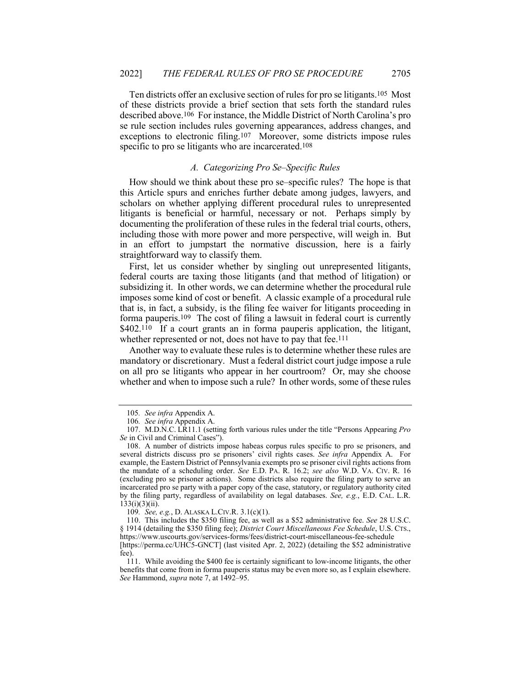Ten districts offer an exclusive section of rules for pro se litigants.105 Most of these districts provide a brief section that sets forth the standard rules described above.106 For instance, the Middle District of North Carolina's pro se rule section includes rules governing appearances, address changes, and exceptions to electronic filing.107 Moreover, some districts impose rules specific to pro se litigants who are incarcerated.<sup>108</sup>

## *A. Categorizing Pro Se–Specific Rules*

How should we think about these pro se–specific rules? The hope is that this Article spurs and enriches further debate among judges, lawyers, and scholars on whether applying different procedural rules to unrepresented litigants is beneficial or harmful, necessary or not. Perhaps simply by documenting the proliferation of these rules in the federal trial courts, others, including those with more power and more perspective, will weigh in. But in an effort to jumpstart the normative discussion, here is a fairly straightforward way to classify them.

First, let us consider whether by singling out unrepresented litigants, federal courts are taxing those litigants (and that method of litigation) or subsidizing it. In other words, we can determine whether the procedural rule imposes some kind of cost or benefit. A classic example of a procedural rule that is, in fact, a subsidy, is the filing fee waiver for litigants proceeding in forma pauperis.109 The cost of filing a lawsuit in federal court is currently \$402.<sup>110</sup> If a court grants an in forma pauperis application, the litigant, whether represented or not, does not have to pay that fee.<sup>111</sup>

Another way to evaluate these rules is to determine whether these rules are mandatory or discretionary. Must a federal district court judge impose a rule on all pro se litigants who appear in her courtroom? Or, may she choose whether and when to impose such a rule? In other words, some of these rules

<sup>105</sup>*. See infra* Appendix A.

<sup>106</sup>*. See infra* Appendix A.

<sup>107.</sup> M.D.N.C. LR11.1 (setting forth various rules under the title "Persons Appearing *Pro Se* in Civil and Criminal Cases").

<sup>108.</sup> A number of districts impose habeas corpus rules specific to pro se prisoners, and several districts discuss pro se prisoners' civil rights cases. *See infra* Appendix A. For example, the Eastern District of Pennsylvania exempts pro se prisoner civil rights actions from the mandate of a scheduling order. *See* E.D. PA. R. 16.2; *see also* W.D. VA. CIV. R. 16 (excluding pro se prisoner actions). Some districts also require the filing party to serve an incarcerated pro se party with a paper copy of the case, statutory, or regulatory authority cited by the filing party, regardless of availability on legal databases. *See, e.g.*, E.D. CAL. L.R.  $133(i)(3)(ii)$ .

<sup>109</sup>*. See, e.g.*, D. ALASKA L.CIV.R. 3.1(c)(1).

<sup>110.</sup> This includes the \$350 filing fee, as well as a \$52 administrative fee. *See* 28 U.S.C. § 1914 (detailing the \$350 filing fee); *District Court Miscellaneous Fee Schedule*, U.S. CTS., https://www.uscourts.gov/services-forms/fees/district-court-miscellaneous-fee-schedule [https://perma.cc/UHC5-GNCT] (last visited Apr. 2, 2022) (detailing the \$52 administrative

fee).

<sup>111.</sup> While avoiding the \$400 fee is certainly significant to low-income litigants, the other benefits that come from in forma pauperis status may be even more so, as I explain elsewhere. *See* Hammond, *supra* note 7, at 1492–95.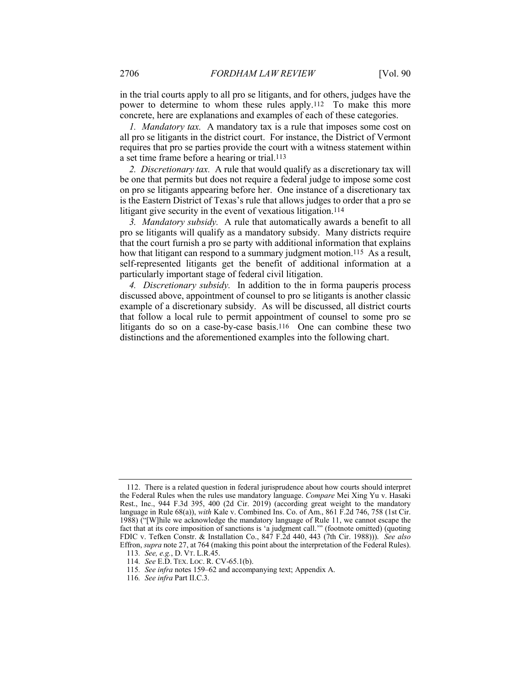in the trial courts apply to all pro se litigants, and for others, judges have the power to determine to whom these rules apply.112 To make this more concrete, here are explanations and examples of each of these categories.

*1. Mandatory tax.* A mandatory tax is a rule that imposes some cost on all pro se litigants in the district court. For instance, the District of Vermont requires that pro se parties provide the court with a witness statement within a set time frame before a hearing or trial.113

*2. Discretionary tax.* A rule that would qualify as a discretionary tax will be one that permits but does not require a federal judge to impose some cost on pro se litigants appearing before her. One instance of a discretionary tax is the Eastern District of Texas's rule that allows judges to order that a pro se litigant give security in the event of vexatious litigation.<sup>114</sup>

*3. Mandatory subsidy.* A rule that automatically awards a benefit to all pro se litigants will qualify as a mandatory subsidy. Many districts require that the court furnish a pro se party with additional information that explains how that litigant can respond to a summary judgment motion.<sup>115</sup> As a result, self-represented litigants get the benefit of additional information at a particularly important stage of federal civil litigation.

*4. Discretionary subsidy.* In addition to the in forma pauperis process discussed above, appointment of counsel to pro se litigants is another classic example of a discretionary subsidy. As will be discussed, all district courts that follow a local rule to permit appointment of counsel to some pro se litigants do so on a case-by-case basis.<sup>116</sup> One can combine these two distinctions and the aforementioned examples into the following chart.

<sup>112.</sup> There is a related question in federal jurisprudence about how courts should interpret the Federal Rules when the rules use mandatory language. *Compare* Mei Xing Yu v. Hasaki Rest., Inc., 944 F.3d 395, 400 (2d Cir. 2019) (according great weight to the mandatory language in Rule 68(a)), *with* Kale v. Combined Ins. Co. of Am., 861 F.2d 746, 758 (1st Cir. 1988) ("[W]hile we acknowledge the mandatory language of Rule 11, we cannot escape the fact that at its core imposition of sanctions is 'a judgment call.'" (footnote omitted) (quoting FDIC v. Tefken Constr. & Installation Co., 847 F.2d 440, 443 (7th Cir. 1988))). *See also* Effron, *supra* note 27, at 764 (making this point about the interpretation of the Federal Rules). 113*. See, e.g.*, D. VT. L.R.45.

<sup>114</sup>*. See* E.D. TEX. LOC. R. CV-65.1(b).

<sup>115</sup>*. See infra* notes 159–62 and accompanying text; Appendix A.

<sup>116</sup>*. See infra* Part II.C.3.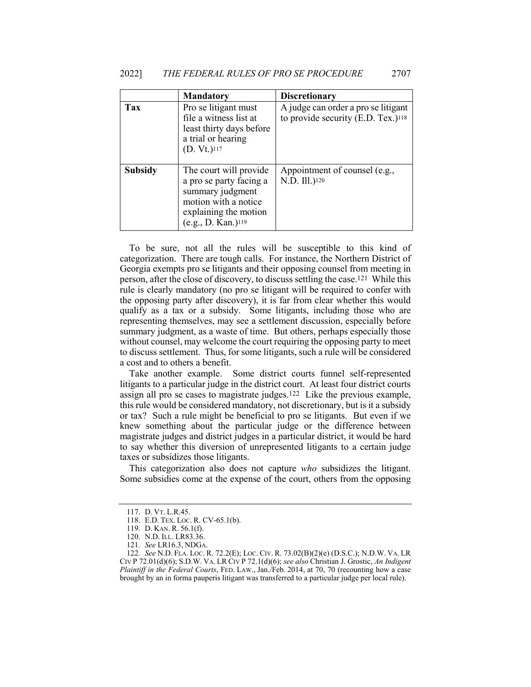|                | <b>Mandatory</b>                                                                                                                                         | <b>Discretionary</b>                                                                  |
|----------------|----------------------------------------------------------------------------------------------------------------------------------------------------------|---------------------------------------------------------------------------------------|
| Tax            | Pro se litigant must<br>file a witness list at<br>least thirty days before<br>a trial or hearing<br>(D. Vt.) <sup>117</sup>                              | A judge can order a pro se litigant<br>to provide security (E.D. Tex.) <sup>118</sup> |
| <b>Subsidy</b> | The court will provide<br>a pro se party facing a<br>summary judgment<br>motion with a notice<br>explaining the motion<br>(e.g., D. Kan.) <sup>119</sup> | Appointment of counsel (e.g.,<br>N.D. Ill.)120                                        |

To be sure, not all the rules will be susceptible to this kind of categorization. There are tough calls. For instance, the Northern District of Georgia exempts pro se litigants and their opposing counsel from meeting in person, after the close of discovery, to discuss settling the case.121 While this rule is clearly mandatory (no pro se litigant will be required to confer with the opposing party after discovery), it is far from clear whether this would qualify as a tax or a subsidy. Some litigants, including those who are representing themselves, may see a settlement discussion, especially before summary judgment, as a waste of time. But others, perhaps especially those without counsel, may welcome the court requiring the opposing party to meet to discuss settlement. Thus, for some litigants, such a rule will be considered a cost and to others a benefit.

Take another example. Some district courts funnel self-represented litigants to a particular judge in the district court. At least four district courts assign all pro se cases to magistrate judges.122 Like the previous example, this rule would be considered mandatory, not discretionary, but is it a subsidy or tax? Such a rule might be beneficial to pro se litigants. But even if we knew something about the particular judge or the difference between magistrate judges and district judges in a particular district, it would be hard to say whether this diversion of unrepresented litigants to a certain judge taxes or subsidizes those litigants.

This categorization also does not capture *who* subsidizes the litigant. Some subsidies come at the expense of the court, others from the opposing

<sup>117.</sup> D. VT. L.R.45.

<sup>118.</sup> E.D. TEX. LOC. R. CV-65.1(b).

<sup>119.</sup> D. KAN. R. 56.1(f).

<sup>120.</sup> N.D. ILL. LR83.36.

<sup>121</sup>*. See* LR16.3, NDGA.

<sup>122</sup>*. See* N.D. FLA. LOC. R. 72.2(E); LOC. CIV. R. 73.02(B)(2)(e) (D.S.C.); N.D.W. VA. LR CIV P 72.01(d)(6); S.D.W. VA. LR CIV P 72.1(d)(6); *see also* Christian J. Grostic, *An Indigent Plaintiff in the Federal Courts*, FED. LAW., Jan./Feb. 2014, at 70, 70 (recounting how a case brought by an in forma pauperis litigant was transferred to a particular judge per local rule).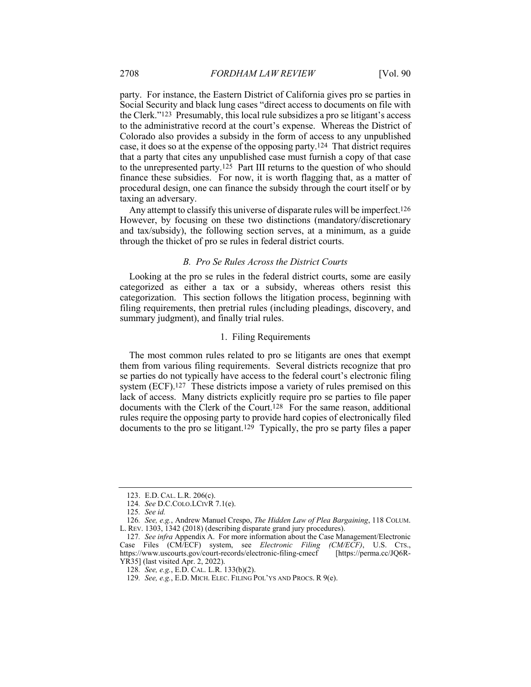party. For instance, the Eastern District of California gives pro se parties in Social Security and black lung cases "direct access to documents on file with the Clerk."123 Presumably, this local rule subsidizes a pro se litigant's access to the administrative record at the court's expense. Whereas the District of Colorado also provides a subsidy in the form of access to any unpublished case, it does so at the expense of the opposing party.124 That district requires that a party that cites any unpublished case must furnish a copy of that case to the unrepresented party.125 Part III returns to the question of who should finance these subsidies. For now, it is worth flagging that, as a matter of procedural design, one can finance the subsidy through the court itself or by taxing an adversary.

Any attempt to classify this universe of disparate rules will be imperfect.<sup>126</sup> However, by focusing on these two distinctions (mandatory/discretionary and tax/subsidy), the following section serves, at a minimum, as a guide through the thicket of pro se rules in federal district courts.

## *B. Pro Se Rules Across the District Courts*

Looking at the pro se rules in the federal district courts, some are easily categorized as either a tax or a subsidy, whereas others resist this categorization. This section follows the litigation process, beginning with filing requirements, then pretrial rules (including pleadings, discovery, and summary judgment), and finally trial rules.

## 1. Filing Requirements

The most common rules related to pro se litigants are ones that exempt them from various filing requirements. Several districts recognize that pro se parties do not typically have access to the federal court's electronic filing system (ECF).<sup>127</sup> These districts impose a variety of rules premised on this lack of access. Many districts explicitly require pro se parties to file paper documents with the Clerk of the Court.128 For the same reason, additional rules require the opposing party to provide hard copies of electronically filed documents to the pro se litigant.129 Typically, the pro se party files a paper

<sup>123.</sup> E.D. CAL. L.R. 206(c).

<sup>124</sup>*. See* D.C.COLO.LCIVR 7.1(e).

<sup>125</sup>*. See id.*

<sup>126</sup>*. See, e.g.*, Andrew Manuel Crespo, *The Hidden Law of Plea Bargaining*, 118 COLUM. L. REV. 1303, 1342 (2018) (describing disparate grand jury procedures).

<sup>127</sup>*. See infra* Appendix A. For more information about the Case Management/Electronic Case Files (CM/ECF) system, see *Electronic Filing (CM/ECF)*, U.S. CTS., https://www.uscourts.gov/court-records/electronic-filing-cmecf YR35] (last visited Apr. 2, 2022).

<sup>128</sup>*. See, e.g.*, E.D. CAL. L.R. 133(b)(2).

<sup>129</sup>*. See, e.g.*, E.D. MICH. ELEC. FILING POL'YS AND PROCS. R 9(e).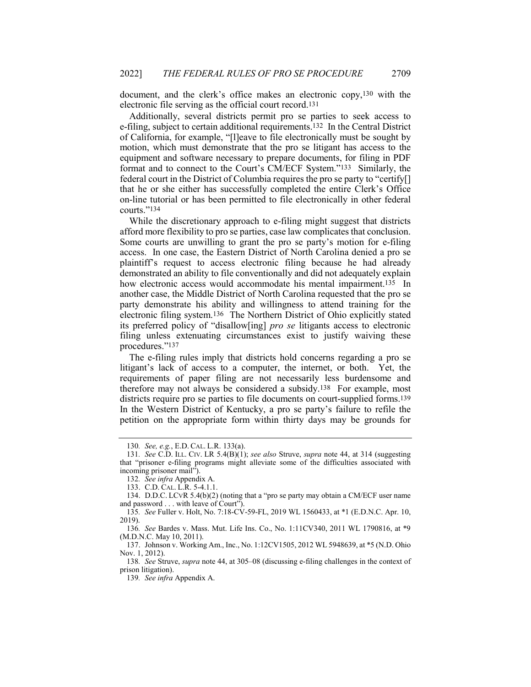document, and the clerk's office makes an electronic copy,130 with the electronic file serving as the official court record.131

Additionally, several districts permit pro se parties to seek access to e-filing, subject to certain additional requirements.132 In the Central District of California, for example, "[l]eave to file electronically must be sought by motion, which must demonstrate that the pro se litigant has access to the equipment and software necessary to prepare documents, for filing in PDF format and to connect to the Court's CM/ECF System."133 Similarly, the federal court in the District of Columbia requires the pro se party to "certify[] that he or she either has successfully completed the entire Clerk's Office on-line tutorial or has been permitted to file electronically in other federal courts."134

While the discretionary approach to e-filing might suggest that districts afford more flexibility to pro se parties, case law complicates that conclusion. Some courts are unwilling to grant the pro se party's motion for e-filing access. In one case, the Eastern District of North Carolina denied a pro se plaintiff's request to access electronic filing because he had already demonstrated an ability to file conventionally and did not adequately explain how electronic access would accommodate his mental impairment.<sup>135</sup> In another case, the Middle District of North Carolina requested that the pro se party demonstrate his ability and willingness to attend training for the electronic filing system.136 The Northern District of Ohio explicitly stated its preferred policy of "disallow[ing] *pro se* litigants access to electronic filing unless extenuating circumstances exist to justify waiving these procedures."137

The e-filing rules imply that districts hold concerns regarding a pro se litigant's lack of access to a computer, the internet, or both. Yet, the requirements of paper filing are not necessarily less burdensome and therefore may not always be considered a subsidy.138 For example, most districts require pro se parties to file documents on court-supplied forms.<sup>139</sup> In the Western District of Kentucky, a pro se party's failure to refile the petition on the appropriate form within thirty days may be grounds for

138*. See* Struve, *supra* note 44, at 305–08 (discussing e-filing challenges in the context of prison litigation).

<sup>130</sup>*. See, e.g.*, E.D. CAL. L.R. 133(a).

<sup>131</sup>*. See* C.D. ILL. CIV. LR 5.4(B)(1); *see also* Struve, *supra* note 44, at 314 (suggesting that "prisoner e-filing programs might alleviate some of the difficulties associated with incoming prisoner mail").

<sup>132</sup>*. See infra* Appendix A.

<sup>133.</sup> C.D. CAL. L.R. 5-4.1.1.

<sup>134.</sup> D.D.C. LCVR 5.4(b)(2) (noting that a "pro se party may obtain a CM/ECF user name and password . . . with leave of Court").

<sup>135</sup>*. See* Fuller v. Holt, No. 7:18-CV-59-FL, 2019 WL 1560433, at \*1 (E.D.N.C. Apr. 10, 2019).

<sup>136</sup>*. See* Bardes v. Mass. Mut. Life Ins. Co., No. 1:11CV340, 2011 WL 1790816, at \*9 (M.D.N.C. May 10, 2011).

<sup>137.</sup> Johnson v. Working Am., Inc., No. 1:12CV1505, 2012 WL 5948639, at \*5 (N.D. Ohio Nov. 1, 2012).

<sup>139</sup>*. See infra* Appendix A.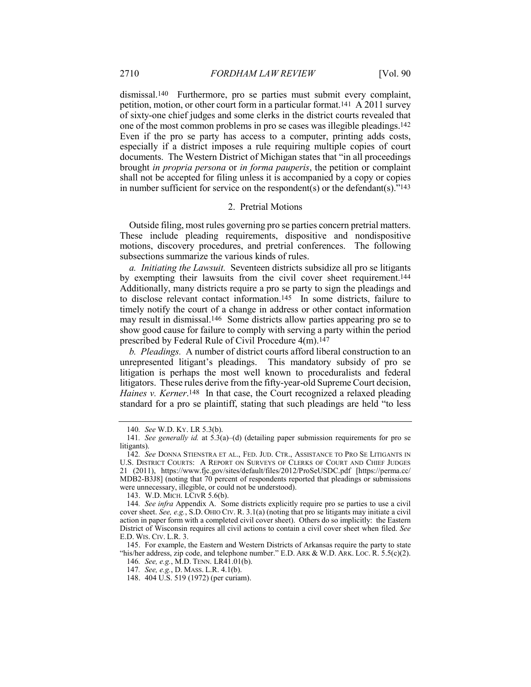dismissal.140 Furthermore, pro se parties must submit every complaint, petition, motion, or other court form in a particular format.141 A 2011 survey of sixty-one chief judges and some clerks in the district courts revealed that one of the most common problems in pro se cases was illegible pleadings.142 Even if the pro se party has access to a computer, printing adds costs, especially if a district imposes a rule requiring multiple copies of court documents. The Western District of Michigan states that "in all proceedings brought *in propria persona* or *in forma pauperis*, the petition or complaint shall not be accepted for filing unless it is accompanied by a copy or copies in number sufficient for service on the respondent(s) or the defendant(s)." $143$ 

## 2. Pretrial Motions

Outside filing, most rules governing pro se parties concern pretrial matters. These include pleading requirements, dispositive and nondispositive motions, discovery procedures, and pretrial conferences. The following subsections summarize the various kinds of rules.

*a. Initiating the Lawsuit.* Seventeen districts subsidize all pro se litigants by exempting their lawsuits from the civil cover sheet requirement.144 Additionally, many districts require a pro se party to sign the pleadings and to disclose relevant contact information.145 In some districts, failure to timely notify the court of a change in address or other contact information may result in dismissal.146 Some districts allow parties appearing pro se to show good cause for failure to comply with serving a party within the period prescribed by Federal Rule of Civil Procedure 4(m).147

*b. Pleadings.* A number of district courts afford liberal construction to an unrepresented litigant's pleadings. This mandatory subsidy of pro se litigation is perhaps the most well known to proceduralists and federal litigators. These rules derive from the fifty-year-old Supreme Court decision, *Haines v. Kerner*<sup>148</sup> In that case, the Court recognized a relaxed pleading standard for a pro se plaintiff, stating that such pleadings are held "to less

<sup>140</sup>*. See* W.D. KY. LR 5.3(b).

<sup>141</sup>*. See generally id.* at 5.3(a)–(d) (detailing paper submission requirements for pro se litigants).

<sup>142</sup>*. See* DONNA STIENSTRA ET AL., FED. JUD. CTR., ASSISTANCE TO PRO SE LITIGANTS IN U.S. DISTRICT COURTS: A REPORT ON SURVEYS OF CLERKS OF COURT AND CHIEF JUDGES 21 (2011), https://www.fjc.gov/sites/default/files/2012/ProSeUSDC.pdf [https://perma.cc/ MDB2-B3J8] (noting that 70 percent of respondents reported that pleadings or submissions were unnecessary, illegible, or could not be understood).

<sup>143.</sup> W.D. MICH. LCIVR 5.6(b).

<sup>144</sup>*. See infra* Appendix A. Some districts explicitly require pro se parties to use a civil cover sheet. *See, e.g.*, S.D. OHIO CIV. R. 3.1(a) (noting that pro se litigants may initiate a civil action in paper form with a completed civil cover sheet). Others do so implicitly: the Eastern District of Wisconsin requires all civil actions to contain a civil cover sheet when filed. *See* E.D. WIS. CIV. L.R. 3.

<sup>145.</sup> For example, the Eastern and Western Districts of Arkansas require the party to state "his/her address, zip code, and telephone number." E.D. ARK & W.D. ARK. Loc. R.  $\overline{5.5(c)(2)}$ .

<sup>146</sup>*. See, e.g.*, M.D. TENN. LR41.01(b).

<sup>147</sup>*. See, e.g.*, D. MASS. L.R. 4.1(b).

<sup>148.</sup> 404 U.S. 519 (1972) (per curiam).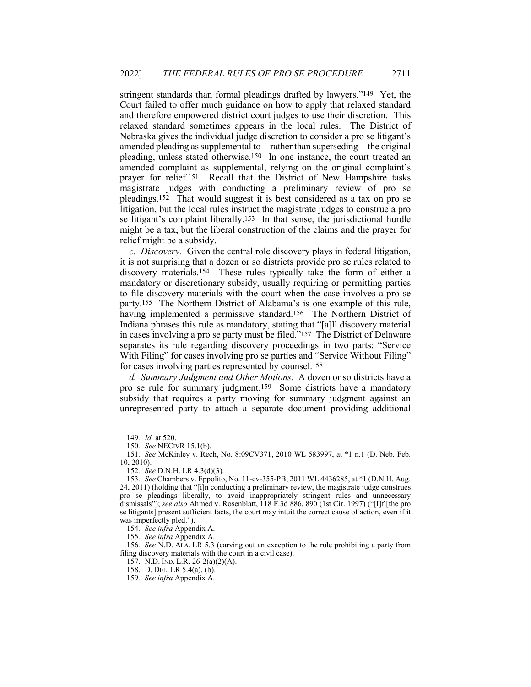stringent standards than formal pleadings drafted by lawyers."149 Yet, the Court failed to offer much guidance on how to apply that relaxed standard and therefore empowered district court judges to use their discretion. This relaxed standard sometimes appears in the local rules. The District of Nebraska gives the individual judge discretion to consider a pro se litigant's amended pleading as supplemental to—rather than superseding—the original pleading, unless stated otherwise.150 In one instance, the court treated an amended complaint as supplemental, relying on the original complaint's prayer for relief.151 Recall that the District of New Hampshire tasks magistrate judges with conducting a preliminary review of pro se pleadings.152 That would suggest it is best considered as a tax on pro se litigation, but the local rules instruct the magistrate judges to construe a pro se litigant's complaint liberally.153 In that sense, the jurisdictional hurdle might be a tax, but the liberal construction of the claims and the prayer for relief might be a subsidy.

*c. Discovery.* Given the central role discovery plays in federal litigation, it is not surprising that a dozen or so districts provide pro se rules related to discovery materials.154 These rules typically take the form of either a mandatory or discretionary subsidy, usually requiring or permitting parties to file discovery materials with the court when the case involves a pro se party.155 The Northern District of Alabama's is one example of this rule, having implemented a permissive standard.156 The Northern District of Indiana phrases this rule as mandatory, stating that "[a]ll discovery material in cases involving a pro se party must be filed."157 The District of Delaware separates its rule regarding discovery proceedings in two parts: "Service With Filing" for cases involving pro se parties and "Service Without Filing" for cases involving parties represented by counsel.158

*d. Summary Judgment and Other Motions.* A dozen or so districts have a pro se rule for summary judgment.159 Some districts have a mandatory subsidy that requires a party moving for summary judgment against an unrepresented party to attach a separate document providing additional

<sup>149</sup>*. Id.* at 520.

<sup>150</sup>*. See* NECIVR 15.1(b).

<sup>151</sup>*. See* McKinley v. Rech, No. 8:09CV371, 2010 WL 583997, at \*1 n.1 (D. Neb. Feb. 10, 2010).

<sup>152</sup>*. See* D.N.H. LR 4.3(d)(3).

<sup>153</sup>*. See* Chambers v. Eppolito, No. 11-cv-355-PB, 2011 WL 4436285, at \*1 (D.N.H. Aug. 24, 2011) (holding that "[i]n conducting a preliminary review, the magistrate judge construes pro se pleadings liberally, to avoid inappropriately stringent rules and unnecessary dismissals"); *see also* Ahmed v. Rosenblatt, 118 F.3d 886, 890 (1st Cir. 1997) ("[I]f [the pro se litigants] present sufficient facts, the court may intuit the correct cause of action, even if it was imperfectly pled.").

<sup>154</sup>*. See infra* Appendix A.

<sup>155</sup>*. See infra* Appendix A.

<sup>156</sup>*. See* N.D. ALA. LR 5.3 (carving out an exception to the rule prohibiting a party from filing discovery materials with the court in a civil case).

<sup>157.</sup> N.D. IND. L.R. 26-2(a)(2)(A).

<sup>158.</sup> D. DEL. LR 5.4(a), (b).

<sup>159</sup>*. See infra* Appendix A.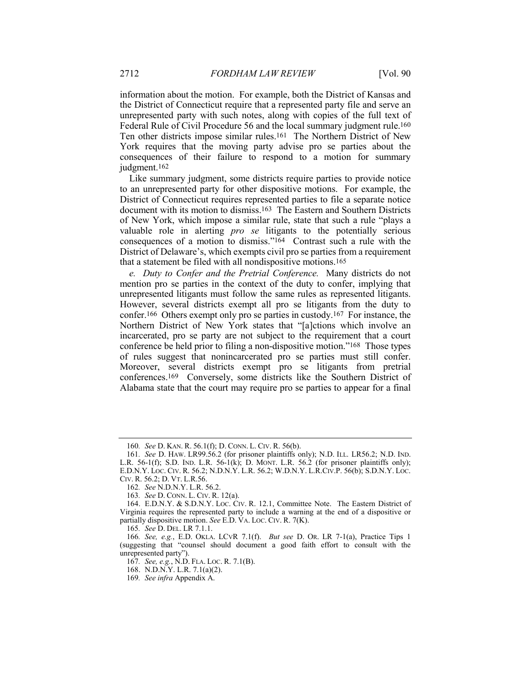information about the motion. For example, both the District of Kansas and the District of Connecticut require that a represented party file and serve an unrepresented party with such notes, along with copies of the full text of Federal Rule of Civil Procedure 56 and the local summary judgment rule.<sup>160</sup> Ten other districts impose similar rules.161 The Northern District of New York requires that the moving party advise pro se parties about the consequences of their failure to respond to a motion for summary judgment.162

Like summary judgment, some districts require parties to provide notice to an unrepresented party for other dispositive motions. For example, the District of Connecticut requires represented parties to file a separate notice document with its motion to dismiss.163 The Eastern and Southern Districts of New York, which impose a similar rule, state that such a rule "plays a valuable role in alerting *pro se* litigants to the potentially serious consequences of a motion to dismiss."164 Contrast such a rule with the District of Delaware's, which exempts civil pro se parties from a requirement that a statement be filed with all nondispositive motions.165

*e. Duty to Confer and the Pretrial Conference.* Many districts do not mention pro se parties in the context of the duty to confer, implying that unrepresented litigants must follow the same rules as represented litigants. However, several districts exempt all pro se litigants from the duty to confer.166 Others exempt only pro se parties in custody.167 For instance, the Northern District of New York states that "[a]ctions which involve an incarcerated, pro se party are not subject to the requirement that a court conference be held prior to filing a non-dispositive motion."168 Those types of rules suggest that nonincarcerated pro se parties must still confer. Moreover, several districts exempt pro se litigants from pretrial conferences.169 Conversely, some districts like the Southern District of Alabama state that the court may require pro se parties to appear for a final

<sup>160</sup>*. See* D. KAN. R. 56.1(f); D. CONN. L. CIV. R. 56(b).

<sup>161</sup>*. See* D. HAW. LR99.56.2 (for prisoner plaintiffs only); N.D. ILL. LR56.2; N.D. IND. L.R. 56-1(f); S.D. IND. L.R. 56-1(k); D. MONT. L.R. 56.2 (for prisoner plaintiffs only); E.D.N.Y. LOC. CIV. R. 56.2; N.D.N.Y. L.R. 56.2; W.D.N.Y. L.R.CIV.P. 56(b); S.D.N.Y. LOC. CIV. R. 56.2; D. VT. L.R.56.

<sup>162</sup>*. See* N.D.N.Y. L.R. 56.2.

<sup>163</sup>*. See* D. CONN. L. CIV. R. 12(a).

<sup>164.</sup> E.D.N.Y. & S.D.N.Y. LOC. CIV. R. 12.1, Committee Note. The Eastern District of Virginia requires the represented party to include a warning at the end of a dispositive or partially dispositive motion. *See* E.D. VA. LOC. CIV. R. 7(K).

<sup>165</sup>*. See* D. DEL. LR 7.1.1.

<sup>166</sup>*. See, e.g.*, E.D. OKLA. LCVR 7.1(f). *But see* D. OR. LR 7-1(a), Practice Tips 1 (suggesting that "counsel should document a good faith effort to consult with the unrepresented party").

<sup>167</sup>*. See, e.g.*, N.D. FLA. LOC. R. 7.1(B).

<sup>168.</sup> N.D.N.Y. L.R. 7.1(a)(2).

<sup>169</sup>*. See infra* Appendix A.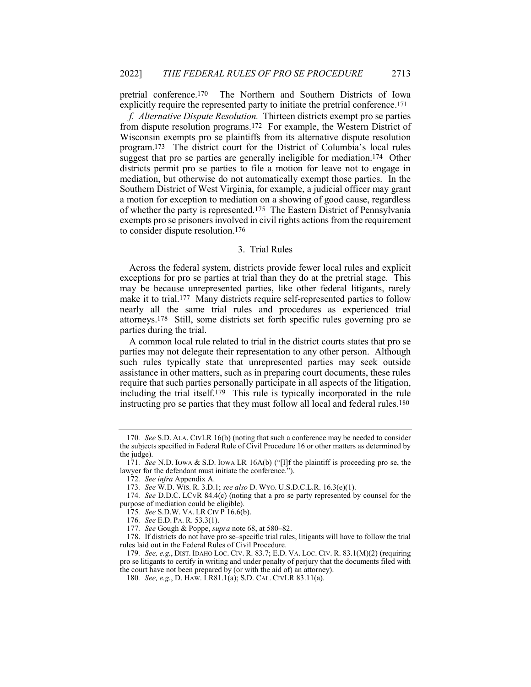pretrial conference.170 The Northern and Southern Districts of Iowa explicitly require the represented party to initiate the pretrial conference.171

*f. Alternative Dispute Resolution.* Thirteen districts exempt pro se parties from dispute resolution programs.172 For example, the Western District of Wisconsin exempts pro se plaintiffs from its alternative dispute resolution program.173 The district court for the District of Columbia's local rules suggest that pro se parties are generally ineligible for mediation.<sup>174</sup> Other districts permit pro se parties to file a motion for leave not to engage in mediation, but otherwise do not automatically exempt those parties. In the Southern District of West Virginia, for example, a judicial officer may grant a motion for exception to mediation on a showing of good cause, regardless of whether the party is represented.175 The Eastern District of Pennsylvania exempts pro se prisoners involved in civil rights actions from the requirement to consider dispute resolution.176

#### 3. Trial Rules

Across the federal system, districts provide fewer local rules and explicit exceptions for pro se parties at trial than they do at the pretrial stage. This may be because unrepresented parties, like other federal litigants, rarely make it to trial.177 Many districts require self-represented parties to follow nearly all the same trial rules and procedures as experienced trial attorneys.178 Still, some districts set forth specific rules governing pro se parties during the trial.

A common local rule related to trial in the district courts states that pro se parties may not delegate their representation to any other person. Although such rules typically state that unrepresented parties may seek outside assistance in other matters, such as in preparing court documents, these rules require that such parties personally participate in all aspects of the litigation, including the trial itself.179 This rule is typically incorporated in the rule instructing pro se parties that they must follow all local and federal rules.180

<sup>170</sup>*. See* S.D. ALA. CIVLR 16(b) (noting that such a conference may be needed to consider the subjects specified in Federal Rule of Civil Procedure 16 or other matters as determined by the judge).

<sup>171</sup>*. See* N.D. IOWA & S.D. IOWA LR 16A(b) ("[I]f the plaintiff is proceeding pro se, the lawyer for the defendant must initiate the conference.").

<sup>172</sup>*. See infra* Appendix A.

<sup>173</sup>*. See* W.D. WIS. R. 3.D.1; *see also* D. WYO. U.S.D.C.L.R. 16.3(e)(1).

<sup>174</sup>*. See* D.D.C. LCVR 84.4(c) (noting that a pro se party represented by counsel for the purpose of mediation could be eligible).

<sup>175</sup>*. See* S.D.W. VA. LR CIV P 16.6(b).

<sup>176</sup>*. See* E.D. PA. R. 53.3(1).

<sup>177</sup>*. See* Gough & Poppe, *supra* note 68, at 580–82.

<sup>178.</sup> If districts do not have pro se–specific trial rules, litigants will have to follow the trial rules laid out in the Federal Rules of Civil Procedure.

<sup>179</sup>*. See, e.g.*, DIST. IDAHO LOC. CIV. R. 83.7; E.D. VA. LOC. CIV. R. 83.1(M)(2) (requiring pro se litigants to certify in writing and under penalty of perjury that the documents filed with the court have not been prepared by (or with the aid of) an attorney).

<sup>180</sup>*. See, e.g.*, D. HAW. LR81.1(a); S.D. CAL. CIVLR 83.11(a).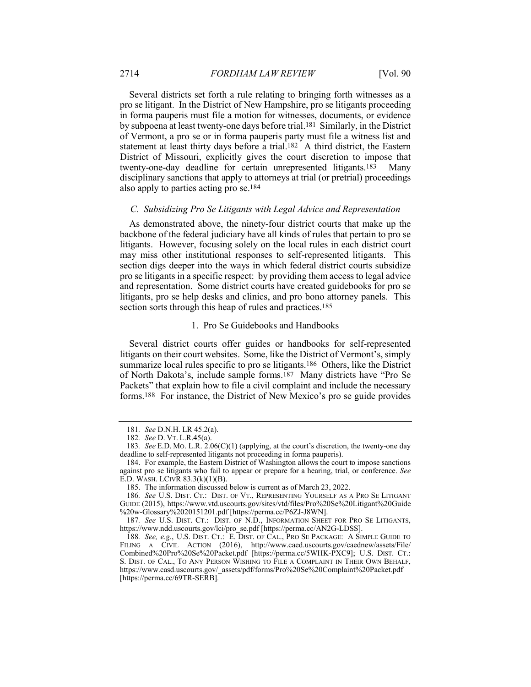Several districts set forth a rule relating to bringing forth witnesses as a pro se litigant. In the District of New Hampshire, pro se litigants proceeding in forma pauperis must file a motion for witnesses, documents, or evidence by subpoena at least twenty-one days before trial.181 Similarly, in the District of Vermont, a pro se or in forma pauperis party must file a witness list and statement at least thirty days before a trial.182 A third district, the Eastern District of Missouri, explicitly gives the court discretion to impose that twenty-one-day deadline for certain unrepresented litigants.183 Many disciplinary sanctions that apply to attorneys at trial (or pretrial) proceedings also apply to parties acting pro se.184

## *C. Subsidizing Pro Se Litigants with Legal Advice and Representation*

As demonstrated above, the ninety-four district courts that make up the backbone of the federal judiciary have all kinds of rules that pertain to pro se litigants. However, focusing solely on the local rules in each district court may miss other institutional responses to self-represented litigants. This section digs deeper into the ways in which federal district courts subsidize pro se litigants in a specific respect: by providing them access to legal advice and representation. Some district courts have created guidebooks for pro se litigants, pro se help desks and clinics, and pro bono attorney panels. This section sorts through this heap of rules and practices.<sup>185</sup>

#### 1. Pro Se Guidebooks and Handbooks

Several district courts offer guides or handbooks for self-represented litigants on their court websites. Some, like the District of Vermont's, simply summarize local rules specific to pro se litigants.186 Others, like the District of North Dakota's, include sample forms.187 Many districts have "Pro Se Packets" that explain how to file a civil complaint and include the necessary forms.188 For instance, the District of New Mexico's pro se guide provides

<sup>181</sup>*. See* D.N.H. LR 45.2(a).

<sup>182</sup>*. See* D. VT. L.R.45(a).

<sup>183</sup>*. See* E.D. MO. L.R. 2.06(C)(1) (applying, at the court's discretion, the twenty-one day deadline to self-represented litigants not proceeding in forma pauperis).

<sup>184.</sup> For example, the Eastern District of Washington allows the court to impose sanctions against pro se litigants who fail to appear or prepare for a hearing, trial, or conference. *See* E.D. WASH. LCIVR 83.3(k)(1)(B).

<sup>185.</sup> The information discussed below is current as of March 23, 2022.

<sup>186</sup>*. See* U.S. DIST. CT.: DIST. OF VT., REPRESENTING YOURSELF AS A PRO SE LITIGANT GUIDE (2015), https://www.vtd.uscourts.gov/sites/vtd/files/Pro%20Se%20Litigant%20Guide %20w-Glossary%2020151201.pdf [https://perma.cc/P6ZJ-J8WN].

<sup>187</sup>*. See* U.S. DIST. CT.: DIST. OF N.D., INFORMATION SHEET FOR PRO SE LITIGANTS, https://www.ndd.uscourts.gov/lci/pro\_se.pdf [https://perma.cc/AN2G-LDSS].

<sup>188</sup>*. See, e.g.*, U.S. DIST. CT.: E. DIST. OF CAL., PRO SE PACKAGE: A SIMPLE GUIDE TO FILING A CIVIL ACTION (2016), http://www.caed.uscourts.gov/caednew/assets/File/ Combined%20Pro%20Se%20Packet.pdf [https://perma.cc/5WHK-PXC9]; U.S. DIST. CT.: S. DIST. OF CAL., TO ANY PERSON WISHING TO FILE A COMPLAINT IN THEIR OWN BEHALF, https://www.casd.uscourts.gov/\_assets/pdf/forms/Pro%20Se%20Complaint%20Packet.pdf [https://perma.cc/69TR-SERB]*.*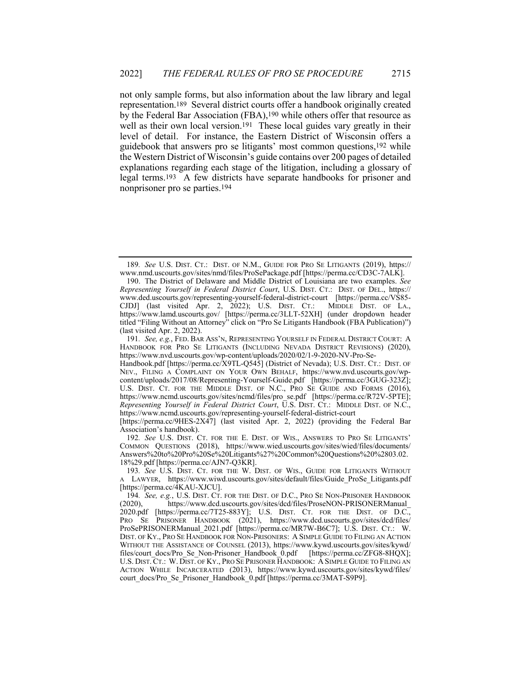not only sample forms, but also information about the law library and legal representation.189 Several district courts offer a handbook originally created by the Federal Bar Association (FBA),190 while others offer that resource as well as their own local version.<sup>191</sup> These local guides vary greatly in their level of detail. For instance, the Eastern District of Wisconsin offers a guidebook that answers pro se litigants' most common questions,192 while the Western District of Wisconsin's guide contains over 200 pages of detailed explanations regarding each stage of the litigation, including a glossary of legal terms.193 A few districts have separate handbooks for prisoner and nonprisoner pro se parties.194

191*. See, e.g.*, FED. BAR ASS'N, REPRESENTING YOURSELF IN FEDERAL DISTRICT COURT: A HANDBOOK FOR PRO SE LITIGANTS (INCLUDING NEVADA DISTRICT REVISIONS) (2020), https://www.nvd.uscourts.gov/wp-content/uploads/2020/02/1-9-2020-NV-Pro-Se-

[https://perma.cc/9HES-2X47] (last visited Apr. 2, 2022) (providing the Federal Bar Association's handbook).

192*. See* U.S. DIST. CT. FOR THE E. DIST. OF WIS., ANSWERS TO PRO SE LITIGANTS' COMMON QUESTIONS (2018), https://www.wied.uscourts.gov/sites/wied/files/documents/ Answers%20to%20Pro%20Se%20Litigants%27%20Common%20Questions%20%2803.02. 18%29.pdf [https://perma.cc/AJN7-Q3KR].

<sup>189</sup>*. See* U.S. DIST. CT.: DIST. OF N.M., GUIDE FOR PRO SE LITIGANTS (2019), https:// www.nmd.uscourts.gov/sites/nmd/files/ProSePackage.pdf [https://perma.cc/CD3C-7ALK].

<sup>190.</sup> The District of Delaware and Middle District of Louisiana are two examples. *See Representing Yourself in Federal District Court*, U.S. DIST. CT.: DIST. OF DEL., https:// www.ded.uscourts.gov/representing-yourself-federal-district-court [https://perma.cc/VS85- CJDJ] (last visited Apr. 2, 2022); U.S. DIST. CT.: MIDDLE DIST. OF LA., https://www.lamd.uscourts.gov/ [https://perma.cc/3LLT-52XH] (under dropdown header titled "Filing Without an Attorney" click on "Pro Se Litigants Handbook (FBA Publication)") (last visited Apr. 2, 2022).

Handbook.pdf [https://perma.cc/X9TL-Q545] (District of Nevada); U.S. DIST. CT.: DIST. OF NEV., FILING A COMPLAINT ON YOUR OWN BEHALF, https://www.nvd.uscourts.gov/wpcontent/uploads/2017/08/Representing-Yourself-Guide.pdf [https://perma.cc/3GUG-323Z]; U.S. DIST. CT. FOR THE MIDDLE DIST. OF N.C., PRO SE GUIDE AND FORMS (2016), https://www.ncmd.uscourts.gov/sites/ncmd/files/pro\_se.pdf [https://perma.cc/R72V-5PTE]; *Representing Yourself in Federal District Court*, U.S. DIST. CT.: MIDDLE DIST. OF N.C., https://www.ncmd.uscourts.gov/representing-yourself-federal-district-court

<sup>193</sup>*. See* U.S. DIST. CT. FOR THE W. DIST. OF WIS., GUIDE FOR LITIGANTS WITHOUT A LAWYER, https://www.wiwd.uscourts.gov/sites/default/files/Guide\_ProSe\_Litigants.pdf [https://perma.cc/4KAU-XJCU].

<sup>194</sup>*. See, e.g.*, U.S. DIST. CT. FOR THE DIST. OF D.C., PRO SE NON-PRISONER HANDBOOK (2020), https://www.dcd.uscourts.gov/sites/dcd/files/ProseNON-PRISONERManual\_ 2020.pdf [https://perma.cc/7T25-883Y]; U.S. DIST. CT. FOR THE DIST. OF D.C., PRO SE PRISONER HANDBOOK (2021), https://www.dcd.uscourts.gov/sites/dcd/files/ ProSePRISONERManual 2021.pdf [https://perma.cc/MR7W-B6C7]; U.S. DIST. CT.: W. DIST. OF KY., PRO SE HANDBOOK FOR NON-PRISONERS: A SIMPLE GUIDE TO FILING AN ACTION WITHOUT THE ASSISTANCE OF COUNSEL (2013), https://www.kywd.uscourts.gov/sites/kywd/ files/court\_docs/Pro\_Se\_Non-Prisoner\_Handbook\_0.pdf [https://perma.cc/ZFG8-8HQX]; U.S. DIST. CT.: W. DIST. OF KY., PRO SE PRISONER HANDBOOK: A SIMPLE GUIDE TO FILING AN ACTION WHILE INCARCERATED (2013), https://www.kywd.uscourts.gov/sites/kywd/files/ court docs/Pro Se Prisoner Handbook 0.pdf [https://perma.cc/3MAT-S9P9].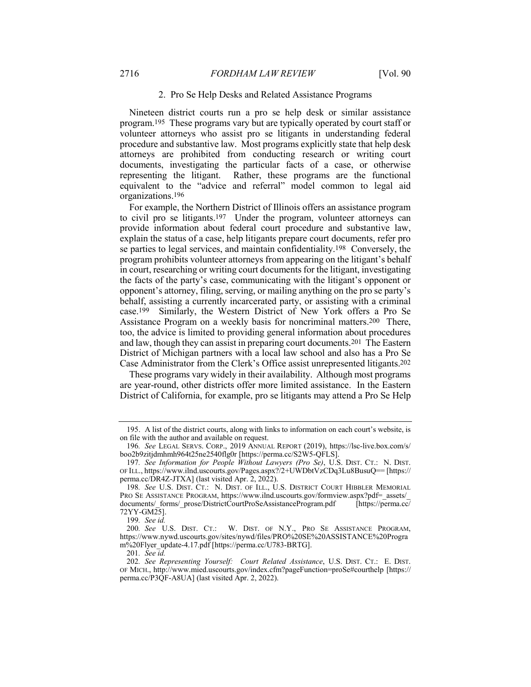## 2. Pro Se Help Desks and Related Assistance Programs

Nineteen district courts run a pro se help desk or similar assistance program.195 These programs vary but are typically operated by court staff or volunteer attorneys who assist pro se litigants in understanding federal procedure and substantive law. Most programs explicitly state that help desk attorneys are prohibited from conducting research or writing court documents, investigating the particular facts of a case, or otherwise representing the litigant. Rather, these programs are the functional equivalent to the "advice and referral" model common to legal aid organizations.196

For example, the Northern District of Illinois offers an assistance program to civil pro se litigants.197 Under the program, volunteer attorneys can provide information about federal court procedure and substantive law, explain the status of a case, help litigants prepare court documents, refer pro se parties to legal services, and maintain confidentiality.198 Conversely, the program prohibits volunteer attorneys from appearing on the litigant's behalf in court, researching or writing court documents for the litigant, investigating the facts of the party's case, communicating with the litigant's opponent or opponent's attorney, filing, serving, or mailing anything on the pro se party's behalf, assisting a currently incarcerated party, or assisting with a criminal case.199 Similarly, the Western District of New York offers a Pro Se Assistance Program on a weekly basis for noncriminal matters.200 There, too, the advice is limited to providing general information about procedures and law, though they can assist in preparing court documents.201 The Eastern District of Michigan partners with a local law school and also has a Pro Se Case Administrator from the Clerk's Office assist unrepresented litigants.202

These programs vary widely in their availability. Although most programs are year-round, other districts offer more limited assistance. In the Eastern District of California, for example, pro se litigants may attend a Pro Se Help

<sup>195.</sup> A list of the district courts, along with links to information on each court's website, is on file with the author and available on request.

<sup>196</sup>*. See* LEGAL SERVS. CORP., 2019 ANNUAL REPORT (2019), https://lsc-live.box.com/s/ boo2b9zitjdmhmh964t25ne2540flg0r [https://perma.cc/S2W5-QFLS].

<sup>197</sup>*. See Information for People Without Lawyers (Pro Se)*, U.S. DIST. CT.: N. DIST. OF ILL., https://www.ilnd.uscourts.gov/Pages.aspx?/2+UWDbtVzCDq3Lu8BusuQ== [https:// perma.cc/DR4Z-JTXA] (last visited Apr. 2, 2022).

<sup>198</sup>*. See* U.S. DIST. CT.: N. DIST. OF ILL., U.S. DISTRICT COURT HIBBLER MEMORIAL PRO SE ASSISTANCE PROGRAM, https://www.ilnd.uscourts.gov/formview.aspx?pdf=\_assets/ documents/\_forms/\_prose/DistrictCourtProSeAssistanceProgram.pdf [https://perma.cc/ 72YY-GM25].

<sup>199</sup>*. See id.*

<sup>200</sup>*. See* U.S. DIST. CT.: W. DIST. OF N.Y., PRO SE ASSISTANCE PROGRAM, https://www.nywd.uscourts.gov/sites/nywd/files/PRO%20SE%20ASSISTANCE%20Progra m%20Flyer\_update-4.17.pdf [https://perma.cc/U783-BRTG].

<sup>201</sup>*. See id.*

<sup>202</sup>*. See Representing Yourself: Court Related Assistance*, U.S. DIST. CT.: E. DIST. OF MICH., http://www.mied.uscourts.gov/index.cfm?pageFunction=proSe#courthelp [https:// perma.cc/P3QF-A8UA] (last visited Apr. 2, 2022).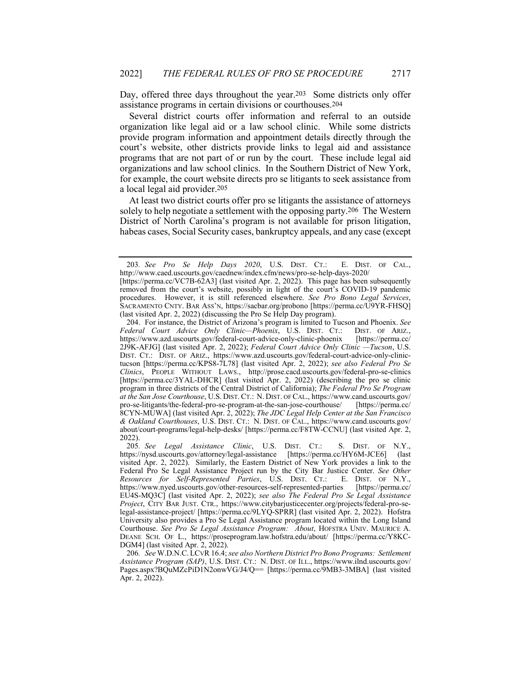Day, offered three days throughout the year.<sup>203</sup> Some districts only offer assistance programs in certain divisions or courthouses.204

Several district courts offer information and referral to an outside organization like legal aid or a law school clinic. While some districts provide program information and appointment details directly through the court's website, other districts provide links to legal aid and assistance programs that are not part of or run by the court. These include legal aid organizations and law school clinics. In the Southern District of New York, for example, the court website directs pro se litigants to seek assistance from a local legal aid provider.205

At least two district courts offer pro se litigants the assistance of attorneys solely to help negotiate a settlement with the opposing party.206 The Western District of North Carolina's program is not available for prison litigation, habeas cases, Social Security cases, bankruptcy appeals, and any case (except

<sup>203</sup>*. See Pro Se Help Days 2020*, U.S. DIST. CT.: E. DIST. OF CAL., http://www.caed.uscourts.gov/caednew/index.cfm/news/pro-se-help-days-2020/

<sup>[</sup>https://perma.cc/VC7B-62A3] (last visited Apr. 2, 2022). This page has been subsequently removed from the court's website, possibly in light of the court's COVID-19 pandemic procedures. However, it is still referenced elsewhere. *See Pro Bono Legal Services*, SACRAMENTO CNTY. BAR ASS'N, https://sacbar.org/probono [https://perma.cc/U9YR-FHSQ] (last visited Apr. 2, 2022) (discussing the Pro Se Help Day program).

<sup>204.</sup> For instance, the District of Arizona's program is limited to Tucson and Phoenix. *See Federal Court Advice Only Clinic—Phoenix*, U.S. DIST. CT.: DIST. OF ARIZ., https://www.azd.uscourts.gov/federal-court-advice-only-clinic-phoenix [https://perma.cc/ https://www.azd.uscourts.gov/federal-court-advice-only-clinic-phoenix 2J9K-AFJG] (last visited Apr. 2, 2022); *Federal Court Advice Only Clinic —Tucson*, U.S. DIST. CT.: DIST. OF ARIZ., https://www.azd.uscourts.gov/federal-court-advice-only-clinictucson [https://perma.cc/KPS8-7L78] (last visited Apr. 2, 2022); *see also Federal Pro Se Clinics*, PEOPLE WITHOUT LAWS., http://prose.cacd.uscourts.gov/federal-pro-se-clinics [https://perma.cc/3YAL-DHCR] (last visited Apr. 2, 2022) (describing the pro se clinic program in three districts of the Central District of California); *The Federal Pro Se Program at the San Jose Courthouse*, U.S. DIST. CT.: N. DIST. OF CAL., https://www.cand.uscourts.gov/ pro-se-litigants/the-federal-pro-se-program-at-the-san-jose-courthouse/ 8CYN-MUWA] (last visited Apr. 2, 2022); *The JDC Legal Help Center at the San Francisco & Oakland Courthouses*, U.S. DIST. CT.: N. DIST. OF CAL., https://www.cand.uscourts.gov/ about/court-programs/legal-help-desks/ [https://perma.cc/F8TW-CCNU] (last visited Apr. 2, 2022).

<sup>205</sup>*. See Legal Assistance Clinic*, U.S. DIST. CT.: S. DIST. OF N.Y., https://nysd.uscourts.gov/attorney/legal-assistance [https://perma.cc/HY6M-JCE6] (last visited Apr. 2, 2022). Similarly, the Eastern District of New York provides a link to the Federal Pro Se Legal Assistance Project run by the City Bar Justice Center. *See Other Resources for Self-Represented Parties*, U.S. DIST. CT.: E. DIST. OF N.Y., https://www.nyed.uscourts.gov/other-resources-self-represented-parties EU4S-MQ3C] (last visited Apr. 2, 2022); *see also The Federal Pro Se Legal Assistance Project*, CITY BAR JUST. CTR., https://www.citybarjusticecenter.org/projects/federal-pro-selegal-assistance-project/ [https://perma.cc/9LYQ-SPRR] (last visited Apr. 2, 2022). Hofstra University also provides a Pro Se Legal Assistance program located within the Long Island Courthouse. *See Pro Se Legal Assistance Program: About*, HOFSTRA UNIV. MAURICE A. DEANE SCH. OF L., https://proseprogram.law.hofstra.edu/about/ [https://perma.cc/Y8KC-DGM4] (last visited Apr. 2, 2022).

<sup>206</sup>*. See* W.D.N.C. LCVR 16.4; *see also Northern District Pro Bono Programs: Settlement Assistance Program (SAP)*, U.S. DIST. CT.: N. DIST. OF ILL., https://www.ilnd.uscourts.gov/ Pages.aspx?BQuMZcPiD1N2onwVG/J4/Q== [https://perma.cc/9MB3-3MBA] (last visited Apr. 2, 2022).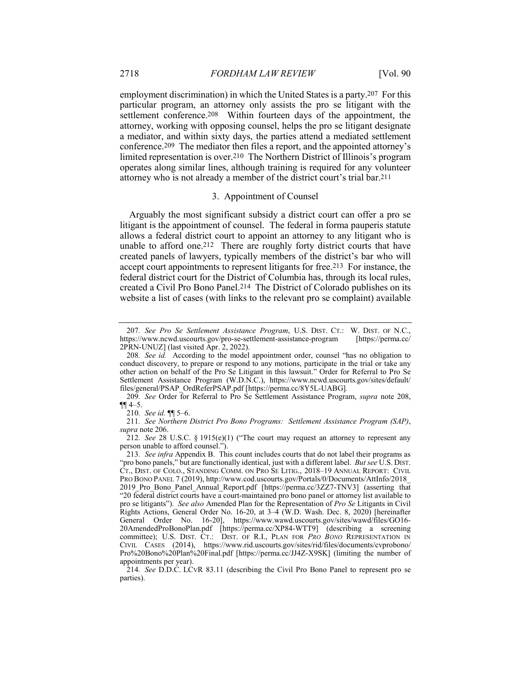employment discrimination) in which the United States is a party.207 For this particular program, an attorney only assists the pro se litigant with the settlement conference.<sup>208</sup> Within fourteen days of the appointment, the attorney, working with opposing counsel, helps the pro se litigant designate a mediator, and within sixty days, the parties attend a mediated settlement conference.209 The mediator then files a report, and the appointed attorney's limited representation is over.210 The Northern District of Illinois's program operates along similar lines, although training is required for any volunteer attorney who is not already a member of the district court's trial bar.211

#### 3. Appointment of Counsel

Arguably the most significant subsidy a district court can offer a pro se litigant is the appointment of counsel. The federal in forma pauperis statute allows a federal district court to appoint an attorney to any litigant who is unable to afford one.212 There are roughly forty district courts that have created panels of lawyers, typically members of the district's bar who will accept court appointments to represent litigants for free.213 For instance, the federal district court for the District of Columbia has, through its local rules, created a Civil Pro Bono Panel.214 The District of Colorado publishes on its website a list of cases (with links to the relevant pro se complaint) available

211*. See Northern District Pro Bono Programs: Settlement Assistance Program (SAP)*, *supra* note 206.

<sup>207</sup>*. See Pro Se Settlement Assistance Program*, U.S. DIST. CT.: W. DIST. OF N.C., https://www.ncwd.uscourts.gov/pro-se-settlement-assistance-program 2PRN-UNUZ] (last visited Apr. 2, 2022).

<sup>208</sup>*. See id.* According to the model appointment order, counsel "has no obligation to conduct discovery, to prepare or respond to any motions, participate in the trial or take any other action on behalf of the Pro Se Litigant in this lawsuit." Order for Referral to Pro Se Settlement Assistance Program (W.D.N.C.), https://www.ncwd.uscourts.gov/sites/default/ files/general/PSAP\_OrdReferPSAP.pdf [https://perma.cc/8Y5L-UABG]*.*

<sup>209</sup>*. See* Order for Referral to Pro Se Settlement Assistance Program, *supra* note 208,  $\P\P$  4–5.

<sup>210</sup>*. See id.* ¶¶ 5–6.

<sup>212</sup>*. See* 28 U.S.C. § 1915(e)(1) ("The court may request an attorney to represent any person unable to afford counsel.").

<sup>213</sup>*. See infra* Appendix B. This count includes courts that do not label their programs as "pro bono panels," but are functionally identical, just with a different label. *But see* U.S. DIST. CT., DIST. OF COLO., STANDING COMM. ON PRO SE LITIG., 2018–19 ANNUAL REPORT: CIVIL PRO BONO PANEL 7 (2019), http://www.cod.uscourts.gov/Portals/0/Documents/AttInfo/2018\_ 2019 Pro Bono Panel Annual Report.pdf [https://perma.cc/3ZZ7-TNV3] (asserting that "20 federal district courts have a court-maintained pro bono panel or attorney list available to pro se litigants"). *See also* Amended Plan for the Representation of *Pro Se* Litigants in Civil Rights Actions, General Order No. 16-20, at 3–4 (W.D. Wash. Dec. 8, 2020) [hereinafter General Order No. 16-20], https://www.wawd.uscourts.gov/sites/wawd/files/GO16- 20AmendedProBonoPlan.pdf [https://perma.cc/XP84-WTT9] (describing a screening committee); U.S. DIST. CT.: DIST. OF R.I., PLAN FOR *PRO BONO* REPRESENTATION IN CIVIL CASES (2014), https://www.rid.uscourts.gov/sites/rid/files/documents/cvprobono/ Pro%20Bono%20Plan%20Final.pdf [https://perma.cc/JJ4Z-X9SK] (limiting the number of appointments per year).

<sup>214</sup>*. See* D.D.C. LCVR 83.11 (describing the Civil Pro Bono Panel to represent pro se parties).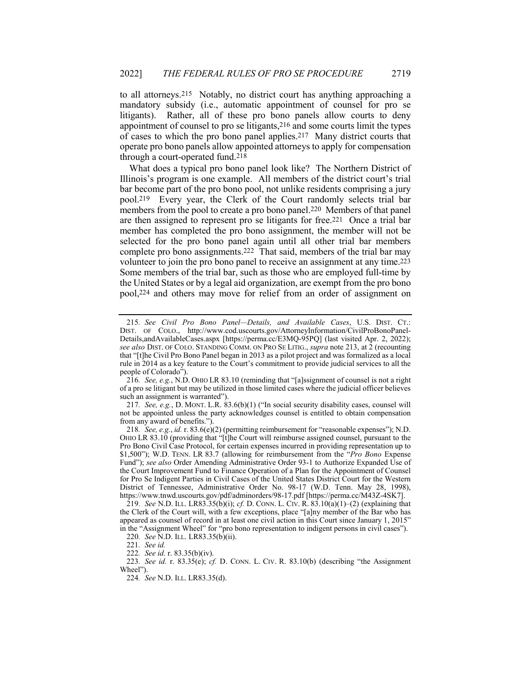to all attorneys.215 Notably, no district court has anything approaching a mandatory subsidy (i.e., automatic appointment of counsel for pro se litigants). Rather, all of these pro bono panels allow courts to deny appointment of counsel to pro se litigants,216 and some courts limit the types of cases to which the pro bono panel applies.217 Many district courts that operate pro bono panels allow appointed attorneys to apply for compensation through a court-operated fund.218

What does a typical pro bono panel look like? The Northern District of Illinois's program is one example. All members of the district court's trial bar become part of the pro bono pool, not unlike residents comprising a jury pool.219 Every year, the Clerk of the Court randomly selects trial bar members from the pool to create a pro bono panel.220 Members of that panel are then assigned to represent pro se litigants for free.221 Once a trial bar member has completed the pro bono assignment, the member will not be selected for the pro bono panel again until all other trial bar members complete pro bono assignments.222 That said, members of the trial bar may volunteer to join the pro bono panel to receive an assignment at any time.223 Some members of the trial bar, such as those who are employed full-time by the United States or by a legal aid organization, are exempt from the pro bono pool,224 and others may move for relief from an order of assignment on

217*. See, e.g.*, D. MONT. L.R. 83.6(b)(1) ("In social security disability cases, counsel will not be appointed unless the party acknowledges counsel is entitled to obtain compensation from any award of benefits.").

219*. See* N.D. ILL. LR83.35(b)(i); *cf.* D. CONN. L. CIV. R. 83.10(a)(1)–(2) (explaining that the Clerk of the Court will, with a few exceptions, place "[a]ny member of the Bar who has appeared as counsel of record in at least one civil action in this Court since January 1, 2015" in the "Assignment Wheel" for "pro bono representation to indigent persons in civil cases").

220*. See* N.D. ILL. LR83.35(b)(ii).

222*. See id.* r. 83.35(b)(iv).

223*. See id.* r. 83.35(e); *cf.* D. CONN. L. CIV. R. 83.10(b) (describing "the Assignment Wheel").

224*. See* N.D. ILL. LR83.35(d).

<sup>215</sup>*. See Civil Pro Bono Panel—Details, and Available Cases*, U.S. DIST. CT.: DIST. OF COLO., http://www.cod.uscourts.gov/AttorneyInformation/CivilProBonoPanel-Details,andAvailableCases.aspx [https://perma.cc/E3MQ-95PQ] (last visited Apr. 2, 2022); *see also* DIST. OF COLO. STANDING COMM. ON PRO SE LITIG., *supra* note 213, at 2 (recounting that "[t]he Civil Pro Bono Panel began in 2013 as a pilot project and was formalized as a local rule in 2014 as a key feature to the Court's commitment to provide judicial services to all the people of Colorado").

<sup>216</sup>*. See, e.g.*, N.D. OHIO LR 83.10 (reminding that "[a]ssignment of counsel is not a right of a pro se litigant but may be utilized in those limited cases where the judicial officer believes such an assignment is warranted").

<sup>218</sup>*. See, e.g.*, *id.* r. 83.6(e)(2) (permitting reimbursement for "reasonable expenses"); N.D. OHIO LR 83.10 (providing that "[t]he Court will reimburse assigned counsel, pursuant to the Pro Bono Civil Case Protocol, for certain expenses incurred in providing representation up to \$1,500"); W.D. TENN. LR 83.7 (allowing for reimbursement from the "*Pro Bono* Expense Fund"); *see also* Order Amending Administrative Order 93-1 to Authorize Expanded Use of the Court Improvement Fund to Finance Operation of a Plan for the Appointment of Counsel for Pro Se Indigent Parties in Civil Cases of the United States District Court for the Western District of Tennessee, Administrative Order No. 98-17 (W.D. Tenn. May 28, 1998), https://www.tnwd.uscourts.gov/pdf/adminorders/98-17.pdf [https://perma.cc/M43Z-4SK7].

<sup>221</sup>*. See id.*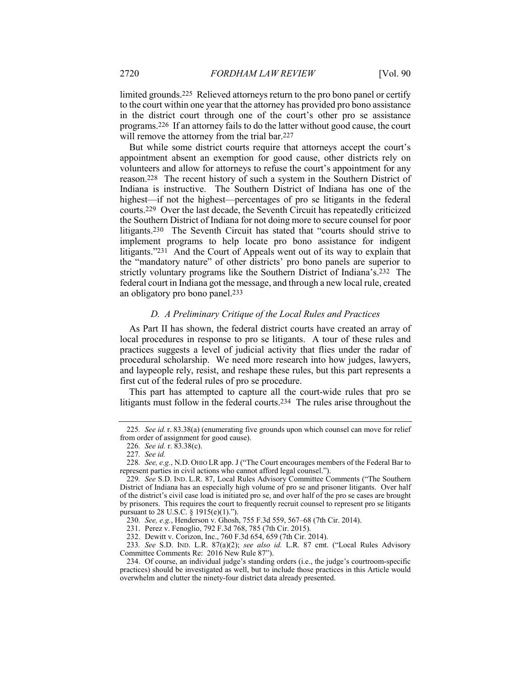limited grounds.225 Relieved attorneys return to the pro bono panel or certify to the court within one year that the attorney has provided pro bono assistance in the district court through one of the court's other pro se assistance programs.226 If an attorney fails to do the latter without good cause, the court will remove the attorney from the trial bar.<sup>227</sup>

But while some district courts require that attorneys accept the court's appointment absent an exemption for good cause, other districts rely on volunteers and allow for attorneys to refuse the court's appointment for any reason.228 The recent history of such a system in the Southern District of Indiana is instructive. The Southern District of Indiana has one of the highest—if not the highest—percentages of pro se litigants in the federal courts.229 Over the last decade, the Seventh Circuit has repeatedly criticized the Southern District of Indiana for not doing more to secure counsel for poor litigants.230 The Seventh Circuit has stated that "courts should strive to implement programs to help locate pro bono assistance for indigent litigants."231 And the Court of Appeals went out of its way to explain that the "mandatory nature" of other districts' pro bono panels are superior to strictly voluntary programs like the Southern District of Indiana's.232 The federal court in Indiana got the message, and through a new local rule, created an obligatory pro bono panel.233

## *D. A Preliminary Critique of the Local Rules and Practices*

As Part II has shown, the federal district courts have created an array of local procedures in response to pro se litigants. A tour of these rules and practices suggests a level of judicial activity that flies under the radar of procedural scholarship. We need more research into how judges, lawyers, and laypeople rely, resist, and reshape these rules, but this part represents a first cut of the federal rules of pro se procedure.

This part has attempted to capture all the court-wide rules that pro se litigants must follow in the federal courts.234 The rules arise throughout the

<sup>225</sup>*. See id.* r. 83.38(a) (enumerating five grounds upon which counsel can move for relief from order of assignment for good cause).

<sup>226</sup>*. See id.* r. 83.38(c).

<sup>227</sup>*. See id.*

<sup>228</sup>*. See, e.g.*, N.D. OHIO LR app. J ("The Court encourages members of the Federal Bar to represent parties in civil actions who cannot afford legal counsel.").

<sup>229</sup>*. See* S.D. IND. L.R. 87, Local Rules Advisory Committee Comments ("The Southern District of Indiana has an especially high volume of pro se and prisoner litigants. Over half of the district's civil case load is initiated pro se, and over half of the pro se cases are brought by prisoners. This requires the court to frequently recruit counsel to represent pro se litigants pursuant to 28 U.S.C. § 1915(e)(1).").

<sup>230</sup>*. See, e.g.*, Henderson v. Ghosh, 755 F.3d 559, 567–68 (7th Cir. 2014).

<sup>231.</sup> Perez v. Fenoglio, 792 F.3d 768, 785 (7th Cir. 2015).

<sup>232.</sup> Dewitt v. Corizon, Inc., 760 F.3d 654, 659 (7th Cir. 2014).

<sup>233</sup>*. See* S.D. IND. L.R. 87(a)(2); *see also id.* L.R. 87 cmt. ("Local Rules Advisory Committee Comments Re: 2016 New Rule 87").

<sup>234.</sup> Of course, an individual judge's standing orders (i.e., the judge's courtroom-specific practices) should be investigated as well, but to include those practices in this Article would overwhelm and clutter the ninety-four district data already presented.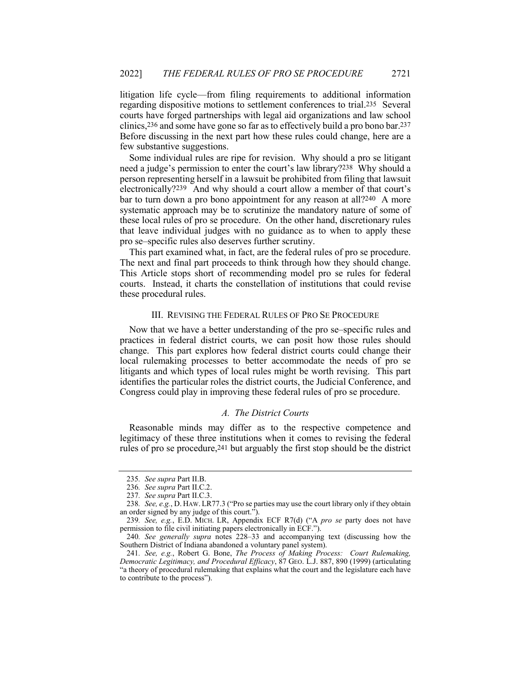litigation life cycle—from filing requirements to additional information regarding dispositive motions to settlement conferences to trial.235 Several courts have forged partnerships with legal aid organizations and law school clinics,236 and some have gone so far as to effectively build a pro bono bar.237 Before discussing in the next part how these rules could change, here are a few substantive suggestions.

Some individual rules are ripe for revision. Why should a pro se litigant need a judge's permission to enter the court's law library?238 Why should a person representing herself in a lawsuit be prohibited from filing that lawsuit electronically?239 And why should a court allow a member of that court's bar to turn down a pro bono appointment for any reason at all?240 A more systematic approach may be to scrutinize the mandatory nature of some of these local rules of pro se procedure. On the other hand, discretionary rules that leave individual judges with no guidance as to when to apply these pro se–specific rules also deserves further scrutiny.

This part examined what, in fact, are the federal rules of pro se procedure. The next and final part proceeds to think through how they should change. This Article stops short of recommending model pro se rules for federal courts. Instead, it charts the constellation of institutions that could revise these procedural rules.

## III. REVISING THE FEDERAL RULES OF PRO SE PROCEDURE

Now that we have a better understanding of the pro se–specific rules and practices in federal district courts, we can posit how those rules should change. This part explores how federal district courts could change their local rulemaking processes to better accommodate the needs of pro se litigants and which types of local rules might be worth revising. This part identifies the particular roles the district courts, the Judicial Conference, and Congress could play in improving these federal rules of pro se procedure.

#### *A. The District Courts*

Reasonable minds may differ as to the respective competence and legitimacy of these three institutions when it comes to revising the federal rules of pro se procedure,241 but arguably the first stop should be the district

<sup>235</sup>*. See supra* Part II.B.

<sup>236</sup>*. See supra* Part II.C.2.

<sup>237</sup>*. See supra* Part II.C.3.

<sup>238</sup>*. See, e.g.*, D. HAW. LR77.3 ("Pro se parties may use the court library only if they obtain an order signed by any judge of this court.").

<sup>239</sup>*. See, e.g.*, E.D. MICH. LR, Appendix ECF R7(d) ("A *pro se* party does not have permission to file civil initiating papers electronically in ECF.").

<sup>240</sup>*. See generally supra* notes 228–33 and accompanying text (discussing how the Southern District of Indiana abandoned a voluntary panel system).

<sup>241</sup>*. See, e.g.*, Robert G. Bone, *The Process of Making Process: Court Rulemaking, Democratic Legitimacy, and Procedural Efficacy*, 87 GEO. L.J. 887, 890 (1999) (articulating "a theory of procedural rulemaking that explains what the court and the legislature each have to contribute to the process").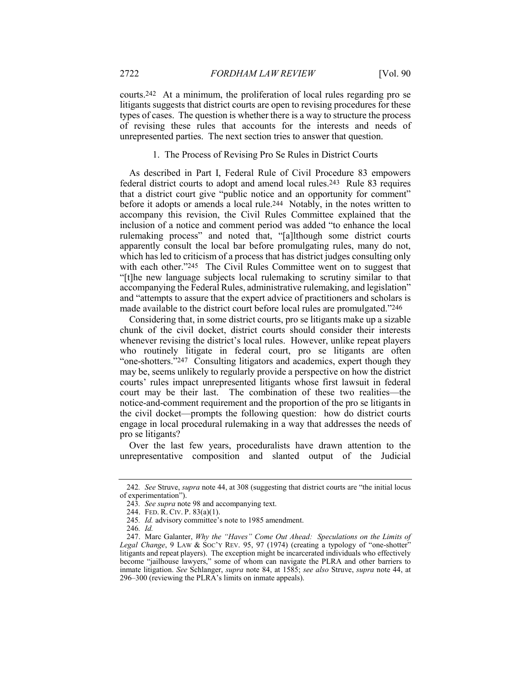courts.242 At a minimum, the proliferation of local rules regarding pro se litigants suggests that district courts are open to revising procedures for these types of cases. The question is whether there is a way to structure the process of revising these rules that accounts for the interests and needs of unrepresented parties. The next section tries to answer that question.

## 1. The Process of Revising Pro Se Rules in District Courts

As described in Part I, Federal Rule of Civil Procedure 83 empowers federal district courts to adopt and amend local rules.243 Rule 83 requires that a district court give "public notice and an opportunity for comment" before it adopts or amends a local rule.244 Notably, in the notes written to accompany this revision, the Civil Rules Committee explained that the inclusion of a notice and comment period was added "to enhance the local rulemaking process" and noted that, "[a]lthough some district courts apparently consult the local bar before promulgating rules, many do not, which has led to criticism of a process that has district judges consulting only with each other."245 The Civil Rules Committee went on to suggest that "[t]he new language subjects local rulemaking to scrutiny similar to that accompanying the Federal Rules, administrative rulemaking, and legislation" and "attempts to assure that the expert advice of practitioners and scholars is made available to the district court before local rules are promulgated."246

Considering that, in some district courts, pro se litigants make up a sizable chunk of the civil docket, district courts should consider their interests whenever revising the district's local rules. However, unlike repeat players who routinely litigate in federal court, pro se litigants are often "one-shotters."247 Consulting litigators and academics, expert though they may be, seems unlikely to regularly provide a perspective on how the district courts' rules impact unrepresented litigants whose first lawsuit in federal court may be their last. The combination of these two realities—the notice-and-comment requirement and the proportion of the pro se litigants in the civil docket—prompts the following question: how do district courts engage in local procedural rulemaking in a way that addresses the needs of pro se litigants?

Over the last few years, proceduralists have drawn attention to the unrepresentative composition and slanted output of the Judicial

<sup>242</sup>*. See* Struve, *supra* note 44, at 308 (suggesting that district courts are "the initial locus of experimentation").

<sup>243</sup>*. See supra* note 98 and accompanying text.

<sup>244.</sup> FED. R. CIV. P. 83(a)(1).

<sup>245</sup>*. Id.* advisory committee's note to 1985 amendment.

<sup>246</sup>*. Id.*

<sup>247.</sup> Marc Galanter, *Why the "Haves" Come Out Ahead: Speculations on the Limits of Legal Change*, 9 LAW & SOC'Y REV. 95, 97 (1974) (creating a typology of "one-shotter" litigants and repeat players). The exception might be incarcerated individuals who effectively become "jailhouse lawyers," some of whom can navigate the PLRA and other barriers to inmate litigation. *See* Schlanger, *supra* note 84, at 1585; *see also* Struve, *supra* note 44, at 296–300 (reviewing the PLRA's limits on inmate appeals).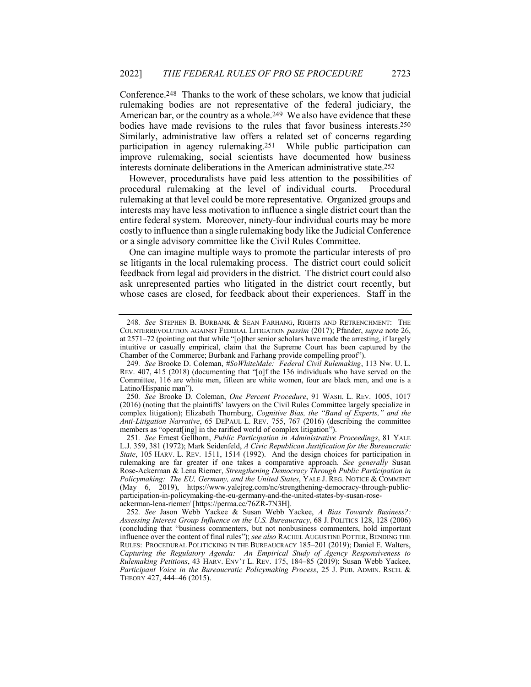Conference.248 Thanks to the work of these scholars, we know that judicial rulemaking bodies are not representative of the federal judiciary, the American bar, or the country as a whole.<sup>249</sup> We also have evidence that these bodies have made revisions to the rules that favor business interests.250 Similarly, administrative law offers a related set of concerns regarding participation in agency rulemaking.251 While public participation can improve rulemaking, social scientists have documented how business interests dominate deliberations in the American administrative state.252

However, proceduralists have paid less attention to the possibilities of procedural rulemaking at the level of individual courts. Procedural rulemaking at that level could be more representative. Organized groups and interests may have less motivation to influence a single district court than the entire federal system. Moreover, ninety-four individual courts may be more costly to influence than a single rulemaking body like the Judicial Conference or a single advisory committee like the Civil Rules Committee.

One can imagine multiple ways to promote the particular interests of pro se litigants in the local rulemaking process. The district court could solicit feedback from legal aid providers in the district. The district court could also ask unrepresented parties who litigated in the district court recently, but whose cases are closed, for feedback about their experiences. Staff in the

<sup>248</sup>*. See* STEPHEN B. BURBANK & SEAN FARHANG, RIGHTS AND RETRENCHMENT: THE COUNTERREVOLUTION AGAINST FEDERAL LITIGATION *passim* (2017); Pfander, *supra* note 26, at 2571–72 (pointing out that while "[o]ther senior scholars have made the arresting, if largely intuitive or casually empirical, claim that the Supreme Court has been captured by the Chamber of the Commerce; Burbank and Farhang provide compelling proof").

<sup>249</sup>*. See* Brooke D. Coleman, *#SoWhiteMale: Federal Civil Rulemaking*, 113 NW. U. L. REV. 407, 415 (2018) (documenting that "[o]f the 136 individuals who have served on the Committee, 116 are white men, fifteen are white women, four are black men, and one is a Latino/Hispanic man").

<sup>250</sup>*. See* Brooke D. Coleman, *One Percent Procedure*, 91 WASH. L. REV. 1005, 1017 (2016) (noting that the plaintiffs' lawyers on the Civil Rules Committee largely specialize in complex litigation); Elizabeth Thornburg, *Cognitive Bias, the "Band of Experts," and the Anti-Litigation Narrative*, 65 DEPAUL L. REV. 755, 767 (2016) (describing the committee members as "operat[ing] in the rarified world of complex litigation").

<sup>251</sup>*. See* Ernest Gellhorn, *Public Participation in Administrative Proceedings*, 81 YALE L.J. 359, 381 (1972); Mark Seidenfeld, *A Civic Republican Justification for the Bureaucratic State*, 105 HARV. L. REV. 1511, 1514 (1992). And the design choices for participation in rulemaking are far greater if one takes a comparative approach. *See generally* Susan Rose-Ackerman & Lena Riemer, *Strengthening Democracy Through Public Participation in Policymaking: The EU, Germany, and the United States*, YALE J. REG. NOTICE & COMMENT (May 6, 2019), https://www.yalejreg.com/nc/strengthening-democracy-through-publicparticipation-in-policymaking-the-eu-germany-and-the-united-states-by-susan-roseackerman-lena-riemer/ [https://perma.cc/76ZR-7N3H].

<sup>252</sup>*. See* Jason Webb Yackee & Susan Webb Yackee, *A Bias Towards Business?: Assessing Interest Group Influence on the U.S. Bureaucracy*, 68 J. POLITICS 128, 128 (2006) (concluding that "business commenters, but not nonbusiness commenters, hold important influence over the content of final rules"); *see also* RACHEL AUGUSTINE POTTER, BENDING THE RULES: PROCEDURAL POLITICKING IN THE BUREAUCRACY 185–201 (2019); Daniel E. Walters, *Capturing the Regulatory Agenda: An Empirical Study of Agency Responsiveness to Rulemaking Petitions*, 43 HARV. ENV'T L. REV. 175, 184–85 (2019); Susan Webb Yackee, *Participant Voice in the Bureaucratic Policymaking Process*, 25 J. PUB. ADMIN. RSCH. & THEORY 427, 444–46 (2015).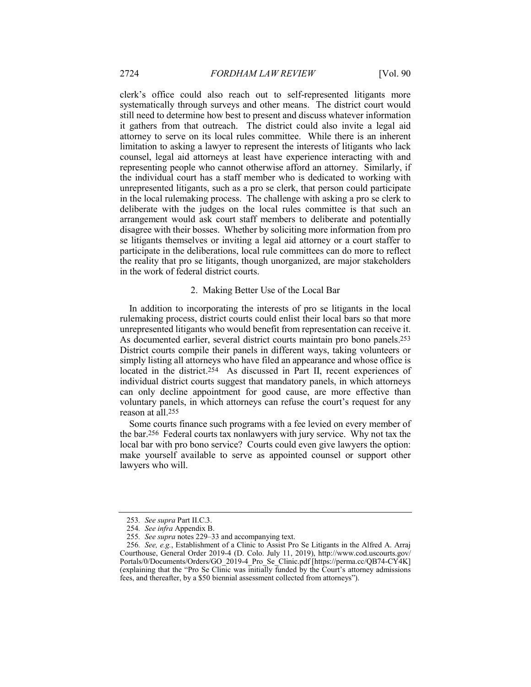clerk's office could also reach out to self-represented litigants more systematically through surveys and other means. The district court would still need to determine how best to present and discuss whatever information it gathers from that outreach. The district could also invite a legal aid attorney to serve on its local rules committee. While there is an inherent limitation to asking a lawyer to represent the interests of litigants who lack counsel, legal aid attorneys at least have experience interacting with and representing people who cannot otherwise afford an attorney. Similarly, if the individual court has a staff member who is dedicated to working with unrepresented litigants, such as a pro se clerk, that person could participate in the local rulemaking process. The challenge with asking a pro se clerk to deliberate with the judges on the local rules committee is that such an arrangement would ask court staff members to deliberate and potentially disagree with their bosses. Whether by soliciting more information from pro se litigants themselves or inviting a legal aid attorney or a court staffer to participate in the deliberations, local rule committees can do more to reflect the reality that pro se litigants, though unorganized, are major stakeholders in the work of federal district courts.

#### 2. Making Better Use of the Local Bar

In addition to incorporating the interests of pro se litigants in the local rulemaking process, district courts could enlist their local bars so that more unrepresented litigants who would benefit from representation can receive it. As documented earlier, several district courts maintain pro bono panels.253 District courts compile their panels in different ways, taking volunteers or simply listing all attorneys who have filed an appearance and whose office is located in the district.254 As discussed in Part II, recent experiences of individual district courts suggest that mandatory panels, in which attorneys can only decline appointment for good cause, are more effective than voluntary panels, in which attorneys can refuse the court's request for any reason at all.255

Some courts finance such programs with a fee levied on every member of the bar.256 Federal courts tax nonlawyers with jury service. Why not tax the local bar with pro bono service? Courts could even give lawyers the option: make yourself available to serve as appointed counsel or support other lawyers who will.

<sup>253</sup>*. See supra* Part II.C.3.

<sup>254</sup>*. See infra* Appendix B.

<sup>255</sup>*. See supra* notes 229–33 and accompanying text.

<sup>256</sup>*. See, e.g.*, Establishment of a Clinic to Assist Pro Se Litigants in the Alfred A. Arraj Courthouse, General Order 2019-4 (D. Colo. July 11, 2019), http://www.cod.uscourts.gov/ Portals/0/Documents/Orders/GO\_2019-4\_Pro\_Se\_Clinic.pdf [https://perma.cc/QB74-CY4K] (explaining that the "Pro Se Clinic was initially funded by the Court's attorney admissions fees, and thereafter, by a \$50 biennial assessment collected from attorneys").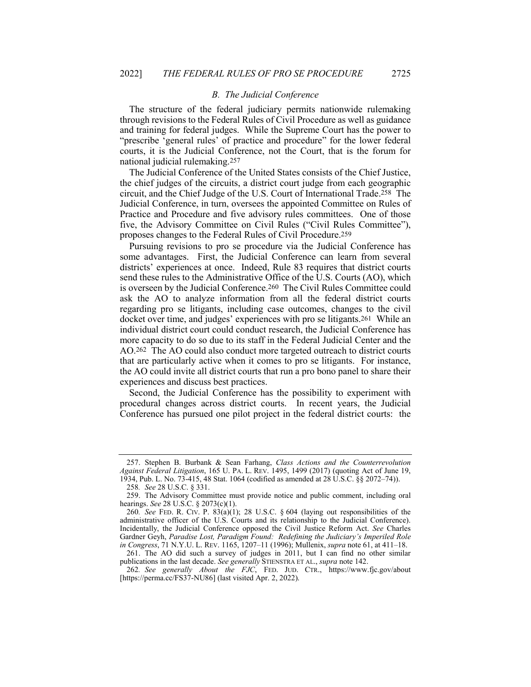#### *B. The Judicial Conference*

The structure of the federal judiciary permits nationwide rulemaking through revisions to the Federal Rules of Civil Procedure as well as guidance and training for federal judges. While the Supreme Court has the power to "prescribe 'general rules' of practice and procedure" for the lower federal courts, it is the Judicial Conference, not the Court, that is the forum for national judicial rulemaking.257

The Judicial Conference of the United States consists of the Chief Justice, the chief judges of the circuits, a district court judge from each geographic circuit, and the Chief Judge of the U.S. Court of International Trade.258 The Judicial Conference, in turn, oversees the appointed Committee on Rules of Practice and Procedure and five advisory rules committees. One of those five, the Advisory Committee on Civil Rules ("Civil Rules Committee"), proposes changes to the Federal Rules of Civil Procedure.259

Pursuing revisions to pro se procedure via the Judicial Conference has some advantages. First, the Judicial Conference can learn from several districts' experiences at once. Indeed, Rule 83 requires that district courts send these rules to the Administrative Office of the U.S. Courts (AO), which is overseen by the Judicial Conference.260 The Civil Rules Committee could ask the AO to analyze information from all the federal district courts regarding pro se litigants, including case outcomes, changes to the civil docket over time, and judges' experiences with pro se litigants.261 While an individual district court could conduct research, the Judicial Conference has more capacity to do so due to its staff in the Federal Judicial Center and the AO.262 The AO could also conduct more targeted outreach to district courts that are particularly active when it comes to pro se litigants. For instance, the AO could invite all district courts that run a pro bono panel to share their experiences and discuss best practices.

Second, the Judicial Conference has the possibility to experiment with procedural changes across district courts. In recent years, the Judicial Conference has pursued one pilot project in the federal district courts: the

<sup>257.</sup> Stephen B. Burbank & Sean Farhang, *Class Actions and the Counterrevolution Against Federal Litigation*, 165 U. PA. L. REV. 1495, 1499 (2017) (quoting Act of June 19, 1934, Pub. L. No. 73-415, 48 Stat. 1064 (codified as amended at 28 U.S.C. §§ 2072–74)).

<sup>258</sup>*. See* 28 U.S.C. § 331.

<sup>259.</sup> The Advisory Committee must provide notice and public comment, including oral hearings. *See* 28 U.S.C. § 2073(c)(1).

<sup>260</sup>*. See* FED. R. CIV. P. 83(a)(1); 28 U.S.C. § 604 (laying out responsibilities of the administrative officer of the U.S. Courts and its relationship to the Judicial Conference). Incidentally, the Judicial Conference opposed the Civil Justice Reform Act. *See* Charles Gardner Geyh, *Paradise Lost, Paradigm Found: Redefining the Judiciary's Imperiled Role in Congress*, 71 N.Y.U. L. REV. 1165, 1207–11 (1996); Mullenix, *supra* note 61, at 411–18.

<sup>261.</sup> The AO did such a survey of judges in 2011, but I can find no other similar publications in the last decade. *See generally* STIENSTRA ET AL., *supra* note 142.

<sup>262</sup>*. See generally About the FJC*, FED. JUD. CTR., https://www.fjc.gov/about [https://perma.cc/FS37-NU86] (last visited Apr. 2, 2022).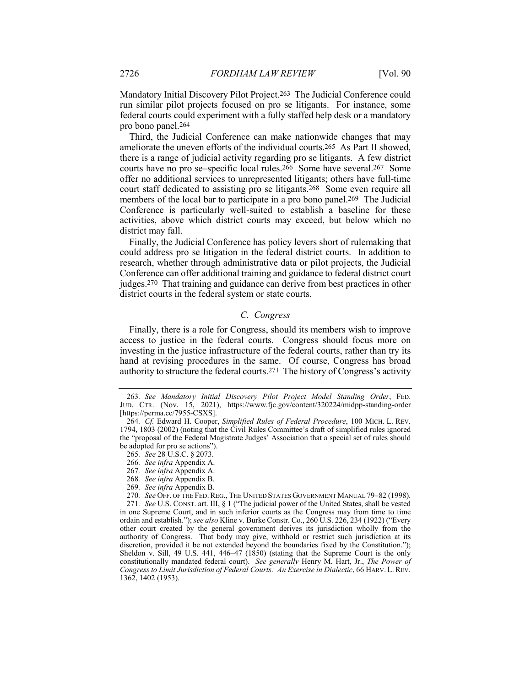Mandatory Initial Discovery Pilot Project.263 The Judicial Conference could run similar pilot projects focused on pro se litigants. For instance, some federal courts could experiment with a fully staffed help desk or a mandatory pro bono panel.264

Third, the Judicial Conference can make nationwide changes that may ameliorate the uneven efforts of the individual courts.265 As Part II showed, there is a range of judicial activity regarding pro se litigants. A few district courts have no pro se–specific local rules.266 Some have several.267 Some offer no additional services to unrepresented litigants; others have full-time court staff dedicated to assisting pro se litigants.268 Some even require all members of the local bar to participate in a pro bono panel.269 The Judicial Conference is particularly well-suited to establish a baseline for these activities, above which district courts may exceed, but below which no district may fall.

Finally, the Judicial Conference has policy levers short of rulemaking that could address pro se litigation in the federal district courts. In addition to research, whether through administrative data or pilot projects, the Judicial Conference can offer additional training and guidance to federal district court judges.270 That training and guidance can derive from best practices in other district courts in the federal system or state courts.

### *C. Congress*

Finally, there is a role for Congress, should its members wish to improve access to justice in the federal courts. Congress should focus more on investing in the justice infrastructure of the federal courts, rather than try its hand at revising procedures in the same. Of course, Congress has broad authority to structure the federal courts.271 The history of Congress's activity

- 267*. See infra* Appendix A.
- 268*. See infra* Appendix B.
- 269*. See infra* Appendix B.
- 270*. See* OFF. OF THE FED.REG., THE UNITED STATES GOVERNMENT MANUAL 79–82 (1998).

271*. See* U.S. CONST. art. III, § 1 ("The judicial power of the United States, shall be vested in one Supreme Court, and in such inferior courts as the Congress may from time to time ordain and establish."); *see also* Kline v. Burke Constr. Co., 260 U.S. 226, 234 (1922) ("Every other court created by the general government derives its jurisdiction wholly from the authority of Congress. That body may give, withhold or restrict such jurisdiction at its discretion, provided it be not extended beyond the boundaries fixed by the Constitution."); Sheldon v. Sill, 49 U.S. 441, 446–47 (1850) (stating that the Supreme Court is the only constitutionally mandated federal court). *See generally* Henry M. Hart, Jr., *The Power of Congress to Limit Jurisdiction of Federal Courts: An Exercise in Dialectic*, 66 HARV. L. REV. 1362, 1402 (1953).

<sup>263</sup>*. See Mandatory Initial Discovery Pilot Project Model Standing Order*, FED. JUD. CTR. (Nov. 15, 2021), https://www.fjc.gov/content/320224/midpp-standing-order [https://perma.cc/7955-CSXS].

<sup>264</sup>*. Cf.* Edward H. Cooper, *Simplified Rules of Federal Procedure*, 100 MICH. L. REV. 1794, 1803 (2002) (noting that the Civil Rules Committee's draft of simplified rules ignored the "proposal of the Federal Magistrate Judges' Association that a special set of rules should be adopted for pro se actions").

<sup>265</sup>*. See* 28 U.S.C. § 2073.

<sup>266</sup>*. See infra* Appendix A.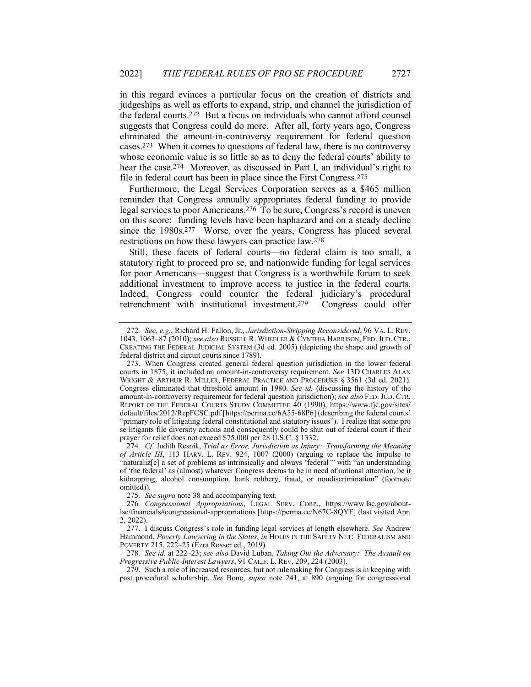in this regard evinces a particular focus on the creation of districts and judgeships as well as efforts to expand, strip, and channel the jurisdiction of the federal courts.272 But a focus on individuals who cannot afford counsel suggests that Congress could do more. After all, forty years ago, Congress eliminated the amount-in-controversy requirement for federal question cases.273 When it comes to questions of federal law, there is no controversy whose economic value is so little so as to deny the federal courts' ability to hear the case.274 Moreover, as discussed in Part I, an individual's right to file in federal court has been in place since the First Congress.275

Furthermore, the Legal Services Corporation serves as a \$465 million reminder that Congress annually appropriates federal funding to provide legal services to poor Americans.276 To be sure, Congress's record is uneven on this score: funding levels have been haphazard and on a steady decline since the 1980s.277 Worse, over the years, Congress has placed several restrictions on how these lawyers can practice law.278

Still, these facets of federal courts—no federal claim is too small, a statutory right to proceed pro se, and nationwide funding for legal services for poor Americans—suggest that Congress is a worthwhile forum to seek additional investment to improve access to justice in the federal courts. Indeed, Congress could counter the federal judiciary's procedural retrenchment with institutional investment.279 Congress could offer

<sup>272</sup>*. See, e.g.*, Richard H. Fallon, Jr., *Jurisdiction-Stripping Reconsidered*, 96 VA. L. REV. 1043, 1063–87 (2010); *see also* RUSSELL R. WHEELER & CYNTHIA HARRISON, FED.JUD. CTR., CREATING THE FEDERAL JUDICIAL SYSTEM (3d ed. 2005) (depicting the shape and growth of federal district and circuit courts since 1789).

<sup>273.</sup> When Congress created general federal question jurisdiction in the lower federal courts in 1875, it included an amount-in-controversy requirement. *See* 13D CHARLES ALAN WRIGHT & ARTHUR R. MILLER, FEDERAL PRACTICE AND PROCEDURE § 3561 (3d ed. 2021). Congress eliminated that threshold amount in 1980. *See id.* (discussing the history of the amount-in-controversy requirement for federal question jurisdiction); *see also* FED. JUD. CTR, REPORT OF THE FEDERAL COURTS STUDY COMMITTEE 40 (1990), https://www.fjc.gov/sites/ default/files/2012/RepFCSC.pdf [https://perma.cc/6A55-68P6] (describing the federal courts' "primary role of litigating federal constitutional and statutory issues"). I realize that some pro se litigants file diversity actions and consequently could be shut out of federal court if their prayer for relief does not exceed \$75,000 per 28 U.S.C. § 1332.

<sup>274</sup>*. Cf.* Judith Resnik, *Trial as Error, Jurisdiction as Injury: Transforming the Meaning of Article III*, 113 HARV. L. REV. 924, 1007 (2000) (arguing to replace the impulse to "naturaliz[e] a set of problems as intrinsically and always 'federal'" with "an understanding of 'the federal' as (almost) whatever Congress deems to be in need of national attention, be it kidnapping, alcohol consumption, bank robbery, fraud, or nondiscrimination" (footnote omitted)).

<sup>275</sup>*. See supra* note 38 and accompanying text.

<sup>276</sup>*. Congressional Appropriations*, LEGAL SERV. CORP., https://www.lsc.gov/aboutlsc/financials#congressional-appropriations [https://perma.cc/N67C-8QYF] (last visited Apr. 2, 2022).

<sup>277.</sup> I discuss Congress's role in funding legal services at length elsewhere. *See* Andrew Hammond, *Poverty Lawyering in the States*, *in* HOLES IN THE SAFETY NET: FEDERALISM AND POVERTY 215, 222–25 (Ezra Rosser ed., 2019).

<sup>278</sup>*. See id.* at 222–23; *see also* David Luban, *Taking Out the Adversary: The Assault on Progressive Public-Interest Lawyers*, 91 CALIF. L. REV. 209, 224 (2003).

<sup>279.</sup> Such a role of increased resources, but not rulemaking for Congress is in keeping with past procedural scholarship. *See* Bone, *supra* note 241, at 890 (arguing for congressional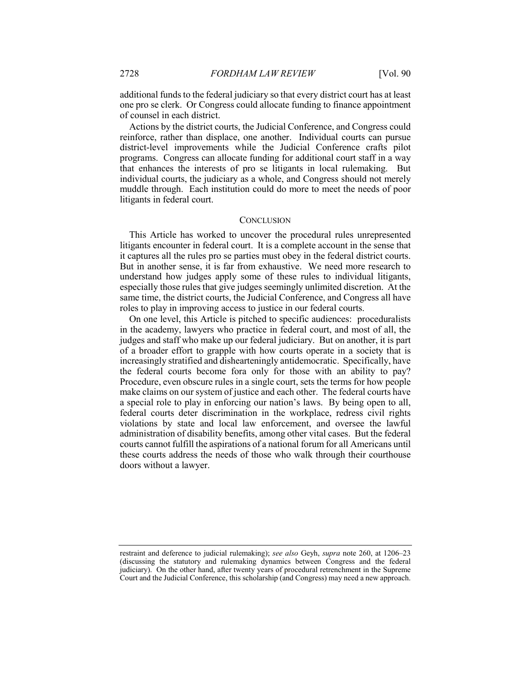additional funds to the federal judiciary so that every district court has at least one pro se clerk. Or Congress could allocate funding to finance appointment of counsel in each district.

Actions by the district courts, the Judicial Conference, and Congress could reinforce, rather than displace, one another. Individual courts can pursue district-level improvements while the Judicial Conference crafts pilot programs. Congress can allocate funding for additional court staff in a way that enhances the interests of pro se litigants in local rulemaking. But individual courts, the judiciary as a whole, and Congress should not merely muddle through. Each institution could do more to meet the needs of poor litigants in federal court.

#### **CONCLUSION**

This Article has worked to uncover the procedural rules unrepresented litigants encounter in federal court. It is a complete account in the sense that it captures all the rules pro se parties must obey in the federal district courts. But in another sense, it is far from exhaustive. We need more research to understand how judges apply some of these rules to individual litigants, especially those rules that give judges seemingly unlimited discretion. At the same time, the district courts, the Judicial Conference, and Congress all have roles to play in improving access to justice in our federal courts.

On one level, this Article is pitched to specific audiences: proceduralists in the academy, lawyers who practice in federal court, and most of all, the judges and staff who make up our federal judiciary. But on another, it is part of a broader effort to grapple with how courts operate in a society that is increasingly stratified and dishearteningly antidemocratic. Specifically, have the federal courts become fora only for those with an ability to pay? Procedure, even obscure rules in a single court, sets the terms for how people make claims on our system of justice and each other. The federal courts have a special role to play in enforcing our nation's laws. By being open to all, federal courts deter discrimination in the workplace, redress civil rights violations by state and local law enforcement, and oversee the lawful administration of disability benefits, among other vital cases. But the federal courts cannot fulfill the aspirations of a national forum for all Americans until these courts address the needs of those who walk through their courthouse doors without a lawyer.

restraint and deference to judicial rulemaking); *see also* Geyh, *supra* note 260, at 1206–23 (discussing the statutory and rulemaking dynamics between Congress and the federal judiciary). On the other hand, after twenty years of procedural retrenchment in the Supreme Court and the Judicial Conference, this scholarship (and Congress) may need a new approach.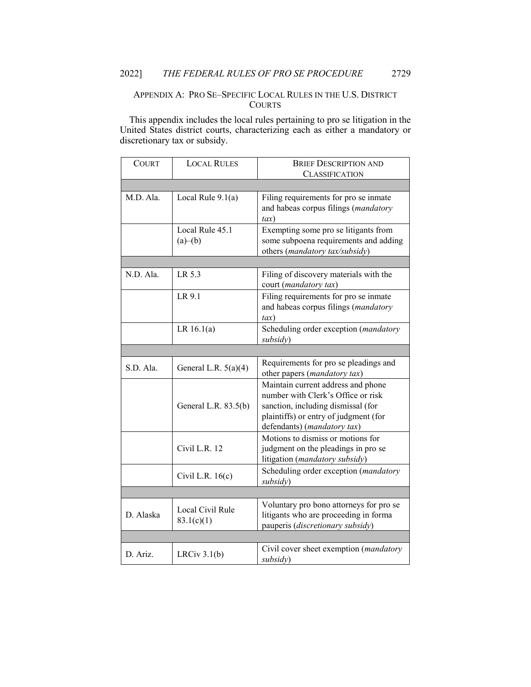### APPENDIX A: PRO SE–SPECIFIC LOCAL RULES IN THE U.S. DISTRICT **COURTS**

This appendix includes the local rules pertaining to pro se litigation in the United States district courts, characterizing each as either a mandatory or discretionary tax or subsidy.

| <b>COURT</b> | <b>LOCAL RULES</b>             | <b>BRIEF DESCRIPTION AND</b>                                                                                                                                                           |
|--------------|--------------------------------|----------------------------------------------------------------------------------------------------------------------------------------------------------------------------------------|
|              |                                | CLASSIFICATION                                                                                                                                                                         |
|              |                                |                                                                                                                                                                                        |
| M.D. Ala.    | Local Rule $9.1(a)$            | Filing requirements for pro se inmate<br>and habeas corpus filings (mandatory<br>tax)                                                                                                  |
|              | Local Rule 45.1<br>(a)–(b)     | Exempting some pro se litigants from<br>some subpoena requirements and adding<br>others (mandatory tax/subsidy)                                                                        |
|              |                                |                                                                                                                                                                                        |
| N.D. Ala.    | LR 5.3                         | Filing of discovery materials with the<br>court (mandatory tax)                                                                                                                        |
|              | LR 9.1                         | Filing requirements for pro se inmate<br>and habeas corpus filings (mandatory<br>$\iota$ ax)                                                                                           |
|              | LR $16.1(a)$                   | Scheduling order exception (mandatory<br>subsidy)                                                                                                                                      |
|              |                                |                                                                                                                                                                                        |
| S.D. Ala.    | General L.R. $5(a)(4)$         | Requirements for pro se pleadings and<br>other papers (mandatory tax)                                                                                                                  |
|              | General L.R. 83.5(b)           | Maintain current address and phone<br>number with Clerk's Office or risk<br>sanction, including dismissal (for<br>plaintiffs) or entry of judgment (for<br>defendants) (mandatory tax) |
|              | Civil L.R. 12                  | Motions to dismiss or motions for<br>judgment on the pleadings in pro se<br>litigation (mandatory subsidy)                                                                             |
|              | Civil L.R. $16(c)$             | Scheduling order exception (mandatory<br>subsidy)                                                                                                                                      |
|              |                                |                                                                                                                                                                                        |
| D. Alaska    | Local Civil Rule<br>83.1(c)(1) | Voluntary pro bono attorneys for pro se<br>litigants who are proceeding in forma<br>pauperis (discretionary subsidy)                                                                   |
|              |                                |                                                                                                                                                                                        |
| D. Ariz.     | LRCiv $3.1(b)$                 | Civil cover sheet exemption ( <i>mandatory</i><br>subsidy)                                                                                                                             |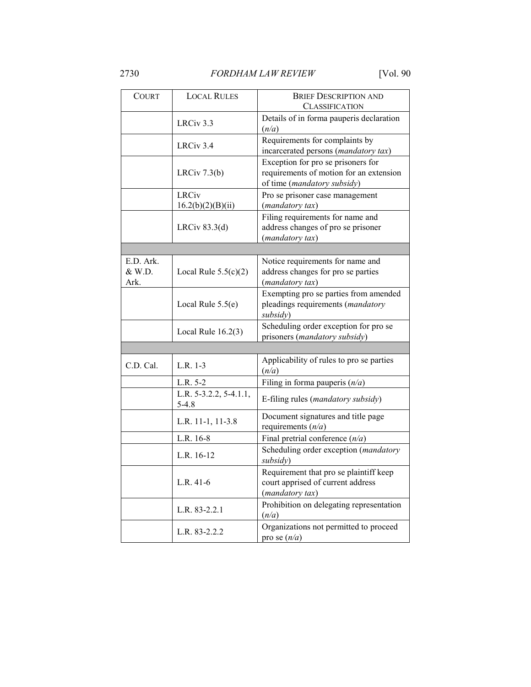| COURT                       | <b>LOCAL RULES</b>                        | <b>BRIEF DESCRIPTION AND</b><br><b>CLASSIFICATION</b>                                                        |
|-----------------------------|-------------------------------------------|--------------------------------------------------------------------------------------------------------------|
|                             | LRCiv 3.3                                 | Details of in forma pauperis declaration<br>(n/a)                                                            |
|                             | LRCiv 3.4                                 | Requirements for complaints by<br>incarcerated persons (mandatory tax)                                       |
|                             | LRCiv 7.3(b)                              | Exception for pro se prisoners for<br>requirements of motion for an extension<br>of time (mandatory subsidy) |
|                             | <b>LRCiv</b><br>16.2(b)(2)(B)(ii)         | Pro se prisoner case management<br>(mandatory tax)                                                           |
|                             | LRCiv $83.3(d)$                           | Filing requirements for name and<br>address changes of pro se prisoner<br>(mandatory tax)                    |
|                             |                                           |                                                                                                              |
| E.D. Ark.<br>& W.D.<br>Ark. | Local Rule $5.5(c)(2)$                    | Notice requirements for name and<br>address changes for pro se parties<br>(mandatory tax)                    |
|                             | Local Rule $5.5(e)$                       | Exempting pro se parties from amended<br>pleadings requirements (mandatory<br>subsidy)                       |
|                             | Local Rule $16.2(3)$                      | Scheduling order exception for pro se<br>prisoners (mandatory subsidy)                                       |
|                             |                                           |                                                                                                              |
| C.D. Cal.                   | L.R. 1-3                                  | Applicability of rules to pro se parties<br>(n/a)                                                            |
|                             | L.R. 5-2                                  | Filing in forma pauperis $(n/a)$                                                                             |
|                             | L.R. $5-3.2.2$ , $5-4.1.1$ ,<br>$5 - 4.8$ | E-filing rules (mandatory subsidy)                                                                           |
|                             | L.R. 11-1, 11-3.8                         | Document signatures and title page<br>requirements $(n/a)$                                                   |
|                             | L.R. 16-8                                 | Final pretrial conference $(n/a)$                                                                            |
|                             | L.R. 16-12                                | Scheduling order exception (mandatory<br>subsidy)                                                            |
|                             | L.R. $41-6$                               | Requirement that pro se plaintiff keep<br>court apprised of current address<br>(mandatory tax)               |
|                             | L.R. 83-2.2.1                             | Prohibition on delegating representation<br>(n/a)                                                            |
|                             | L.R. 83-2.2.2                             | Organizations not permitted to proceed<br>pro se $(n/a)$                                                     |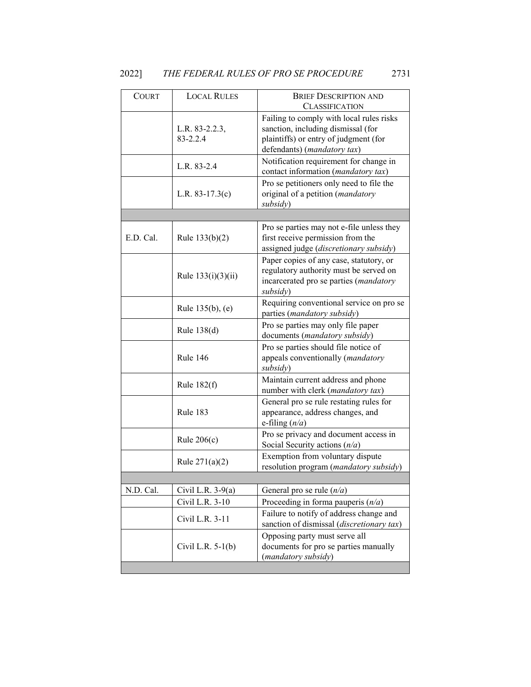| <b>LOCAL RULES</b>             | <b>BRIEF DESCRIPTION AND</b>                                                                                                                                                    |
|--------------------------------|---------------------------------------------------------------------------------------------------------------------------------------------------------------------------------|
| L.R. 83-2.2.3,<br>$83 - 2.2.4$ | <b>CLASSIFICATION</b><br>Failing to comply with local rules risks<br>sanction, including dismissal (for<br>plaintiffs) or entry of judgment (for<br>defendants) (mandatory tax) |
| L.R. 83-2.4                    | Notification requirement for change in<br>contact information (mandatory tax)                                                                                                   |
| L.R. $83-17.3(c)$              | Pro se petitioners only need to file the<br>original of a petition (mandatory<br>subsidy)                                                                                       |
|                                |                                                                                                                                                                                 |
| Rule $133(b)(2)$               | Pro se parties may not e-file unless they<br>first receive permission from the<br>assigned judge (discretionary subsidy)                                                        |
| Rule $133(i)(3)(ii)$           | Paper copies of any case, statutory, or<br>regulatory authority must be served on<br>incarcerated pro se parties (mandatory<br>subsidy)                                         |
| Rule $135(b)$ , (e)            | Requiring conventional service on pro se<br>parties (mandatory subsidy)                                                                                                         |
| Rule 138(d)                    | Pro se parties may only file paper<br>documents (mandatory subsidy)                                                                                                             |
| Rule 146                       | Pro se parties should file notice of<br>appeals conventionally (mandatory<br>subsidy)                                                                                           |
| Rule $182(f)$                  | Maintain current address and phone<br>number with clerk (mandatory tax)                                                                                                         |
| Rule 183                       | General pro se rule restating rules for<br>appearance, address changes, and<br>e-filing $(n/a)$                                                                                 |
| Rule $206(c)$                  | Pro se privacy and document access in<br>Social Security actions $(n/a)$                                                                                                        |
| Rule $271(a)(2)$               | Exemption from voluntary dispute<br>resolution program (mandatory subsidy)                                                                                                      |
|                                |                                                                                                                                                                                 |
| Civil L.R. $3-9(a)$            | General pro se rule $(n/a)$                                                                                                                                                     |
| Civil L.R. 3-10                | Proceeding in forma pauperis $(n/a)$                                                                                                                                            |
| Civil L.R. 3-11                | Failure to notify of address change and<br>sanction of dismissal (discretionary tax)                                                                                            |
| Civil L.R. $5-1(b)$            | Opposing party must serve all<br>documents for pro se parties manually<br>(mandatory subsidy)                                                                                   |
|                                |                                                                                                                                                                                 |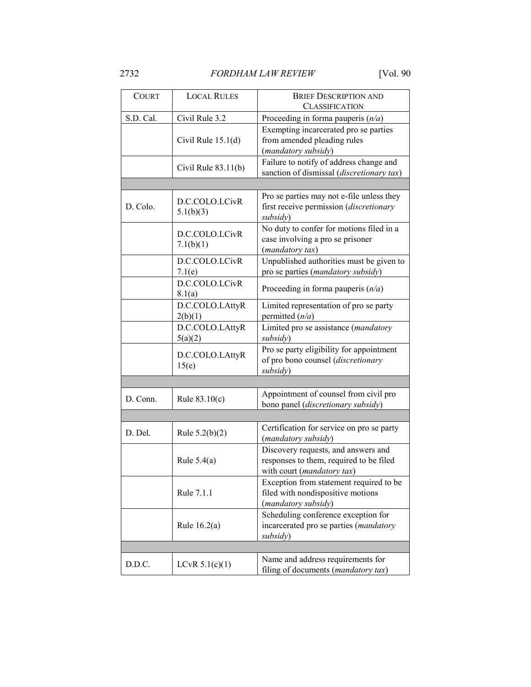| <b>COURT</b> | <b>LOCAL RULES</b>          | <b>BRIEF DESCRIPTION AND</b><br><b>CLASSIFICATION</b>                                                        |
|--------------|-----------------------------|--------------------------------------------------------------------------------------------------------------|
| S.D. Cal.    | Civil Rule 3.2              | Proceeding in forma pauperis $(n/a)$                                                                         |
|              | Civil Rule $15.1(d)$        | Exempting incarcerated pro se parties<br>from amended pleading rules<br>(mandatory subsidy)                  |
|              | Civil Rule $83.11(b)$       | Failure to notify of address change and<br>sanction of dismissal (discretionary tax)                         |
|              |                             |                                                                                                              |
| D. Colo.     | D.C.COLO.LCivR<br>5.1(b)(3) | Pro se parties may not e-file unless they<br>first receive permission (discretionary<br>subsidy)             |
|              | D.C.COLO.LCivR<br>7.1(b)(1) | No duty to confer for motions filed in a<br>case involving a pro se prisoner<br>(mandatory tax)              |
|              | D.C.COLO.LCivR<br>7.1(e)    | Unpublished authorities must be given to<br>pro se parties (mandatory subsidy)                               |
|              | D.C.COLO.LCivR<br>8.1(a)    | Proceeding in forma pauperis $(n/a)$                                                                         |
|              | D.C.COLO.LAttyR<br>2(b)(1)  | Limited representation of pro se party<br>permitted $(n/a)$                                                  |
|              | D.C.COLO.LAttyR<br>5(a)(2)  | Limited pro se assistance (mandatory<br>subsidy)                                                             |
|              | D.C.COLO.LAttyR<br>15(e)    | Pro se party eligibility for appointment<br>of pro bono counsel (discretionary<br>subsidy)                   |
|              |                             |                                                                                                              |
| D. Conn.     | Rule $83.10(c)$             | Appointment of counsel from civil pro<br>bono panel (discretionary subsidy)                                  |
|              |                             |                                                                                                              |
| D. Del.      | Rule $5.2(b)(2)$            | Certification for service on pro se party<br>(mandatory subsidy)                                             |
|              | Rule $5.4(a)$               | Discovery requests, and answers and<br>responses to them, required to be filed<br>with court (mandatory tax) |
|              | Rule 7.1.1                  | Exception from statement required to be<br>filed with nondispositive motions<br>(mandatory subsidy)          |
|              | Rule $16.2(a)$              | Scheduling conference exception for<br>incarcerated pro se parties (mandatory<br>subsidy)                    |
|              |                             |                                                                                                              |
| D.D.C.       | LCvR 5.1(c)(1)              | Name and address requirements for<br>filing of documents (mandatory tax)                                     |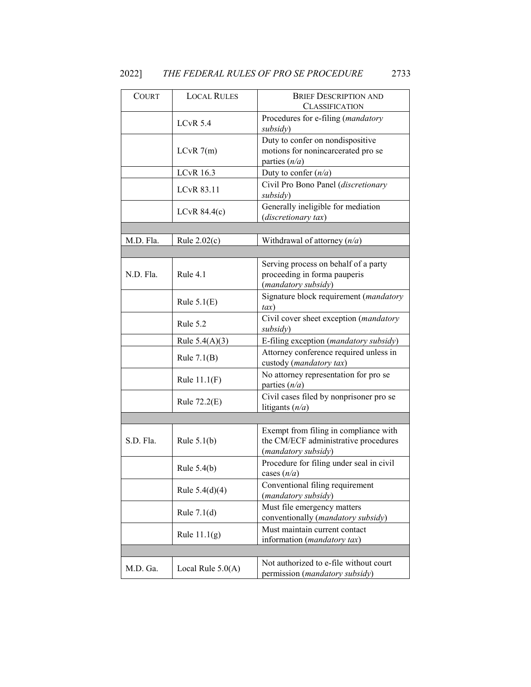| <b>COURT</b> | <b>LOCAL RULES</b>  | <b>BRIEF DESCRIPTION AND</b><br><b>CLASSIFICATION</b>                                                |
|--------------|---------------------|------------------------------------------------------------------------------------------------------|
|              | $LCvR$ 5.4          | Procedures for e-filing (mandatory<br>subsidy)                                                       |
|              | LCvR $7(m)$         | Duty to confer on nondispositive<br>motions for nonincarcerated pro se<br>parties $(n/a)$            |
|              | <b>LCvR</b> 16.3    | Duty to confer $(n/a)$                                                                               |
|              | <b>LCvR 83.11</b>   | Civil Pro Bono Panel (discretionary<br>subsidy)                                                      |
|              | LCvR $84.4(c)$      | Generally ineligible for mediation<br>(discretionary tax)                                            |
|              |                     |                                                                                                      |
| M.D. Fla.    | Rule $2.02(c)$      | Withdrawal of attorney $(n/a)$                                                                       |
|              |                     |                                                                                                      |
| N.D. Fla.    | Rule 4.1            | Serving process on behalf of a party<br>proceeding in forma pauperis<br>(mandatory subsidy)          |
|              | Rule $5.1(E)$       | Signature block requirement (mandatory<br>tax)                                                       |
|              | Rule 5.2            | Civil cover sheet exception (mandatory<br>subsidy)                                                   |
|              | Rule $5.4(A)(3)$    | E-filing exception (mandatory subsidy)                                                               |
|              | Rule $7.1(B)$       | Attorney conference required unless in<br>custody (mandatory tax)                                    |
|              | Rule $11.1(F)$      | No attorney representation for pro se<br>parties $(n/a)$                                             |
|              | Rule 72.2(E)        | Civil cases filed by nonprisoner pro se<br>litigants $(n/a)$                                         |
|              |                     |                                                                                                      |
| S.D. Fla.    | Rule $5.1(b)$       | Exempt from filing in compliance with<br>the CM/ECF administrative procedures<br>(mandatory subsidy) |
|              | Rule $5.4(b)$       | Procedure for filing under seal in civil<br>cases $(n/a)$                                            |
|              | Rule $5.4(d)(4)$    | Conventional filing requirement<br>(mandatory subsidy)                                               |
|              | Rule $7.1(d)$       | Must file emergency matters<br>conventionally (mandatory subsidy)                                    |
|              | Rule $11.1(g)$      | Must maintain current contact<br>information (mandatory tax)                                         |
|              |                     |                                                                                                      |
| M.D. Ga.     | Local Rule $5.0(A)$ | Not authorized to e-file without court<br>permission ( <i>mandatory subsidy</i> )                    |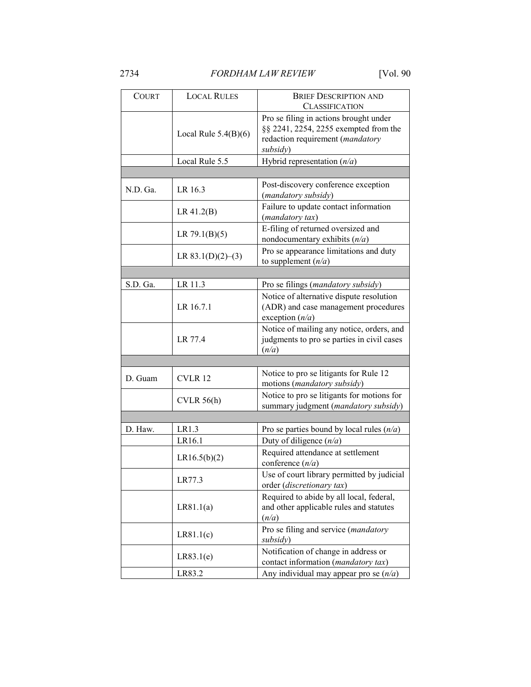| <b>COURT</b> | <b>LOCAL RULES</b>     | <b>BRIEF DESCRIPTION AND</b>                |
|--------------|------------------------|---------------------------------------------|
|              |                        | <b>CLASSIFICATION</b>                       |
|              |                        | Pro se filing in actions brought under      |
|              | Local Rule $5.4(B)(6)$ | §§ 2241, 2254, 2255 exempted from the       |
|              |                        | redaction requirement (mandatory            |
|              |                        | subsidy)                                    |
|              | Local Rule 5.5         | Hybrid representation $(n/a)$               |
|              |                        |                                             |
| N.D. Ga.     | LR 16.3                | Post-discovery conference exception         |
|              |                        | (mandatory subsidy)                         |
|              | LR 41.2(B)             | Failure to update contact information       |
|              |                        | (mandatory tax)                             |
|              | LR $79.1(B)(5)$        | E-filing of returned oversized and          |
|              |                        | nondocumentary exhibits $(n/a)$             |
|              | LR $83.1(D)(2)–(3)$    | Pro se appearance limitations and duty      |
|              |                        | to supplement $(n/a)$                       |
|              |                        |                                             |
| S.D. Ga.     | LR 11.3                | Pro se filings (mandatory subsidy)          |
|              |                        | Notice of alternative dispute resolution    |
|              | LR 16.7.1              | (ADR) and case management procedures        |
|              |                        | exception $(n/a)$                           |
|              |                        | Notice of mailing any notice, orders, and   |
|              | LR 77.4                | judgments to pro se parties in civil cases  |
|              |                        | (n/a)                                       |
|              |                        |                                             |
| D. Guam      | CVLR 12                | Notice to pro se litigants for Rule 12      |
|              |                        | motions (mandatory subsidy)                 |
|              | CVIR 56(h)             | Notice to pro se litigants for motions for  |
|              |                        | summary judgment (mandatory subsidy)        |
|              |                        |                                             |
| D. Haw.      | LR1.3                  | Pro se parties bound by local rules $(n/a)$ |
|              | LR16.1                 | Duty of diligence $(n/a)$                   |
|              |                        | Required attendance at settlement           |
|              | LR16.5(b)(2)           | conference $(n/a)$                          |
|              |                        | Use of court library permitted by judicial  |
|              | LR77.3                 | order (discretionary tax)                   |
|              |                        | Required to abide by all local, federal,    |
|              | LR81.1(a)              | and other applicable rules and statutes     |
|              |                        | (n/a)                                       |
|              | LR81.1(c)              | Pro se filing and service (mandatory        |
|              |                        | subsidy)                                    |
|              |                        | Notification of change in address or        |
|              | LR83.1(e)              | contact information (mandatory tax)         |
|              | LR83.2                 | Any individual may appear pro se $(n/a)$    |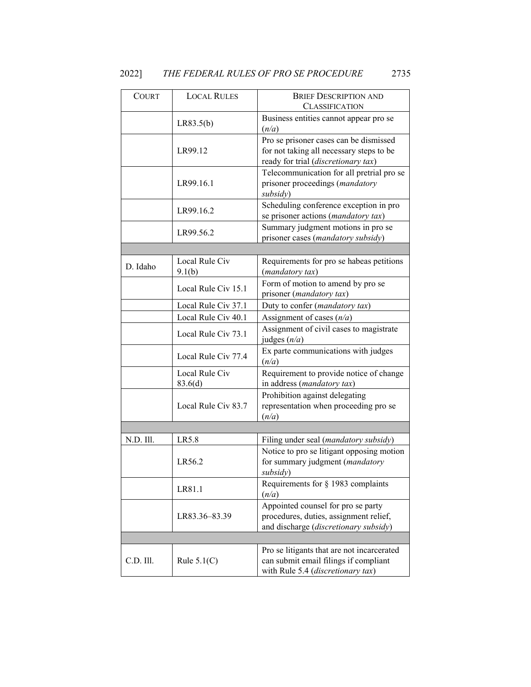| <b>COURT</b> | <b>LOCAL RULES</b>        | <b>BRIEF DESCRIPTION AND</b>                                                                                              |
|--------------|---------------------------|---------------------------------------------------------------------------------------------------------------------------|
|              |                           | <b>CLASSIFICATION</b>                                                                                                     |
|              | LR83.5(b)                 | Business entities cannot appear pro se<br>(n/a)                                                                           |
|              | LR99.12                   | Pro se prisoner cases can be dismissed<br>for not taking all necessary steps to be<br>ready for trial (discretionary tax) |
|              | LR99.16.1                 | Telecommunication for all pretrial pro se<br>prisoner proceedings (mandatory<br>subsidy)                                  |
|              | LR99.16.2                 | Scheduling conference exception in pro<br>se prisoner actions (mandatory tax)                                             |
|              | LR99.56.2                 | Summary judgment motions in pro se<br>prisoner cases (mandatory subsidy)                                                  |
|              |                           |                                                                                                                           |
| D. Idaho     | Local Rule Civ<br>9.1(b)  | Requirements for pro se habeas petitions<br>(mandatory tax)                                                               |
|              | Local Rule Civ 15.1       | Form of motion to amend by pro se<br>prisoner (mandatory tax)                                                             |
|              | Local Rule Civ 37.1       | Duty to confer (mandatory tax)                                                                                            |
|              | Local Rule Civ 40.1       | Assignment of cases $(n/a)$                                                                                               |
|              | Local Rule Civ 73.1       | Assignment of civil cases to magistrate<br>judges $(n/a)$                                                                 |
|              | Local Rule Civ 77.4       | Ex parte communications with judges<br>(n/a)                                                                              |
|              | Local Rule Civ<br>83.6(d) | Requirement to provide notice of change<br>in address (mandatory tax)                                                     |
|              | Local Rule Civ 83.7       | Prohibition against delegating<br>representation when proceeding pro se<br>(n/a)                                          |
|              |                           |                                                                                                                           |
| N.D. Ill.    | LR5.8                     | Filing under seal (mandatory subsidy)                                                                                     |
|              | LR56.2                    | Notice to pro se litigant opposing motion<br>for summary judgment (mandatory<br>subsidy)                                  |
|              | LR81.1                    | Requirements for $\S$ 1983 complaints<br>(n/a)                                                                            |
|              | LR83.36-83.39             | Appointed counsel for pro se party<br>procedures, duties, assignment relief,<br>and discharge (discretionary subsidy)     |
|              |                           |                                                                                                                           |
| C.D. Ill.    | Rule $5.1(C)$             | Pro se litigants that are not incarcerated<br>can submit email filings if compliant<br>with Rule 5.4 (discretionary tax)  |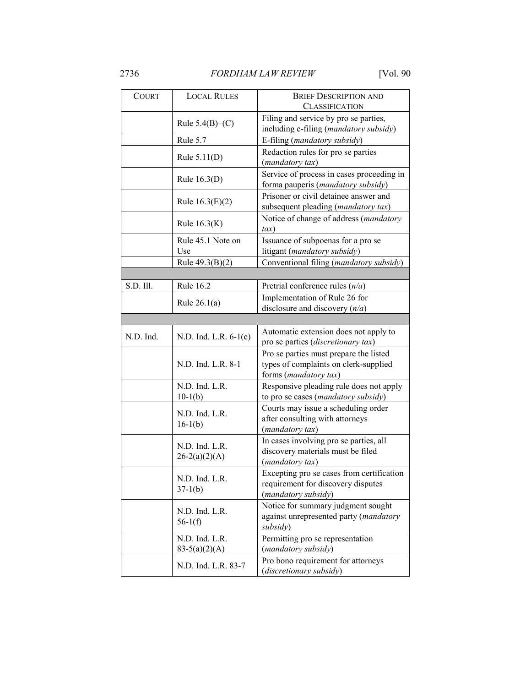| <b>COURT</b> | <b>LOCAL RULES</b>                | <b>BRIEF DESCRIPTION AND</b><br><b>CLASSIFICATION</b>                                                    |
|--------------|-----------------------------------|----------------------------------------------------------------------------------------------------------|
|              | Rule $5.4(B)$ – $(C)$             | Filing and service by pro se parties,<br>including e-filing (mandatory subsidy)                          |
|              | Rule 5.7                          | E-filing (mandatory subsidy)                                                                             |
|              | Rule $5.11(D)$                    | Redaction rules for pro se parties<br>(mandatory tax)                                                    |
|              | Rule $16.3(D)$                    | Service of process in cases proceeding in<br>forma pauperis (mandatory subsidy)                          |
|              | Rule $16.3(E)(2)$                 | Prisoner or civil detainee answer and<br>subsequent pleading (mandatory tax)                             |
|              | Rule $16.3(K)$                    | Notice of change of address (mandatory<br>$\iota$ ax)                                                    |
|              | Rule 45.1 Note on<br>Use          | Issuance of subpoenas for a pro se<br>litigant (mandatory subsidy)                                       |
|              | Rule $49.3(B)(2)$                 | Conventional filing (mandatory subsidy)                                                                  |
|              |                                   |                                                                                                          |
| S.D. Ill.    | Rule 16.2                         | Pretrial conference rules $(n/a)$                                                                        |
|              | Rule $26.1(a)$                    | Implementation of Rule 26 for<br>disclosure and discovery $(n/a)$                                        |
|              |                                   |                                                                                                          |
| N.D. Ind.    | N.D. Ind. L.R. 6-1(c)             | Automatic extension does not apply to<br>pro se parties (discretionary tax)                              |
|              | N.D. Ind. L.R. 8-1                | Pro se parties must prepare the listed<br>types of complaints on clerk-supplied<br>forms (mandatory tax) |
|              | N.D. Ind. L.R.<br>$10-1(b)$       | Responsive pleading rule does not apply<br>to pro se cases (mandatory subsidy)                           |
|              | N.D. Ind. L.R.<br>$16-1(b)$       | Courts may issue a scheduling order<br>after consulting with attorneys<br>(mandatory tax)                |
|              | N.D. Ind. L.R.<br>$26-2(a)(2)(A)$ | In cases involving pro se parties, all<br>discovery materials must be filed<br>(mandatory tax)           |
|              | N.D. Ind. L.R.<br>$37-1(b)$       | Excepting pro se cases from certification<br>requirement for discovery disputes<br>(mandatory subsidy)   |
|              | N.D. Ind. L.R.<br>$56-1(f)$       | Notice for summary judgment sought<br>against unrepresented party (mandatory<br>subsidy)                 |
|              | N.D. Ind. L.R.<br>$83-5(a)(2)(A)$ | Permitting pro se representation<br>(mandatory subsidy)                                                  |
|              | N.D. Ind. L.R. 83-7               | Pro bono requirement for attorneys<br>(discretionary subsidy)                                            |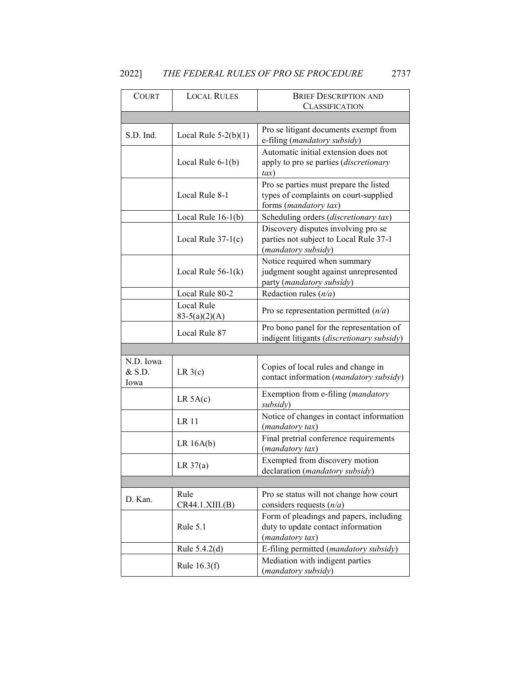| 2022] | THE FEDERAL RULES OF PRO SE PROCEDURE | 2737 |  |
|-------|---------------------------------------|------|--|

| <b>COURT</b>                  | <b>LOCAL RULES</b>            | <b>BRIEF DESCRIPTION AND</b>                                                                             |
|-------------------------------|-------------------------------|----------------------------------------------------------------------------------------------------------|
|                               |                               | <b>CLASSIFICATION</b>                                                                                    |
|                               |                               |                                                                                                          |
| S.D. Ind.                     | Local Rule $5-2(b)(1)$        | Pro se litigant documents exempt from<br>e-filing (mandatory subsidy)                                    |
|                               | Local Rule $6-1(b)$           | Automatic initial extension does not<br>apply to pro se parties (discretionary<br>$\iota$ ax)            |
|                               | Local Rule 8-1                | Pro se parties must prepare the listed<br>types of complaints on court-supplied<br>forms (mandatory tax) |
|                               | Local Rule $16-1(b)$          | Scheduling orders (discretionary tax)                                                                    |
|                               | Local Rule $37-1(c)$          | Discovery disputes involving pro se<br>parties not subject to Local Rule 37-1<br>(mandatory subsidy)     |
|                               | Local Rule $56-1(k)$          | Notice required when summary<br>judgment sought against unrepresented<br>party (mandatory subsidy)       |
|                               | Local Rule 80-2               | Redaction rules $(n/a)$                                                                                  |
|                               | Local Rule<br>$83-5(a)(2)(A)$ | Pro se representation permitted $(n/a)$                                                                  |
|                               | Local Rule 87                 | Pro bono panel for the representation of<br>indigent litigants (discretionary subsidy)                   |
|                               |                               |                                                                                                          |
| N.D. Iowa<br>$&$ S.D.<br>Iowa | LR 3(c)                       | Copies of local rules and change in<br>contact information (mandatory subsidy)                           |
|                               | LR 5A(c)                      | Exemption from e-filing (mandatory<br>subsidy)                                                           |
|                               | LR 11                         | Notice of changes in contact information<br>(mandatory tax)                                              |
|                               | LR 16A(b)                     | Final pretrial conference requirements<br>(mandatory tax)                                                |
|                               | LR $37(a)$                    | Exempted from discovery motion<br>declaration (mandatory subsidy)                                        |
|                               |                               |                                                                                                          |
| D. Kan.                       | Rule<br>CR44.1.XIII.(B)       | Pro se status will not change how court<br>considers requests $(n/a)$                                    |
|                               | Rule 5.1                      | Form of pleadings and papers, including<br>duty to update contact information<br>(mandatory tax)         |
|                               | Rule 5.4.2(d)                 | E-filing permitted (mandatory subsidy)                                                                   |
|                               | Rule $16.3(f)$                | Mediation with indigent parties<br>(mandatory subsidy)                                                   |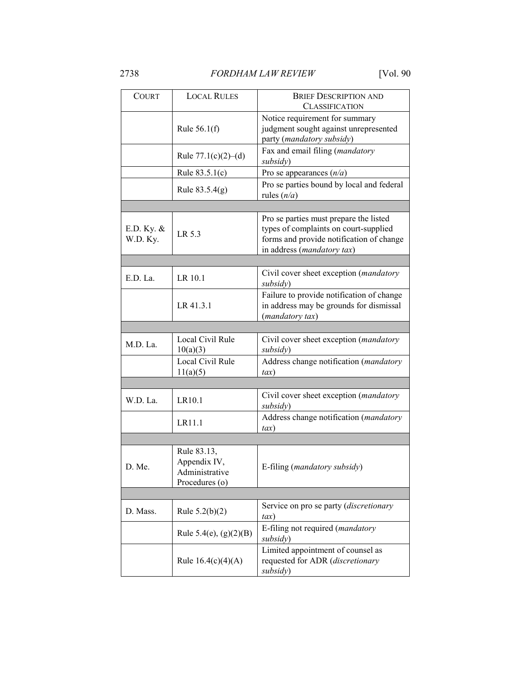| <b>COURT</b>           | <b>LOCAL RULES</b>                                              | <b>BRIEF DESCRIPTION AND</b><br><b>CLASSIFICATION</b>                                                                                                     |
|------------------------|-----------------------------------------------------------------|-----------------------------------------------------------------------------------------------------------------------------------------------------------|
|                        | Rule $56.1(f)$                                                  | Notice requirement for summary<br>judgment sought against unrepresented<br>party (mandatory subsidy)                                                      |
|                        | Rule $77.1(c)(2)–(d)$                                           | Fax and email filing (mandatory<br>subsidy)                                                                                                               |
|                        | Rule $83.5.1(c)$                                                | Pro se appearances $(n/a)$                                                                                                                                |
|                        | Rule 83.5.4(g)                                                  | Pro se parties bound by local and federal<br>rules $(n/a)$                                                                                                |
|                        |                                                                 |                                                                                                                                                           |
| E.D. Ky. &<br>W.D. Ky. | LR 5.3                                                          | Pro se parties must prepare the listed<br>types of complaints on court-supplied<br>forms and provide notification of change<br>in address (mandatory tax) |
|                        |                                                                 |                                                                                                                                                           |
| E.D. La.               | LR 10.1                                                         | Civil cover sheet exception (mandatory<br>subsidy)                                                                                                        |
|                        | LR 41.3.1                                                       | Failure to provide notification of change<br>in address may be grounds for dismissal<br>(mandatory tax)                                                   |
|                        |                                                                 |                                                                                                                                                           |
| M.D. La.               | Local Civil Rule<br>10(a)(3)                                    | Civil cover sheet exception (mandatory<br>subsidy)                                                                                                        |
|                        | Local Civil Rule<br>11(a)(5)                                    | Address change notification (mandatory<br>$\iota$ ax)                                                                                                     |
|                        |                                                                 |                                                                                                                                                           |
| W.D. La.               | LR10.1                                                          | Civil cover sheet exception (mandatory<br>subsidy)                                                                                                        |
|                        | LR11.1                                                          | Address change notification (mandatory<br>$\iota$ ax)                                                                                                     |
|                        |                                                                 |                                                                                                                                                           |
| D. Me.                 | Rule 83.13,<br>Appendix IV,<br>Administrative<br>Procedures (o) | E-filing (mandatory subsidy)                                                                                                                              |
|                        |                                                                 |                                                                                                                                                           |
| D. Mass.               | Rule $5.2(b)(2)$                                                | Service on pro se party (discretionary<br>tax)                                                                                                            |
|                        | Rule 5.4(e), $(g)(2)(B)$                                        | E-filing not required ( <i>mandatory</i><br>subsidy)                                                                                                      |
|                        | Rule $16.4(c)(4)(A)$                                            | Limited appointment of counsel as<br>requested for ADR (discretionary<br>subsidy)                                                                         |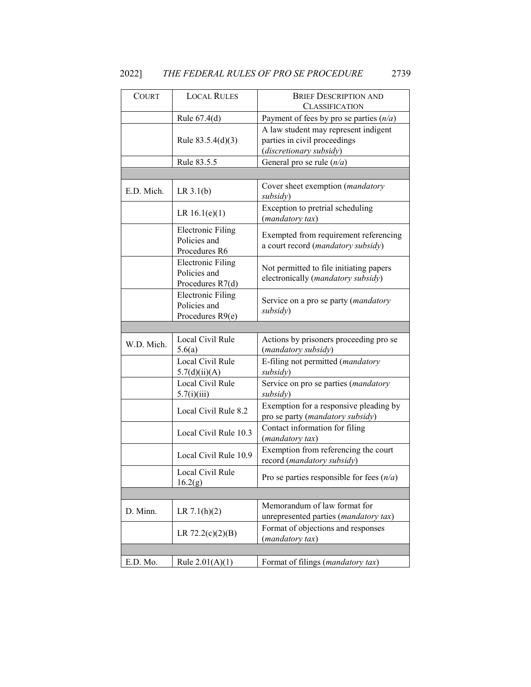| <b>COURT</b> | <b>LOCAL RULES</b>                                           | <b>BRIEF DESCRIPTION AND</b><br><b>CLASSIFICATION</b>                                           |
|--------------|--------------------------------------------------------------|-------------------------------------------------------------------------------------------------|
|              | Rule $67.4(d)$                                               | Payment of fees by pro se parties $(n/a)$                                                       |
|              | Rule $83.5.4(d)(3)$                                          | A law student may represent indigent<br>parties in civil proceedings<br>(discretionary subsidy) |
|              | Rule 83.5.5                                                  | General pro se rule $(n/a)$                                                                     |
|              |                                                              |                                                                                                 |
| E.D. Mich.   | LR 3.1(b)                                                    | Cover sheet exemption (mandatory<br>subsidy)                                                    |
|              | LR $16.1(e)(1)$                                              | Exception to pretrial scheduling<br>(mandatory tax)                                             |
|              | <b>Electronic Filing</b><br>Policies and<br>Procedures R6    | Exempted from requirement referencing<br>a court record (mandatory subsidy)                     |
|              | <b>Electronic Filing</b><br>Policies and<br>Procedures R7(d) | Not permitted to file initiating papers<br>electronically (mandatory subsidy)                   |
|              | <b>Electronic Filing</b><br>Policies and<br>Procedures R9(e) | Service on a pro se party ( <i>mandatory</i><br>subsidy)                                        |
|              |                                                              |                                                                                                 |
| W.D. Mich.   | Local Civil Rule<br>5.6(a)                                   | Actions by prisoners proceeding pro se<br>(mandatory subsidy)                                   |
|              | Local Civil Rule<br>5.7(d)(ii)(A)                            | E-filing not permitted (mandatory<br>subsidy)                                                   |
|              | Local Civil Rule<br>5.7(i)(iii)                              | Service on pro se parties (mandatory<br>subsidy)                                                |
|              | Local Civil Rule 8.2                                         | Exemption for a responsive pleading by<br>pro se party (mandatory subsidy)                      |
|              | Local Civil Rule 10.3                                        | Contact information for filing<br>(mandatory tax)                                               |
|              | Local Civil Rule 10.9                                        | Exemption from referencing the court<br>record (mandatory subsidy)                              |
|              | Local Civil Rule<br>16.2(g)                                  | Pro se parties responsible for fees $(n/a)$                                                     |
|              |                                                              |                                                                                                 |
| D. Minn.     | LR $7.1(h)(2)$                                               | Memorandum of law format for<br>unrepresented parties (mandatory tax)                           |
|              | LR $72.2(c)(2)(B)$                                           | Format of objections and responses<br>(mandatory tax)                                           |
|              |                                                              |                                                                                                 |
| E.D. Mo.     | Rule $2.01(A)(1)$                                            | Format of filings (mandatory tax)                                                               |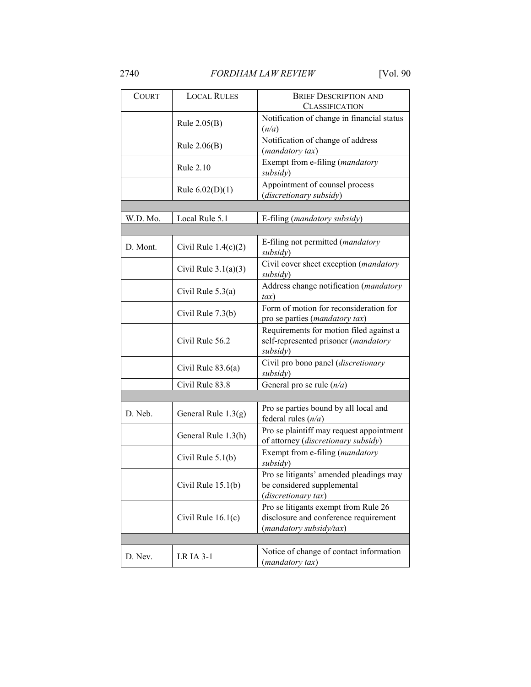| <b>COURT</b> | <b>LOCAL RULES</b>     | <b>BRIEF DESCRIPTION AND</b><br><b>CLASSIFICATION</b>                                                    |  |
|--------------|------------------------|----------------------------------------------------------------------------------------------------------|--|
|              | Rule $2.05(B)$         | Notification of change in financial status<br>(n/a)                                                      |  |
|              | Rule $2.06(B)$         | Notification of change of address<br>(mandatory tax)                                                     |  |
|              | Rule 2.10              | Exempt from e-filing (mandatory<br>subsidy)                                                              |  |
|              | Rule $6.02(D)(1)$      | Appointment of counsel process<br>(discretionary subsidy)                                                |  |
|              |                        |                                                                                                          |  |
| W.D. Mo.     | Local Rule 5.1         | E-filing (mandatory subsidy)                                                                             |  |
|              |                        |                                                                                                          |  |
| D. Mont.     | Civil Rule $1.4(c)(2)$ | E-filing not permitted (mandatory<br>subsidy)                                                            |  |
|              | Civil Rule $3.1(a)(3)$ | Civil cover sheet exception (mandatory<br>subsidy)                                                       |  |
|              | Civil Rule 5.3(a)      | Address change notification (mandatory<br>$\iota$ ax)                                                    |  |
|              | Civil Rule 7.3(b)      | Form of motion for reconsideration for<br>pro se parties (mandatory tax)                                 |  |
|              | Civil Rule 56.2        | Requirements for motion filed against a<br>self-represented prisoner (mandatory<br>subsidy)              |  |
|              | Civil Rule $83.6(a)$   | Civil pro bono panel (discretionary<br>subsidy)                                                          |  |
|              | Civil Rule 83.8        | General pro se rule $(n/a)$                                                                              |  |
|              |                        |                                                                                                          |  |
| D. Neb.      | General Rule $1.3(g)$  | Pro se parties bound by all local and<br>federal rules $(n/a)$                                           |  |
|              | General Rule 1.3(h)    | Pro se plaintiff may request appointment<br>of attorney (discretionary subsidy)                          |  |
|              | Civil Rule $5.1(b)$    | Exempt from e-filing (mandatory<br>subsidy)                                                              |  |
|              | Civil Rule $15.1(b)$   | Pro se litigants' amended pleadings may<br>be considered supplemental<br>(discretionary tax)             |  |
|              | Civil Rule 16.1(c)     | Pro se litigants exempt from Rule 26<br>disclosure and conference requirement<br>(mandatory subsidy/tax) |  |
|              |                        |                                                                                                          |  |
| D. Nev.      | <b>LR IA 3-1</b>       | Notice of change of contact information<br>(mandatory tax)                                               |  |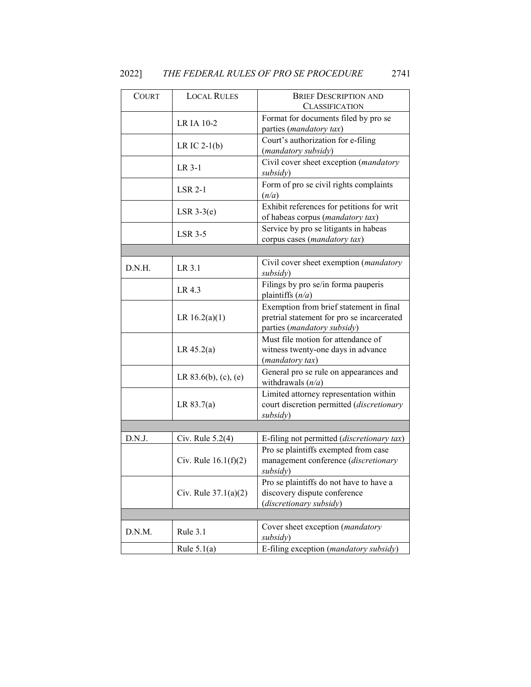| <b>COURT</b> | <b>LOCAL RULES</b>      | <b>BRIEF DESCRIPTION AND</b>                                                                                         |
|--------------|-------------------------|----------------------------------------------------------------------------------------------------------------------|
|              |                         | <b>CLASSIFICATION</b>                                                                                                |
|              | LR IA 10-2              | Format for documents filed by pro se<br>parties (mandatory tax)                                                      |
|              | LR IC $2-1(b)$          | Court's authorization for e-filing<br>(mandatory subsidy)                                                            |
|              | LR 3-1                  | Civil cover sheet exception (mandatory<br>subsidy)                                                                   |
|              | $LSR 2-1$               | Form of pro se civil rights complaints<br>(n/a)                                                                      |
|              | $LSR$ 3-3 $(e)$         | Exhibit references for petitions for writ<br>of habeas corpus (mandatory tax)                                        |
|              | $LSR$ 3-5               | Service by pro se litigants in habeas<br>corpus cases (mandatory tax)                                                |
|              |                         |                                                                                                                      |
| D.N.H.       | LR 3.1                  | Civil cover sheet exemption (mandatory<br>subsidy)                                                                   |
|              | LR 4.3                  | Filings by pro se/in forma pauperis<br>plaintiffs $(n/a)$                                                            |
|              | LR $16.2(a)(1)$         | Exemption from brief statement in final<br>pretrial statement for pro se incarcerated<br>parties (mandatory subsidy) |
|              | LR 45.2(a)              | Must file motion for attendance of<br>witness twenty-one days in advance<br>(mandatory tax)                          |
|              | LR $83.6(b)$ , (c), (e) | General pro se rule on appearances and<br>withdrawals $(n/a)$                                                        |
|              | LR 83.7(a)              | Limited attorney representation within<br>court discretion permitted (discretionary<br>subsidy)                      |
|              |                         |                                                                                                                      |
| D.N.J.       | Civ. Rule $5.2(4)$      | E-filing not permitted (discretionary tax)                                                                           |
|              | Civ. Rule $16.1(f)(2)$  | Pro se plaintiffs exempted from case<br>management conference (discretionary<br>subsidy)                             |
|              | Civ. Rule $37.1(a)(2)$  | Pro se plaintiffs do not have to have a<br>discovery dispute conference<br>(discretionary subsidy)                   |
|              |                         |                                                                                                                      |
| D.N.M.       | Rule 3.1                | Cover sheet exception (mandatory<br>subsidy)                                                                         |
|              | Rule $5.1(a)$           | E-filing exception (mandatory subsidy)                                                                               |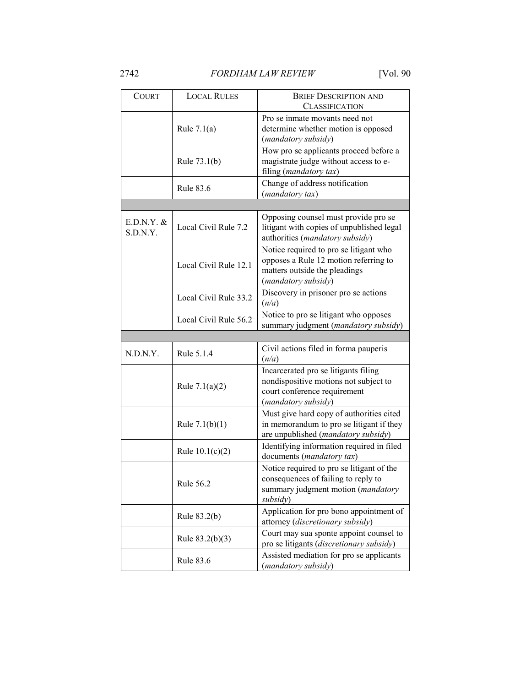| <b>COURT</b>             | <b>LOCAL RULES</b>    | <b>BRIEF DESCRIPTION AND</b><br><b>CLASSIFICATION</b>                                                                                   |
|--------------------------|-----------------------|-----------------------------------------------------------------------------------------------------------------------------------------|
|                          | Rule $7.1(a)$         | Pro se inmate movants need not<br>determine whether motion is opposed<br>(mandatory subsidy)                                            |
|                          | Rule $73.1(b)$        | How pro se applicants proceed before a<br>magistrate judge without access to e-<br>filing (mandatory tax)                               |
|                          | Rule 83.6             | Change of address notification<br>(mandatory tax)                                                                                       |
|                          |                       |                                                                                                                                         |
| $E.D.N.Y.$ &<br>S.D.N.Y. | Local Civil Rule 7.2  | Opposing counsel must provide pro se<br>litigant with copies of unpublished legal<br>authorities (mandatory subsidy)                    |
|                          | Local Civil Rule 12.1 | Notice required to pro se litigant who<br>opposes a Rule 12 motion referring to<br>matters outside the pleadings<br>(mandatory subsidy) |
|                          | Local Civil Rule 33.2 | Discovery in prisoner pro se actions<br>(n/a)                                                                                           |
|                          | Local Civil Rule 56.2 | Notice to pro se litigant who opposes<br>summary judgment (mandatory subsidy)                                                           |
|                          |                       |                                                                                                                                         |
|                          |                       |                                                                                                                                         |
| N.D.N.Y.                 | Rule 5.1.4            | Civil actions filed in forma pauperis<br>(n/a)                                                                                          |
|                          | Rule $7.1(a)(2)$      | Incarcerated pro se litigants filing<br>nondispositive motions not subject to<br>court conference requirement<br>(mandatory subsidy)    |
|                          | Rule $7.1(b)(1)$      | Must give hard copy of authorities cited<br>in memorandum to pro se litigant if they                                                    |
|                          | Rule $10.1(c)(2)$     | are unpublished (mandatory subsidy)<br>Identifying information required in filed<br>documents (mandatory tax)                           |
|                          | <b>Rule 56.2</b>      | Notice required to pro se litigant of the<br>consequences of failing to reply to<br>summary judgment motion (mandatory<br>subsidy)      |
|                          | Rule 83.2(b)          | Application for pro bono appointment of<br>attorney (discretionary subsidy)                                                             |
|                          | Rule $83.2(b)(3)$     | Court may sua sponte appoint counsel to<br>pro se litigants (discretionary subsidy)                                                     |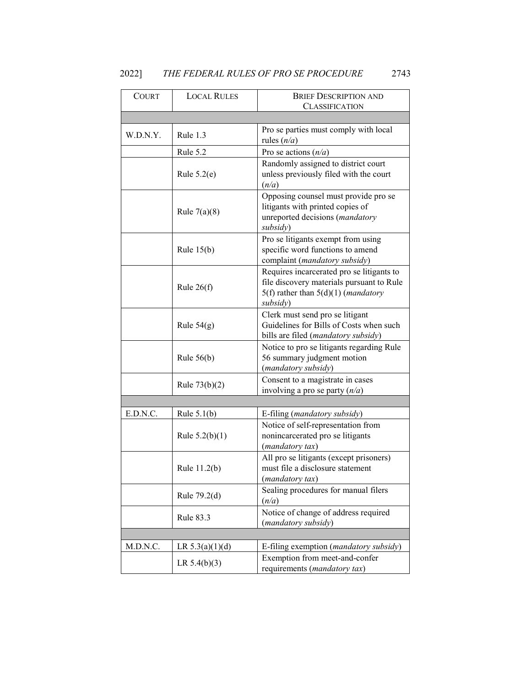| 2022] | THE FEDERAL RULES OF PRO SE PROCEDURE |  | 2743 |
|-------|---------------------------------------|--|------|
|       |                                       |  |      |

| <b>COURT</b> | <b>LOCAL RULES</b> | <b>BRIEF DESCRIPTION AND</b>                                                                                                                          |  |
|--------------|--------------------|-------------------------------------------------------------------------------------------------------------------------------------------------------|--|
|              |                    | <b>CLASSIFICATION</b>                                                                                                                                 |  |
|              |                    |                                                                                                                                                       |  |
| W.D.N.Y.     | Rule 1.3           | Pro se parties must comply with local<br>rules $(n/a)$                                                                                                |  |
|              | Rule 5.2           | Pro se actions $(n/a)$                                                                                                                                |  |
|              |                    | Randomly assigned to district court                                                                                                                   |  |
|              | Rule $5.2(e)$      | unless previously filed with the court<br>(n/a)                                                                                                       |  |
|              | Rule $7(a)(8)$     | Opposing counsel must provide pro se<br>litigants with printed copies of<br>unreported decisions (mandatory<br>subsidy)                               |  |
|              | Rule $15(b)$       | Pro se litigants exempt from using<br>specific word functions to amend<br>complaint (mandatory subsidy)                                               |  |
|              | Rule $26(f)$       | Requires incarcerated pro se litigants to<br>file discovery materials pursuant to Rule<br>$5(f)$ rather than $5(d)(1)$ ( <i>mandatory</i><br>subsidy) |  |
|              | Rule $54(g)$       | Clerk must send pro se litigant<br>Guidelines for Bills of Costs when such<br>bills are filed (mandatory subsidy)                                     |  |
|              | Rule $56(b)$       | Notice to pro se litigants regarding Rule<br>56 summary judgment motion<br>(mandatory subsidy)                                                        |  |
|              | Rule $73(b)(2)$    | Consent to a magistrate in cases<br>involving a pro se party $(n/a)$                                                                                  |  |
|              |                    |                                                                                                                                                       |  |
| E.D.N.C.     | Rule $5.1(b)$      | E-filing (mandatory subsidy)                                                                                                                          |  |
|              | Rule $5.2(b)(1)$   | Notice of self-representation from<br>nonincarcerated pro se litigants<br>(mandatory tax)                                                             |  |
|              | Rule 11.2(b)       | All pro se litigants (except prisoners)<br>must file a disclosure statement<br>(mandatory tax)                                                        |  |
|              | Rule 79.2(d)       | Sealing procedures for manual filers<br>(n/a)                                                                                                         |  |
|              | <b>Rule 83.3</b>   | Notice of change of address required<br>(mandatory subsidy)                                                                                           |  |
|              |                    |                                                                                                                                                       |  |
| M.D.N.C.     | LR $5.3(a)(1)(d)$  | E-filing exemption (mandatory subsidy)                                                                                                                |  |
|              | LR $5.4(b)(3)$     | Exemption from meet-and-confer<br>requirements (mandatory tax)                                                                                        |  |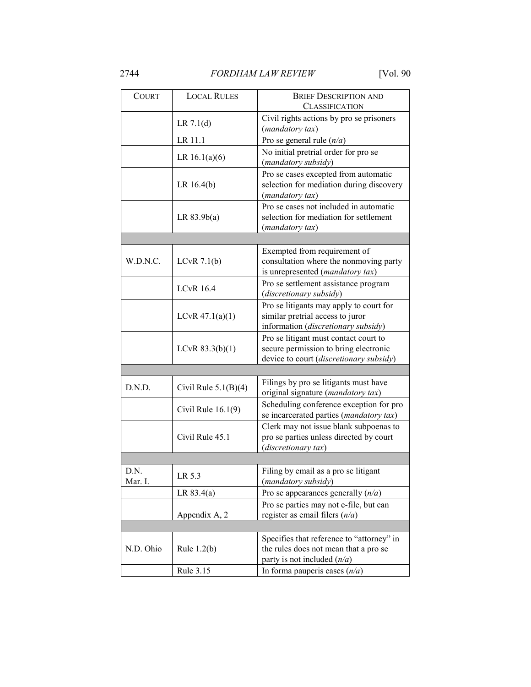| <b>COURT</b>    | <b>LOCAL RULES</b>     | <b>BRIEF DESCRIPTION AND</b><br><b>CLASSIFICATION</b>                                                                     |  |
|-----------------|------------------------|---------------------------------------------------------------------------------------------------------------------------|--|
|                 | LR 7.1(d)              | Civil rights actions by pro se prisoners<br>(mandatory tax)                                                               |  |
|                 | LR 11.1                | Pro se general rule $(n/a)$                                                                                               |  |
|                 | LR $16.1(a)(6)$        | No initial pretrial order for pro se<br>(mandatory subsidy)                                                               |  |
|                 | LR 16.4(b)             | Pro se cases excepted from automatic<br>selection for mediation during discovery<br>(mandatory tax)                       |  |
|                 | LR 83.9b(a)            | Pro se cases not included in automatic<br>selection for mediation for settlement<br>(mandatory tax)                       |  |
|                 |                        |                                                                                                                           |  |
| W.D.N.C.        | LCvR $7.1(b)$          | Exempted from requirement of<br>consultation where the nonmoving party<br>is unrepresented (mandatory tax)                |  |
|                 | <b>LCvR 16.4</b>       | Pro se settlement assistance program<br>(discretionary subsidy)                                                           |  |
|                 | $LCvR$ 47.1(a)(1)      | Pro se litigants may apply to court for<br>similar pretrial access to juror<br>information (discretionary subsidy)        |  |
|                 | LCvR $83.3(b)(1)$      | Pro se litigant must contact court to<br>secure permission to bring electronic<br>device to court (discretionary subsidy) |  |
|                 |                        |                                                                                                                           |  |
| D.N.D.          | Civil Rule $5.1(B)(4)$ | Filings by pro se litigants must have<br>original signature (mandatory tax)                                               |  |
|                 | Civil Rule $16.1(9)$   | Scheduling conference exception for pro<br>se incarcerated parties (mandatory tax)                                        |  |
|                 | Civil Rule 45.1        | Clerk may not issue blank subpoenas to<br>pro se parties unless directed by court<br>(discretionary tax)                  |  |
|                 |                        |                                                                                                                           |  |
| D.N.<br>Mar. I. | LR 5.3                 | Filing by email as a pro se litigant<br>(mandatory subsidy)                                                               |  |
|                 | LR 83.4(a)             | Pro se appearances generally $(n/a)$                                                                                      |  |
|                 | Appendix A, 2          | Pro se parties may not e-file, but can<br>register as email filers $(n/a)$                                                |  |
|                 |                        |                                                                                                                           |  |
| N.D. Ohio       | Rule $1.2(b)$          | Specifies that reference to "attorney" in<br>the rules does not mean that a pro se<br>party is not included $(n/a)$       |  |
|                 | Rule 3.15              | In forma pauperis cases $(n/a)$                                                                                           |  |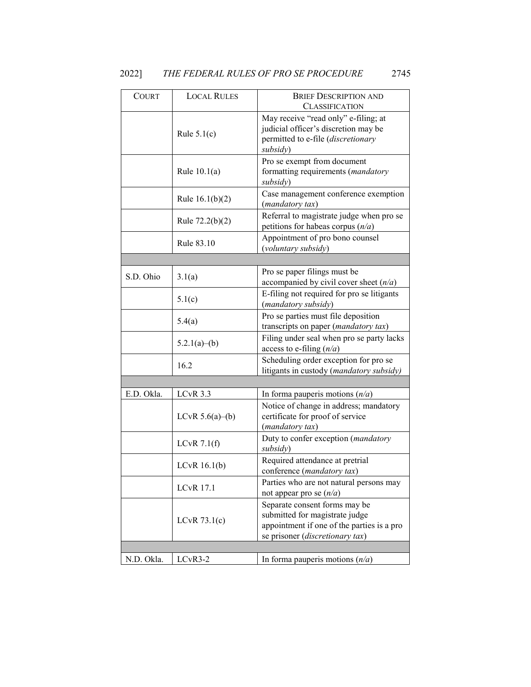| <b>COURT</b> | <b>LOCAL RULES</b> | <b>BRIEF DESCRIPTION AND</b><br><b>CLASSIFICATION</b>                                                                                            |
|--------------|--------------------|--------------------------------------------------------------------------------------------------------------------------------------------------|
|              | Rule $5.1(c)$      | May receive "read only" e-filing; at<br>judicial officer's discretion may be<br>permitted to e-file (discretionary<br>subsidy)                   |
|              | Rule $10.1(a)$     | Pro se exempt from document<br>formatting requirements (mandatory<br>subsidy)                                                                    |
|              | Rule $16.1(b)(2)$  | Case management conference exemption<br>(mandatory tax)                                                                                          |
|              | Rule $72.2(b)(2)$  | Referral to magistrate judge when pro se<br>petitions for habeas corpus $(n/a)$                                                                  |
|              | Rule 83.10         | Appointment of pro bono counsel<br>(voluntary subsidy)                                                                                           |
|              |                    |                                                                                                                                                  |
| S.D. Ohio    | 3.1(a)             | Pro se paper filings must be<br>accompanied by civil cover sheet $(n/a)$                                                                         |
|              | 5.1(c)             | E-filing not required for pro se litigants<br>(mandatory subsidy)                                                                                |
|              | 5.4(a)             | Pro se parties must file deposition<br>transcripts on paper (mandatory tax)                                                                      |
|              | 5.2.1(a)–(b)       | Filing under seal when pro se party lacks<br>access to e-filing $(n/a)$                                                                          |
|              | 16.2               | Scheduling order exception for pro se<br>litigants in custody (mandatory subsidy)                                                                |
|              |                    |                                                                                                                                                  |
| E.D. Okla.   | LCvR 3.3           | In forma pauperis motions $(n/a)$                                                                                                                |
|              | LCvR $5.6(a)$ –(b) | Notice of change in address; mandatory<br>certificate for proof of service<br>(mandatory tax)                                                    |
|              | LCvR $7.1(f)$      | Duty to confer exception (mandatory<br>subsidy)                                                                                                  |
|              | LCvR $16.1(b)$     | Required attendance at pretrial<br>conference (mandatory tax)                                                                                    |
|              | <b>LCvR 17.1</b>   | Parties who are not natural persons may<br>not appear pro se $(n/a)$                                                                             |
|              | LCvR $73.1(c)$     | Separate consent forms may be<br>submitted for magistrate judge<br>appointment if one of the parties is a pro<br>se prisoner (discretionary tax) |
|              |                    |                                                                                                                                                  |
| N.D. Okla.   | LCvR3-2            | In forma pauperis motions $(n/a)$                                                                                                                |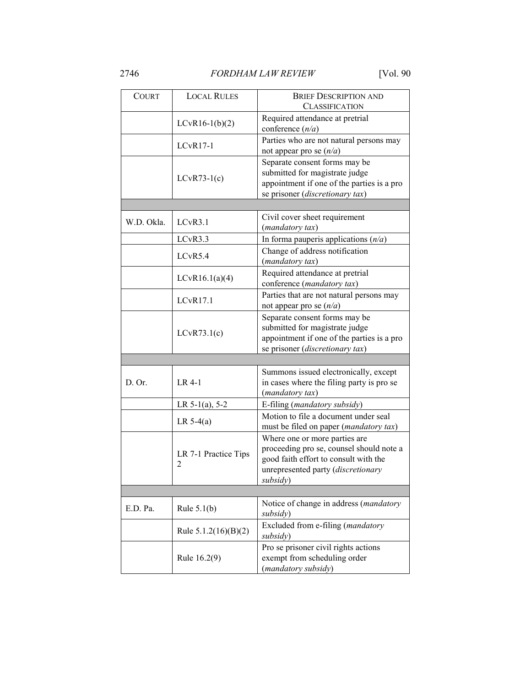| <b>COURT</b> | <b>LOCAL RULES</b>        | <b>BRIEF DESCRIPTION AND</b><br><b>CLASSIFICATION</b>                                                                                                                |  |
|--------------|---------------------------|----------------------------------------------------------------------------------------------------------------------------------------------------------------------|--|
|              | $LCvR16-1(b)(2)$          | Required attendance at pretrial<br>conference $(n/a)$                                                                                                                |  |
|              | $LCvR17-1$                | Parties who are not natural persons may<br>not appear pro se $(n/a)$                                                                                                 |  |
|              | $LCvR73-1(c)$             | Separate consent forms may be<br>submitted for magistrate judge<br>appointment if one of the parties is a pro<br>se prisoner (discretionary tax)                     |  |
|              |                           |                                                                                                                                                                      |  |
| W.D. Okla.   | LCvR3.1                   | Civil cover sheet requirement<br>(mandatory tax)                                                                                                                     |  |
|              | LCvR3.3                   | In forma pauperis applications $(n/a)$                                                                                                                               |  |
|              | LCvR5.4                   | Change of address notification<br>(mandatory tax)                                                                                                                    |  |
|              | LCvR16.1(a)(4)            | Required attendance at pretrial<br>conference (mandatory tax)                                                                                                        |  |
|              | LCvR17.1                  | Parties that are not natural persons may<br>not appear pro se $(n/a)$                                                                                                |  |
|              | LCvR73.1(c)               | Separate consent forms may be<br>submitted for magistrate judge<br>appointment if one of the parties is a pro<br>se prisoner (discretionary tax)                     |  |
|              |                           |                                                                                                                                                                      |  |
| D. Or.       | LR 4-1                    | Summons issued electronically, except<br>in cases where the filing party is pro se<br>(mandatory tax)                                                                |  |
|              | LR $5-1(a)$ , $5-2$       | E-filing (mandatory subsidy)                                                                                                                                         |  |
|              | LR $5-4(a)$               | Motion to file a document under seal<br>must be filed on paper (mandatory tax)                                                                                       |  |
|              | LR 7-1 Practice Tips<br>2 | Where one or more parties are<br>proceeding pro se, counsel should note a<br>good faith effort to consult with the<br>unrepresented party (discretionary<br>subsidy) |  |
|              |                           |                                                                                                                                                                      |  |
| E.D. Pa.     | Rule $5.1(b)$             | Notice of change in address (mandatory<br>subsidy)                                                                                                                   |  |
|              | Rule $5.1.2(16)(B)(2)$    | Excluded from e-filing (mandatory<br>subsidy)                                                                                                                        |  |
|              | Rule 16.2(9)              | Pro se prisoner civil rights actions<br>exempt from scheduling order<br>(mandatory subsidy)                                                                          |  |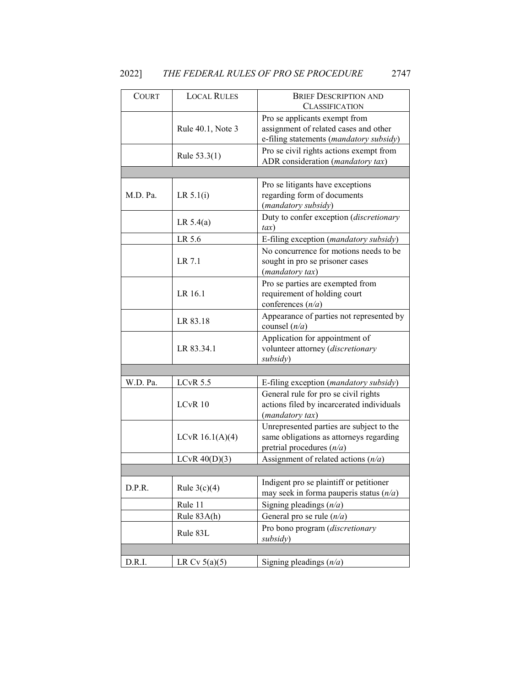# 2022] *THE FEDERAL RULES OF PRO SE PROCEDURE* 2747

| <b>COURT</b> | <b>LOCAL RULES</b> | <b>BRIEF DESCRIPTION AND</b>              |
|--------------|--------------------|-------------------------------------------|
|              |                    | <b>CLASSIFICATION</b>                     |
|              |                    | Pro se applicants exempt from             |
|              | Rule 40.1, Note 3  | assignment of related cases and other     |
|              |                    | e-filing statements (mandatory subsidy)   |
|              |                    | Pro se civil rights actions exempt from   |
|              | Rule $53.3(1)$     | ADR consideration (mandatory tax)         |
|              |                    |                                           |
|              |                    | Pro se litigants have exceptions          |
| M.D. Pa.     | LR 5.1(i)          | regarding form of documents               |
|              |                    | (mandatory subsidy)                       |
|              |                    |                                           |
|              | LR $5.4(a)$        | Duty to confer exception (discretionary   |
|              |                    | $\iota$ ax)                               |
|              | LR 5.6             | E-filing exception (mandatory subsidy)    |
|              |                    | No concurrence for motions needs to be    |
|              | LR 7.1             | sought in pro se prisoner cases           |
|              |                    | (mandatory tax)                           |
|              |                    | Pro se parties are exempted from          |
|              | LR 16.1            | requirement of holding court              |
|              |                    | conferences $(n/a)$                       |
|              |                    |                                           |
|              | LR 83.18           | Appearance of parties not represented by  |
|              |                    | counsel $(n/a)$                           |
|              | LR 83.34.1         | Application for appointment of            |
|              |                    | volunteer attorney (discretionary         |
|              |                    | subsidy)                                  |
|              |                    |                                           |
| W.D. Pa.     | $LCvR$ 5.5         | E-filing exception (mandatory subsidy)    |
|              | LCvR 10            | General rule for pro se civil rights      |
|              |                    | actions filed by incarcerated individuals |
|              |                    | (mandatory tax)                           |
|              |                    | Unrepresented parties are subject to the  |
|              | LCvR $16.1(A)(4)$  | same obligations as attorneys regarding   |
|              |                    | pretrial procedures $(n/a)$               |
|              | $LCvR$ 40(D)(3)    | Assignment of related actions $(n/a)$     |
|              |                    |                                           |
|              |                    | Indigent pro se plaintiff or petitioner   |
| D.P.R.       | Rule $3(c)(4)$     | may seek in forma pauperis status $(n/a)$ |
|              | Rule 11            |                                           |
|              |                    | Signing pleadings $(n/a)$                 |
|              | Rule 83A(h)        | General pro se rule $(n/a)$               |
|              | Rule 83L           | Pro bono program (discretionary           |
|              |                    | subsidy)                                  |
|              |                    |                                           |
| D.R.I.       | LR Cv $5(a)(5)$    | Signing pleadings $(n/a)$                 |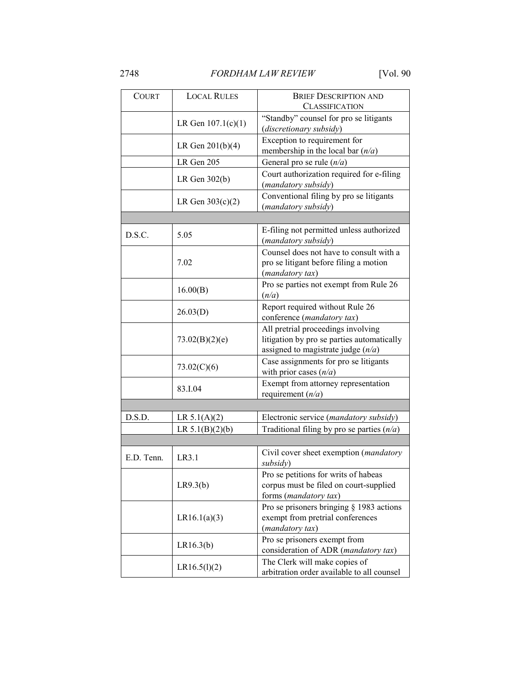| <b>COURT</b> | <b>LOCAL RULES</b>   | <b>BRIEF DESCRIPTION AND</b><br><b>CLASSIFICATION</b>                                                                    |  |
|--------------|----------------------|--------------------------------------------------------------------------------------------------------------------------|--|
|              | LR Gen $107.1(c)(1)$ | "Standby" counsel for pro se litigants<br>(discretionary subsidy)                                                        |  |
|              | LR Gen $201(b)(4)$   | Exception to requirement for<br>membership in the local bar $(n/a)$                                                      |  |
|              | LR Gen 205           | General pro se rule $(n/a)$                                                                                              |  |
|              | LR Gen $302(b)$      | Court authorization required for e-filing<br>(mandatory subsidy)                                                         |  |
|              | LR Gen $303(c)(2)$   | Conventional filing by pro se litigants<br>(mandatory subsidy)                                                           |  |
|              |                      |                                                                                                                          |  |
| D.S.C.       | 5.05                 | E-filing not permitted unless authorized<br>(mandatory subsidy)                                                          |  |
|              | 7.02                 | Counsel does not have to consult with a<br>pro se litigant before filing a motion<br>(mandatory tax)                     |  |
|              | 16.00(B)             | Pro se parties not exempt from Rule 26<br>(n/a)                                                                          |  |
|              | 26.03(D)             | Report required without Rule 26<br>conference (mandatory tax)                                                            |  |
|              | 73.02(B)(2)(e)       | All pretrial proceedings involving<br>litigation by pro se parties automatically<br>assigned to magistrate judge $(n/a)$ |  |
|              | 73.02(C)(6)          | Case assignments for pro se litigants<br>with prior cases $(n/a)$                                                        |  |
|              | 83.I.04              | Exempt from attorney representation<br>requirement $(n/a)$                                                               |  |
|              |                      |                                                                                                                          |  |
| D.S.D.       | LR $5.1(A)(2)$       | Electronic service (mandatory subsidy)                                                                                   |  |
|              | LR $5.1(B)(2)(b)$    | Traditional filing by pro se parties $(n/a)$                                                                             |  |
|              |                      |                                                                                                                          |  |
| E.D. Tenn.   | LR3.1                | Civil cover sheet exemption ( <i>mandatory</i><br>subsidy)                                                               |  |
|              | LR9.3(b)             | Pro se petitions for writs of habeas<br>corpus must be filed on court-supplied<br>forms (mandatory tax)                  |  |
|              | LR16.1(a)(3)         | Pro se prisoners bringing § 1983 actions<br>exempt from pretrial conferences<br>(mandatory tax)                          |  |
|              | LR16.3(b)            | Pro se prisoners exempt from<br>consideration of ADR (mandatory tax)                                                     |  |
|              | LR16.5(l)(2)         | The Clerk will make copies of<br>arbitration order available to all counsel                                              |  |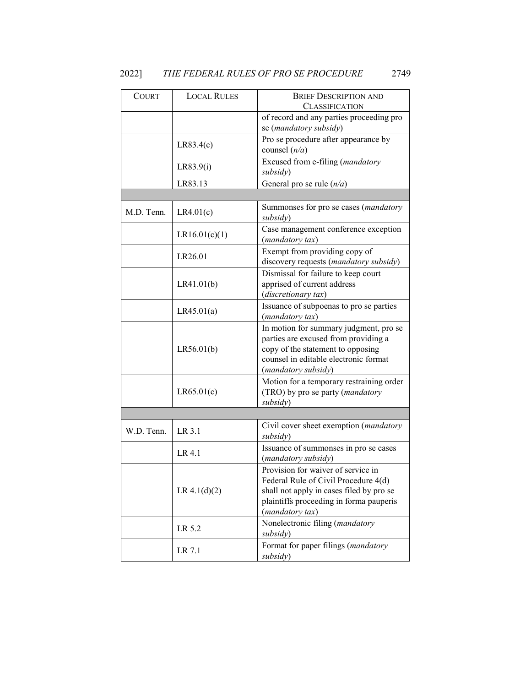| 20221 |  | THE FEDERAL RULES OF PRO SE PROCEDURE | 2749 |
|-------|--|---------------------------------------|------|
|       |  |                                       |      |

| <b>COURT</b> | <b>LOCAL RULES</b> | <b>BRIEF DESCRIPTION AND</b><br><b>CLASSIFICATION</b>                                                                                                                                |
|--------------|--------------------|--------------------------------------------------------------------------------------------------------------------------------------------------------------------------------------|
|              |                    | of record and any parties proceeding pro<br>se (mandatory subsidy)                                                                                                                   |
|              | LR83.4(c)          | Pro se procedure after appearance by<br>counsel $(n/a)$                                                                                                                              |
|              | LR83.9(i)          | Excused from e-filing (mandatory<br>subsidy)                                                                                                                                         |
|              | LR83.13            | General pro se rule $(n/a)$                                                                                                                                                          |
|              |                    |                                                                                                                                                                                      |
| M.D. Tenn.   | LR4.01(c)          | Summonses for pro se cases (mandatory<br>subsidy)                                                                                                                                    |
|              | LR16.01(c)(1)      | Case management conference exception<br>(mandatory tax)                                                                                                                              |
|              | LR26.01            | Exempt from providing copy of<br>discovery requests (mandatory subsidy)                                                                                                              |
|              | LR41.01(b)         | Dismissal for failure to keep court<br>apprised of current address<br>(discretionary tax)                                                                                            |
|              | LR45.01(a)         | Issuance of subpoenas to pro se parties<br>(mandatory tax)                                                                                                                           |
|              | LR56.01(b)         | In motion for summary judgment, pro se<br>parties are excused from providing a<br>copy of the statement to opposing<br>counsel in editable electronic format<br>(mandatory subsidy)  |
|              | LR65.01(c)         | Motion for a temporary restraining order<br>(TRO) by pro se party (mandatory<br>subsidy)                                                                                             |
|              |                    |                                                                                                                                                                                      |
| W.D. Tenn.   | LR 3.1             | Civil cover sheet exemption (mandatory<br>subsidy)                                                                                                                                   |
|              | LR 4.1             | Issuance of summonses in pro se cases<br>(mandatory subsidy)                                                                                                                         |
|              | LR 4.1(d)(2)       | Provision for waiver of service in<br>Federal Rule of Civil Procedure 4(d)<br>shall not apply in cases filed by pro se<br>plaintiffs proceeding in forma pauperis<br>(mandatory tax) |
|              | LR 5.2             | Nonelectronic filing (mandatory<br>subsidy)                                                                                                                                          |
|              | LR 7.1             | Format for paper filings (mandatory<br>subsidy)                                                                                                                                      |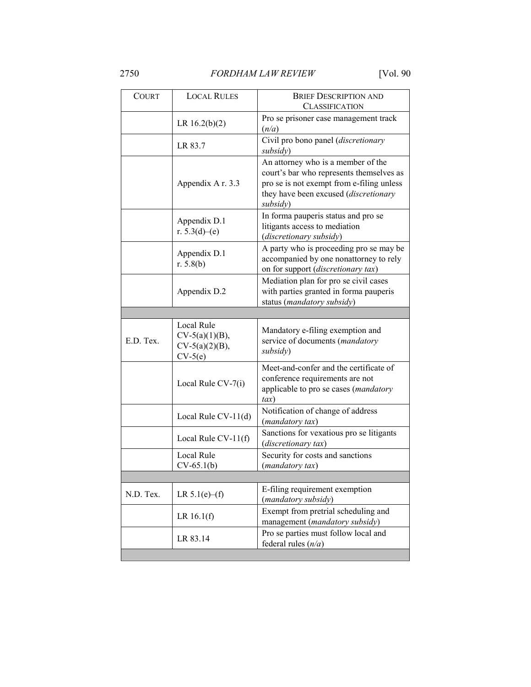2750 *FORDHAM LAW REVIEW* [Vol. 90

| <b>LOCAL RULES</b>                                  | <b>BRIEF DESCRIPTION AND</b><br><b>CLASSIFICATION</b>                                                                                                                            |
|-----------------------------------------------------|----------------------------------------------------------------------------------------------------------------------------------------------------------------------------------|
| LR $16.2(b)(2)$                                     | Pro se prisoner case management track<br>(n/a)                                                                                                                                   |
| LR 83.7                                             | Civil pro bono panel (discretionary<br>subsidy)                                                                                                                                  |
| Appendix A r. 3.3                                   | An attorney who is a member of the<br>court's bar who represents themselves as<br>pro se is not exempt from e-filing unless<br>they have been excused (discretionary<br>subsidy) |
| Appendix D.1<br>r. $5.3(d)$ –(e)                    | In forma pauperis status and pro se<br>litigants access to mediation<br>(discretionary subsidy)                                                                                  |
| Appendix D.1<br>r. $5.8(b)$                         | A party who is proceeding pro se may be<br>accompanied by one nonattorney to rely<br>on for support (discretionary tax)                                                          |
| Appendix D.2                                        | Mediation plan for pro se civil cases<br>with parties granted in forma pauperis<br>status (mandatory subsidy)                                                                    |
|                                                     |                                                                                                                                                                                  |
| Local Rule<br>$CV-5(a)(1)(B),$<br>$CV-5(a)(2)(B)$ , | Mandatory e-filing exemption and<br>service of documents (mandatory<br>subsidy)                                                                                                  |
| Local Rule CV-7(i)                                  | Meet-and-confer and the certificate of<br>conference requirements are not<br>applicable to pro se cases (mandatory<br>$\iota$ ax)                                                |
| Local Rule CV-11(d)                                 | Notification of change of address<br>(mandatory tax)                                                                                                                             |
| Local Rule CV-11(f)                                 | Sanctions for vexatious pro se litigants<br>(discretionary tax)                                                                                                                  |
| Local Rule<br>$CV-65.1(b)$                          | Security for costs and sanctions<br>(mandatory tax)                                                                                                                              |
|                                                     |                                                                                                                                                                                  |
| LR $5.1(e)$ –(f)                                    | E-filing requirement exemption<br>(mandatory subsidy)                                                                                                                            |
| LR $16.1(f)$                                        | Exempt from pretrial scheduling and<br>management (mandatory subsidy)                                                                                                            |
| LR 83.14                                            | Pro se parties must follow local and<br>federal rules $(n/a)$                                                                                                                    |
|                                                     | $CV-5(e)$                                                                                                                                                                        |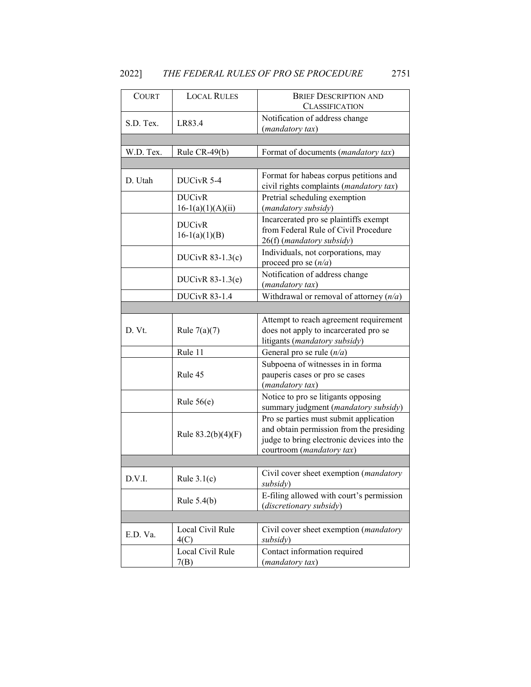# 2022] *THE FEDERAL RULES OF PRO SE PROCEDURE* 2751

| <b>COURT</b> | <b>LOCAL RULES</b>                   | <b>BRIEF DESCRIPTION AND</b><br><b>CLASSIFICATION</b>                                                                                                         |
|--------------|--------------------------------------|---------------------------------------------------------------------------------------------------------------------------------------------------------------|
| S.D. Tex.    | LR83.4                               | Notification of address change<br>(mandatory tax)                                                                                                             |
|              |                                      |                                                                                                                                                               |
| W.D. Tex.    | Rule CR-49(b)                        | Format of documents (mandatory tax)                                                                                                                           |
|              |                                      |                                                                                                                                                               |
| D. Utah      | DUCivR 5-4                           | Format for habeas corpus petitions and<br>civil rights complaints (mandatory tax)                                                                             |
|              | <b>DUCivR</b><br>$16-1(a)(1)(A)(ii)$ | Pretrial scheduling exemption<br>(mandatory subsidy)                                                                                                          |
|              | <b>DUCivR</b><br>$16-1(a)(1)(B)$     | Incarcerated pro se plaintiffs exempt<br>from Federal Rule of Civil Procedure<br>26(f) (mandatory subsidy)                                                    |
|              | DUCivR $83-1.3(c)$                   | Individuals, not corporations, may<br>proceed pro se $(n/a)$                                                                                                  |
|              | DUCivR $83-1.3(e)$                   | Notification of address change<br>(mandatory tax)                                                                                                             |
|              | <b>DUCivR 83-1.4</b>                 | Withdrawal or removal of attorney $(n/a)$                                                                                                                     |
|              |                                      |                                                                                                                                                               |
| D. Vt.       | Rule $7(a)(7)$                       | Attempt to reach agreement requirement<br>does not apply to incarcerated pro se<br>litigants (mandatory subsidy)                                              |
|              | Rule 11                              | General pro se rule $(n/a)$                                                                                                                                   |
|              | Rule 45                              | Subpoena of witnesses in in forma<br>pauperis cases or pro se cases<br>(mandatory tax)                                                                        |
|              | Rule $56(e)$                         | Notice to pro se litigants opposing<br>summary judgment (mandatory subsidy)                                                                                   |
|              | Rule $83.2(b)(4)(F)$                 | Pro se parties must submit application<br>and obtain permission from the presiding<br>judge to bring electronic devices into the<br>courtroom (mandatory tax) |
|              |                                      |                                                                                                                                                               |
| D.V.I.       | Rule $3.1(c)$                        | Civil cover sheet exemption (mandatory<br>subsidy)                                                                                                            |
|              | Rule $5.4(b)$                        | E-filing allowed with court's permission<br>(discretionary subsidy)                                                                                           |
|              |                                      |                                                                                                                                                               |
| E.D. Va.     | Local Civil Rule<br>4(C)             | Civil cover sheet exemption (mandatory<br>subsidy)                                                                                                            |
|              | Local Civil Rule<br>7(B)             | Contact information required<br>(mandatory tax)                                                                                                               |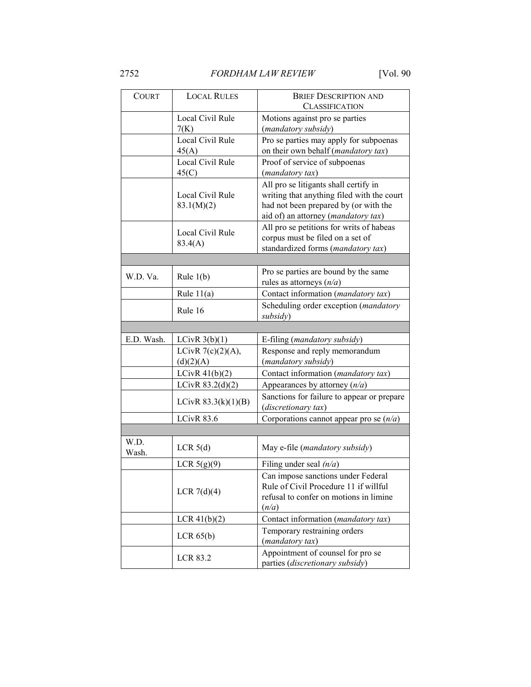| <b>COURT</b>  | <b>LOCAL RULES</b>    | <b>BRIEF DESCRIPTION AND</b>               |  |
|---------------|-----------------------|--------------------------------------------|--|
|               |                       | <b>CLASSIFICATION</b>                      |  |
|               | Local Civil Rule      | Motions against pro se parties             |  |
|               | 7(K)                  | (mandatory subsidy)                        |  |
|               | Local Civil Rule      | Pro se parties may apply for subpoenas     |  |
|               | 45(A)                 | on their own behalf (mandatory tax)        |  |
|               | Local Civil Rule      | Proof of service of subpoenas              |  |
|               | 45(C)                 | (mandatory tax)                            |  |
|               |                       | All pro se litigants shall certify in      |  |
|               | Local Civil Rule      | writing that anything filed with the court |  |
|               | 83.1(M)(2)            | had not been prepared by (or with the      |  |
|               |                       | aid of) an attorney (mandatory tax)        |  |
|               |                       | All pro se petitions for writs of habeas   |  |
|               | Local Civil Rule      | corpus must be filed on a set of           |  |
|               | 83.4(A)               | standardized forms (mandatory tax)         |  |
|               |                       |                                            |  |
|               |                       | Pro se parties are bound by the same       |  |
| W.D. Va.      | Rule $1(b)$           | rules as attorneys $(n/a)$                 |  |
|               | Rule $11(a)$          | Contact information (mandatory tax)        |  |
|               |                       | Scheduling order exception (mandatory      |  |
|               | Rule 16               | subsidy)                                   |  |
|               |                       |                                            |  |
| E.D. Wash.    | LCivR $3(b)(1)$       | E-filing ( <i>mandatory subsidy</i> )      |  |
|               | LCivR $7(c)(2)(A)$ ,  | Response and reply memorandum              |  |
|               | (d)(2)(A)             | (mandatory subsidy)                        |  |
|               | LCivR $41(b)(2)$      | Contact information (mandatory tax)        |  |
|               | LCivR $83.2(d)(2)$    | Appearances by attorney $(n/a)$            |  |
|               |                       | Sanctions for failure to appear or prepare |  |
|               | LCivR $83.3(k)(1)(B)$ | (discretionary tax)                        |  |
|               | <b>LCivR 83.6</b>     | Corporations cannot appear pro se $(n/a)$  |  |
|               |                       |                                            |  |
|               |                       |                                            |  |
| W.D.<br>Wash. | LCR $5(d)$            | May e-file (mandatory subsidy)             |  |
|               |                       | Filing under seal $(n/a)$                  |  |
|               | LCR $5(g)(9)$         | Can impose sanctions under Federal         |  |
|               |                       | Rule of Civil Procedure 11 if willful      |  |
|               | LCR $7(d)(4)$         | refusal to confer on motions in limine     |  |
|               |                       | (n/a)                                      |  |
|               | $LCR$ 41(b)(2)        | Contact information (mandatory tax)        |  |
|               |                       | Temporary restraining orders               |  |
|               | $LCR$ 65(b)           | (mandatory tax)                            |  |
|               |                       | Appointment of counsel for pro se          |  |
|               | <b>LCR 83.2</b>       | parties (discretionary subsidy)            |  |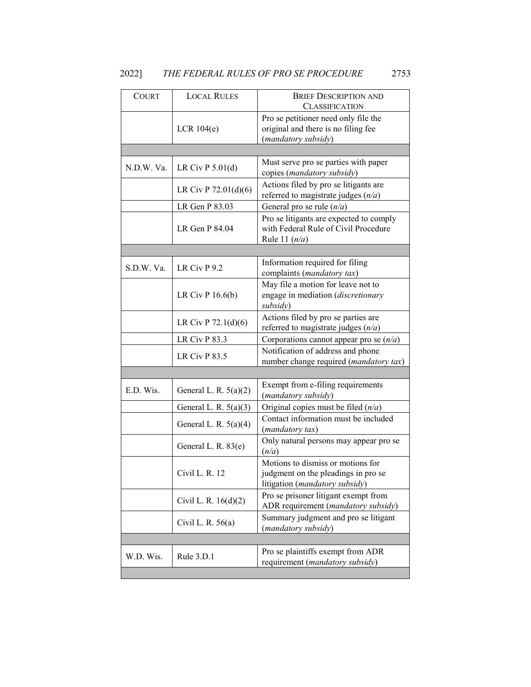# 2022] *THE FEDERAL RULES OF PRO SE PROCEDURE* 2753

| COURT      | <b>LOCAL RULES</b>      | <b>BRIEF DESCRIPTION AND</b>                                                                               |
|------------|-------------------------|------------------------------------------------------------------------------------------------------------|
|            |                         | <b>CLASSIFICATION</b>                                                                                      |
|            | LCR $104(e)$            | Pro se petitioner need only file the<br>original and there is no filing fee<br>(mandatory subsidy)         |
|            |                         |                                                                                                            |
| N.D.W. Va. | LR Civ $P 5.01(d)$      | Must serve pro se parties with paper<br>copies (mandatory subsidy)                                         |
|            | LR Civ P 72.01(d)(6)    | Actions filed by pro se litigants are<br>referred to magistrate judges $(n/a)$                             |
|            | LR Gen P 83.03          | General pro se rule $(n/a)$                                                                                |
|            | LR Gen P 84.04          | Pro se litigants are expected to comply<br>with Federal Rule of Civil Procedure<br>Rule 11 $(n/a)$         |
|            |                         |                                                                                                            |
| S.D.W. Va. | LR Civ $P$ 9.2          | Information required for filing<br>complaints (mandatory tax)                                              |
|            | LR Civ $P$ 16.6(b)      | May file a motion for leave not to<br>engage in mediation (discretionary<br>subsidy)                       |
|            | LR Civ P $72.1(d)(6)$   | Actions filed by pro se parties are<br>referred to magistrate judges $(n/a)$                               |
|            | <b>LR Civ P 83.3</b>    | Corporations cannot appear pro se $(n/a)$                                                                  |
|            | LR Civ $P$ 83.5         | Notification of address and phone<br>number change required (mandatory tax)                                |
|            |                         |                                                                                                            |
| E.D. Wis.  | General L. R. $5(a)(2)$ | Exempt from e-filing requirements<br>(mandatory subsidy)                                                   |
|            | General L. R. $5(a)(3)$ | Original copies must be filed $(n/a)$                                                                      |
|            | General L. R. $5(a)(4)$ | Contact information must be included<br>(mandatory tax)                                                    |
|            | General L. R. 83(e)     | Only natural persons may appear pro se<br>(n/a)                                                            |
|            | Civil L. R. 12          | Motions to dismiss or motions for<br>judgment on the pleadings in pro se<br>litigation (mandatory subsidy) |
|            | Civil L. R. $16(d)(2)$  | Pro se prisoner litigant exempt from<br>ADR requirement (mandatory subsidy)                                |
|            | Civil L. R. $56(a)$     | Summary judgment and pro se litigant<br>(mandatory subsidy)                                                |
|            |                         |                                                                                                            |
| W.D. Wis.  | Rule 3.D.1              | Pro se plaintiffs exempt from ADR<br>requirement (mandatory subsidy)                                       |
|            |                         |                                                                                                            |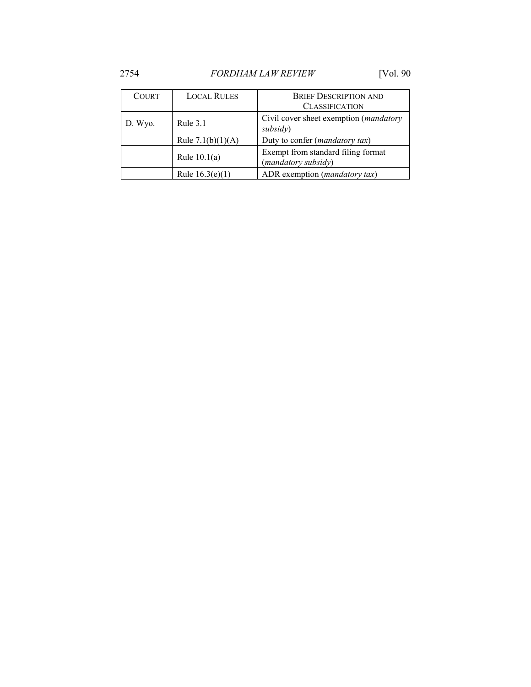| <b>COURT</b> | <b>LOCAL RULES</b>  | <b>BRIEF DESCRIPTION AND</b><br><b>CLASSIFICATION</b>      |
|--------------|---------------------|------------------------------------------------------------|
| D. Wyo.      | Rule $3.1$          | Civil cover sheet exemption ( <i>mandatory</i><br>subsidy) |
|              | Rule $7.1(b)(1)(A)$ | Duty to confer ( <i>mandatory tax</i> )                    |
|              | Rule $10.1(a)$      | Exempt from standard filing format<br>(mandatory subsidy)  |
|              | Rule $16.3(e)(1)$   | ADR exemption ( <i>mandatory tax</i> )                     |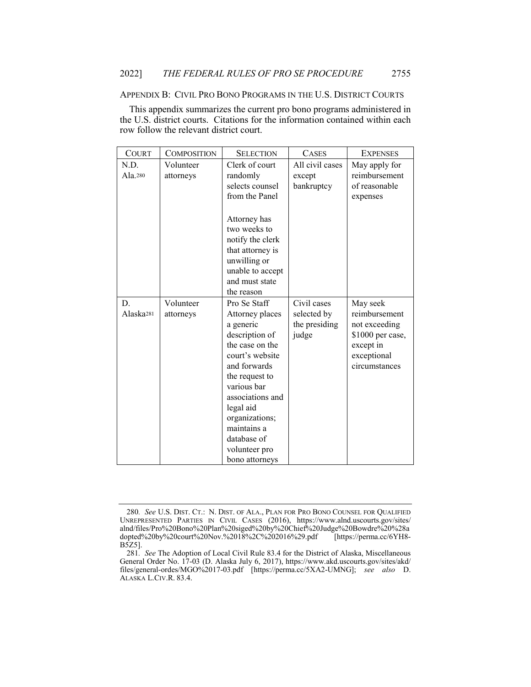#### APPENDIX B: CIVIL PRO BONO PROGRAMS IN THE U.S. DISTRICT COURTS

This appendix summarizes the current pro bono programs administered in the U.S. district courts. Citations for the information contained within each row follow the relevant district court.

| <b>COURT</b>          | COMPOSITION | <b>SELECTION</b> | <b>CASES</b>    | <b>EXPENSES</b>  |
|-----------------------|-------------|------------------|-----------------|------------------|
| N.D.                  | Volunteer   | Clerk of court   | All civil cases | May apply for    |
| Ala. $280$            | attorneys   | randomly         | except          | reimbursement    |
|                       |             | selects counsel  | bankruptcy      | of reasonable    |
|                       |             | from the Panel   |                 | expenses         |
|                       |             |                  |                 |                  |
|                       |             | Attorney has     |                 |                  |
|                       |             | two weeks to     |                 |                  |
|                       |             | notify the clerk |                 |                  |
|                       |             | that attorney is |                 |                  |
|                       |             | unwilling or     |                 |                  |
|                       |             | unable to accept |                 |                  |
|                       |             | and must state   |                 |                  |
|                       |             | the reason       |                 |                  |
| D.                    | Volunteer   | Pro Se Staff     | Civil cases     | May seek         |
| Alaska <sub>281</sub> | attorneys   | Attorney places  | selected by     | reimbursement    |
|                       |             | a generic        | the presiding   | not exceeding    |
|                       |             | description of   | judge           | \$1000 per case, |
|                       |             | the case on the  |                 | except in        |
|                       |             | court's website  |                 | exceptional      |
|                       |             | and forwards     |                 | circumstances    |
|                       |             | the request to   |                 |                  |
|                       |             | various bar      |                 |                  |
|                       |             | associations and |                 |                  |
|                       |             | legal aid        |                 |                  |
|                       |             | organizations;   |                 |                  |
|                       |             | maintains a      |                 |                  |
|                       |             | database of      |                 |                  |
|                       |             | volunteer pro    |                 |                  |
|                       |             | bono attorneys   |                 |                  |

<sup>280</sup>*. See* U.S. DIST. CT.: N. DIST. OF ALA., PLAN FOR PRO BONO COUNSEL FOR QUALIFIED UNREPRESENTED PARTIES IN CIVIL CASES (2016), https://www.alnd.uscourts.gov/sites/ alnd/files/Pro%20Bono%20Plan%20siged%20by%20Chief%20Judge%20Bowdre%20%28a dopted%20by%20court%20Nov.%2018%2C%202016%29.pdf [https://perma.cc/6YH8- B5Z5].

<sup>281</sup>*. See* The Adoption of Local Civil Rule 83.4 for the District of Alaska, Miscellaneous General Order No. 17-03 (D. Alaska July 6, 2017), https://www.akd.uscourts.gov/sites/akd/ files/general-ordes/MGO%2017-03.pdf [https://perma.cc/5XA2-UMNG]; *see also* D. ALASKA L.CIV.R. 83.4.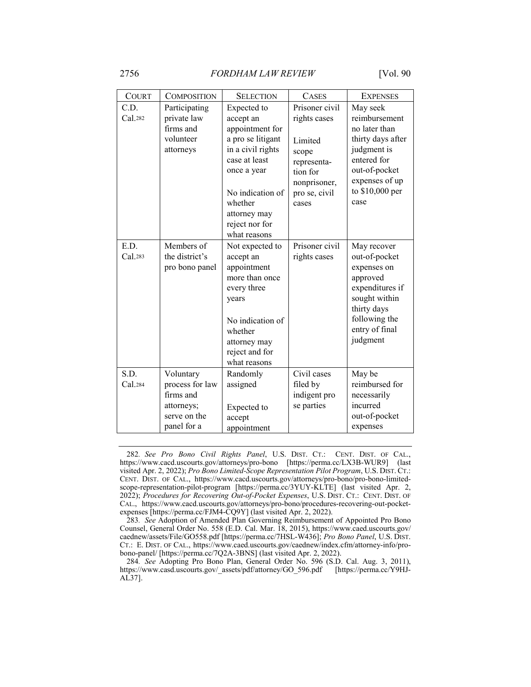| <b>COURT</b>    | <b>COMPOSITION</b>                                                                     | <b>SELECTION</b>                                                                                                                                                                                       | <b>CASES</b>                                                                                                            | <b>EXPENSES</b>                                                                                                                                             |
|-----------------|----------------------------------------------------------------------------------------|--------------------------------------------------------------------------------------------------------------------------------------------------------------------------------------------------------|-------------------------------------------------------------------------------------------------------------------------|-------------------------------------------------------------------------------------------------------------------------------------------------------------|
| C.D.<br>Cal.282 | Participating<br>private law<br>firms and<br>volunteer<br>attorneys                    | Expected to<br>accept an<br>appointment for<br>a pro se litigant<br>in a civil rights<br>case at least<br>once a year<br>No indication of<br>whether<br>attorney may<br>reject nor for<br>what reasons | Prisoner civil<br>rights cases<br>Limited<br>scope<br>representa-<br>tion for<br>nonprisoner,<br>pro se, civil<br>cases | May seek<br>reimbursement<br>no later than<br>thirty days after<br>judgment is<br>entered for<br>out-of-pocket<br>expenses of up<br>to \$10,000 per<br>case |
| E.D.<br>Cal.283 | Members of<br>the district's<br>pro bono panel                                         | Not expected to<br>accept an<br>appointment<br>more than once<br>every three<br>years<br>No indication of<br>whether<br>attorney may<br>reject and for<br>what reasons                                 | Prisoner civil<br>rights cases                                                                                          | May recover<br>out-of-pocket<br>expenses on<br>approved<br>expenditures if<br>sought within<br>thirty days<br>following the<br>entry of final<br>judgment   |
| S.D.<br>Cal.284 | Voluntary<br>process for law<br>firms and<br>attorneys;<br>serve on the<br>panel for a | Randomly<br>assigned<br>Expected to<br>accept<br>appointment                                                                                                                                           | Civil cases<br>filed by<br>indigent pro<br>se parties                                                                   | May be<br>reimbursed for<br>necessarily<br>incurred<br>out-of-pocket<br>expenses                                                                            |

<sup>282</sup>*. See Pro Bono Civil Rights Panel*, U.S. DIST. CT.: CENT. DIST. OF CAL., https://www.cacd.uscourts.gov/attorneys/pro-bono [https://perma.cc/LX3B-WUR9] (last visited Apr. 2, 2022); *Pro Bono Limited-Scope Representation Pilot Program*, U.S. DIST. CT.: CENT. DIST. OF CAL., https://www.cacd.uscourts.gov/attorneys/pro-bono/pro-bono-limitedscope-representation-pilot-program [https://perma.cc/3YUY-KLTE] (last visited Apr. 2, 2022); *Procedures for Recovering Out-of-Pocket Expenses*, U.S. DIST. CT.: CENT. DIST. OF CAL., https://www.cacd.uscourts.gov/attorneys/pro-bono/procedures-recovering-out-pocketexpenses [https://perma.cc/FJM4-CQ9Y] (last visited Apr. 2, 2022).

<sup>283</sup>*. See* Adoption of Amended Plan Governing Reimbursement of Appointed Pro Bono Counsel, General Order No. 558 (E.D. Cal. Mar. 18, 2015), https://www.caed.uscourts.gov/ caednew/assets/File/GO558.pdf [https://perma.cc/7HSL-W436]; *Pro Bono Panel*, U.S. DIST. CT.: E. DIST. OF CAL., https://www.caed.uscourts.gov/caednew/index.cfm/attorney-info/probono-panel/ [https://perma.cc/7Q2A-3BNS] (last visited Apr. 2, 2022).

<sup>284</sup>*. See* Adopting Pro Bono Plan, General Order No. 596 (S.D. Cal. Aug. 3, 2011), https://www.casd.uscourts.gov/\_assets/pdf/attorney/GO\_596.pdf [https://perma.cc/Y9HJ-AL37].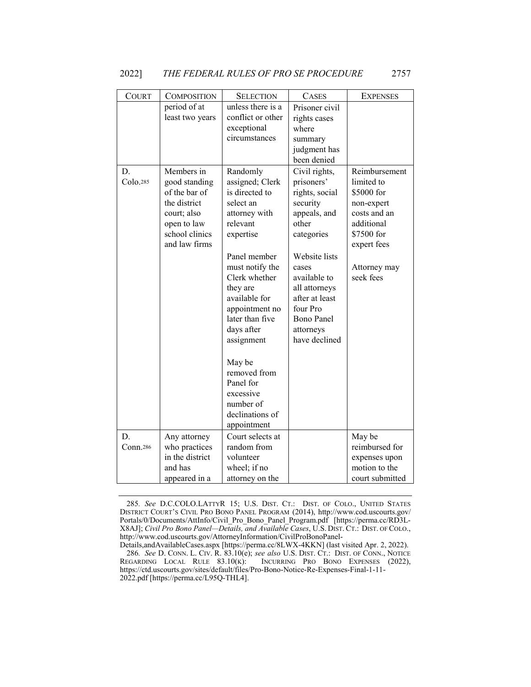| COURT          | <b>COMPOSITION</b>                                                                                                            | <b>SELECTION</b>                                                                                                                                                                                                                                                                                                                                          | <b>CASES</b>                                                                                                                                                                                                                                 | <b>EXPENSES</b>                                                                                                                                 |
|----------------|-------------------------------------------------------------------------------------------------------------------------------|-----------------------------------------------------------------------------------------------------------------------------------------------------------------------------------------------------------------------------------------------------------------------------------------------------------------------------------------------------------|----------------------------------------------------------------------------------------------------------------------------------------------------------------------------------------------------------------------------------------------|-------------------------------------------------------------------------------------------------------------------------------------------------|
|                | period of at<br>least two years                                                                                               | unless there is a<br>conflict or other<br>exceptional<br>circumstances                                                                                                                                                                                                                                                                                    | Prisoner civil<br>rights cases<br>where<br>summary<br>judgment has<br>been denied                                                                                                                                                            |                                                                                                                                                 |
| D.<br>Colo.285 | Members in<br>good standing<br>of the bar of<br>the district<br>court; also<br>open to law<br>school clinics<br>and law firms | Randomly<br>assigned; Clerk<br>is directed to<br>select an<br>attorney with<br>relevant<br>expertise<br>Panel member<br>must notify the<br>Clerk whether<br>they are<br>available for<br>appointment no<br>later than five<br>days after<br>assignment<br>May be<br>removed from<br>Panel for<br>excessive<br>number of<br>declinations of<br>appointment | Civil rights,<br>prisoners'<br>rights, social<br>security<br>appeals, and<br>other<br>categories<br>Website lists<br>cases<br>available to<br>all attorneys<br>after at least<br>four Pro<br><b>Bono Panel</b><br>attorneys<br>have declined | Reimbursement<br>limited to<br>\$5000 for<br>non-expert<br>costs and an<br>additional<br>\$7500 for<br>expert fees<br>Attorney may<br>seek fees |
| D.<br>Conn.286 | Any attorney<br>who practices<br>in the district<br>and has<br>appeared in a                                                  | Court selects at<br>random from<br>volunteer<br>wheel; if no<br>attorney on the                                                                                                                                                                                                                                                                           |                                                                                                                                                                                                                                              | May be<br>reimbursed for<br>expenses upon<br>motion to the<br>court submitted                                                                   |

<sup>285</sup>*. See* D.C.COLO.LATTYR 15; U.S. DIST. CT.: DIST. OF COLO., UNITED STATES DISTRICT COURT'S CIVIL PRO BONO PANEL PROGRAM (2014), http://www.cod.uscourts.gov/ Portals/0/Documents/AttInfo/Civil\_Pro\_Bono\_Panel\_Program.pdf [https://perma.cc/RD3L-X8AJ]; *Civil Pro Bono Panel—Details, and Available Cases*, U.S. DIST. CT.: DIST. OF COLO., http://www.cod.uscourts.gov/AttorneyInformation/CivilProBonoPanel-

Details,andAvailableCases.aspx [https://perma.cc/8LWX-4KKN] (last visited Apr. 2, 2022). 286*. See* D. CONN. L. CIV. R. 83.10(e); *see also* U.S. DIST. CT.: DIST. OF CONN., NOTICE REGARDING LOCAL RULE 83.10(K): INCURRING PRO BONO EXPENSES (2022), INCURRING PRO BONO EXPENSES (2022), https://ctd.uscourts.gov/sites/default/files/Pro-Bono-Notice-Re-Expenses-Final-1-11- 2022.pdf [https://perma.cc/L95Q-THL4].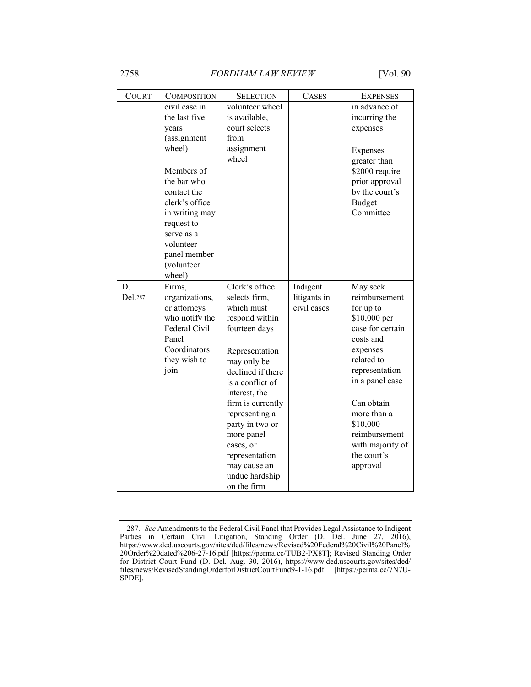| <b>COURT</b>  | <b>COMPOSITION</b>                                                                                                                                                                                                                | <b>SELECTION</b>                                                                                                                                                                                                                                                                                                                    | <b>CASES</b>                            | <b>EXPENSES</b>                                                                                                                                                                                                                                                 |
|---------------|-----------------------------------------------------------------------------------------------------------------------------------------------------------------------------------------------------------------------------------|-------------------------------------------------------------------------------------------------------------------------------------------------------------------------------------------------------------------------------------------------------------------------------------------------------------------------------------|-----------------------------------------|-----------------------------------------------------------------------------------------------------------------------------------------------------------------------------------------------------------------------------------------------------------------|
|               | civil case in<br>the last five<br>years<br>(assignment<br>wheel)<br>Members of<br>the bar who<br>contact the<br>clerk's office<br>in writing may<br>request to<br>serve as a<br>volunteer<br>panel member<br>(volunteer<br>wheel) | volunteer wheel<br>is available,<br>court selects<br>from<br>assignment<br>wheel                                                                                                                                                                                                                                                    |                                         | in advance of<br>incurring the<br>expenses<br>Expenses<br>greater than<br>\$2000 require<br>prior approval<br>by the court's<br>Budget<br>Committee                                                                                                             |
| D.<br>Del.287 | Firms,<br>organizations,<br>or attorneys<br>who notify the<br>Federal Civil<br>Panel<br>Coordinators<br>they wish to<br>join                                                                                                      | Clerk's office<br>selects firm,<br>which must<br>respond within<br>fourteen days<br>Representation<br>may only be<br>declined if there<br>is a conflict of<br>interest, the<br>firm is currently<br>representing a<br>party in two or<br>more panel<br>cases, or<br>representation<br>may cause an<br>undue hardship<br>on the firm | Indigent<br>litigants in<br>civil cases | May seek<br>reimbursement<br>for up to<br>\$10,000 per<br>case for certain<br>costs and<br>expenses<br>related to<br>representation<br>in a panel case<br>Can obtain<br>more than a<br>\$10,000<br>reimbursement<br>with majority of<br>the court's<br>approval |

<sup>287</sup>*. See* Amendments to the Federal Civil Panel that Provides Legal Assistance to Indigent Parties in Certain Civil Litigation, Standing Order (D. Del. June 27, 2016), https://www.ded.uscourts.gov/sites/ded/files/news/Revised%20Federal%20Civil%20Panel% 20Order%20dated%206-27-16.pdf [https://perma.cc/TUB2-PX8T]; Revised Standing Order for District Court Fund (D. Del. Aug. 30, 2016), https://www.ded.uscourts.gov/sites/ded/ files/news/RevisedStandingOrderforDistrictCourtFund9-1-16.pdf [https://perma.cc/7N7U-SPDE].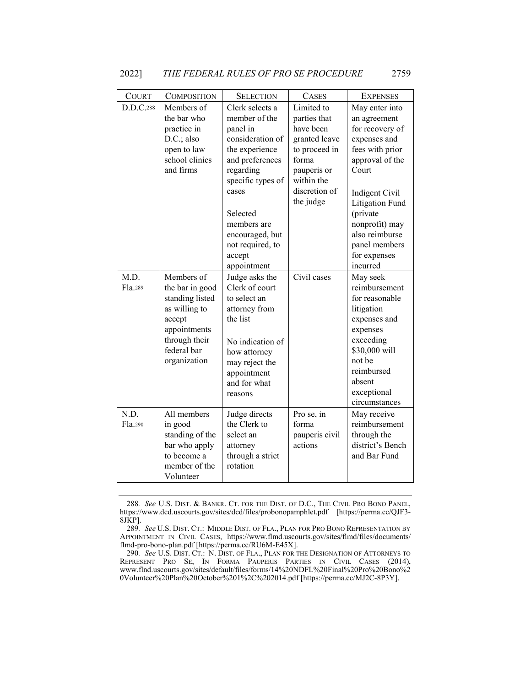| <b>COURT</b>    | <b>COMPOSITION</b>                                                                                                                          | <b>SELECTION</b>                                                                                                                                                                                                                            | <b>CASES</b>                                                                                                                                  | <b>EXPENSES</b>                                                                                                                                                                                                                                    |
|-----------------|---------------------------------------------------------------------------------------------------------------------------------------------|---------------------------------------------------------------------------------------------------------------------------------------------------------------------------------------------------------------------------------------------|-----------------------------------------------------------------------------------------------------------------------------------------------|----------------------------------------------------------------------------------------------------------------------------------------------------------------------------------------------------------------------------------------------------|
| D.D.C.288       | Members of<br>the bar who<br>practice in<br>D.C.; also<br>open to law<br>school clinics<br>and firms                                        | Clerk selects a<br>member of the<br>panel in<br>consideration of<br>the experience<br>and preferences<br>regarding<br>specific types of<br>cases<br>Selected<br>members are<br>encouraged, but<br>not required, to<br>accept<br>appointment | Limited to<br>parties that<br>have been<br>granted leave<br>to proceed in<br>forma<br>pauperis or<br>within the<br>discretion of<br>the judge | May enter into<br>an agreement<br>for recovery of<br>expenses and<br>fees with prior<br>approval of the<br>Court<br>Indigent Civil<br>Litigation Fund<br>(private<br>nonprofit) may<br>also reimburse<br>panel members<br>for expenses<br>incurred |
| M.D.<br>Fla.289 | Members of<br>the bar in good<br>standing listed<br>as willing to<br>accept<br>appointments<br>through their<br>federal bar<br>organization | Judge asks the<br>Clerk of court<br>to select an<br>attorney from<br>the list<br>No indication of<br>how attorney<br>may reject the<br>appointment<br>and for what<br>reasons                                                               | Civil cases                                                                                                                                   | May seek<br>reimbursement<br>for reasonable<br>litigation<br>expenses and<br>expenses<br>exceeding<br>\$30,000 will<br>not be<br>reimbursed<br>absent<br>exceptional<br>circumstances                                                              |
| N.D.<br>Fla.290 | All members<br>in good<br>standing of the<br>bar who apply<br>to become a<br>member of the<br>Volunteer                                     | Judge directs<br>the Clerk to<br>select an<br>attorney<br>through a strict<br>rotation                                                                                                                                                      | Pro se, in<br>forma<br>pauperis civil<br>actions                                                                                              | May receive<br>reimbursement<br>through the<br>district's Bench<br>and Bar Fund                                                                                                                                                                    |

<sup>288</sup>*. See* U.S. DIST. & BANKR. CT. FOR THE DIST. OF D.C., THE CIVIL PRO BONO PANEL, https://www.dcd.uscourts.gov/sites/dcd/files/probonopamphlet.pdf [https://perma.cc/QJF3- 8JKP].

<sup>289</sup>*. See* U.S. DIST. CT.: MIDDLE DIST. OF FLA., PLAN FOR PRO BONO REPRESENTATION BY APPOINTMENT IN CIVIL CASES, https://www.flmd.uscourts.gov/sites/flmd/files/documents/ flmd-pro-bono-plan.pdf [https://perma.cc/RU6M-E45X].

<sup>290</sup>*. See* U.S. DIST. CT.: N. DIST. OF FLA., PLAN FOR THE DESIGNATION OF ATTORNEYS TO REPRESENT PRO SE, IN FORMA PAUPERIS PARTIES IN CIVIL CASES (2014), www.flnd.uscourts.gov/sites/default/files/forms/14%20NDFL%20Final%20Pro%20Bono%2 0Volunteer%20Plan%20October%201%2C%202014.pdf [https://perma.cc/MJ2C-8P3Y].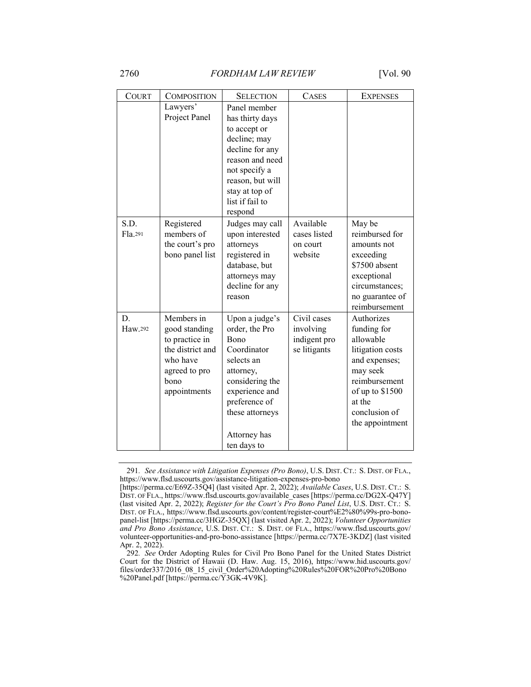| <b>COURT</b><br><b>SELECTION</b><br><b>COMPOSITION</b><br><b>CASES</b><br>Lawyers'<br>Panel member<br>Project Panel<br>has thirty days<br>to accept or<br>decline; may<br>decline for any<br>reason and need<br>not specify a<br>reason, but will<br>stay at top of<br>list if fail to<br>respond<br>S.D.<br>Registered<br>Available<br>Judges may call<br>members of<br>Fla.291<br>upon interested<br>cases listed<br>the court's pro<br>attorneys<br>on court<br>registered in<br>website<br>bono panel list<br>database, but<br>attorneys may | <b>EXPENSES</b>                                                                                                                                                           |
|--------------------------------------------------------------------------------------------------------------------------------------------------------------------------------------------------------------------------------------------------------------------------------------------------------------------------------------------------------------------------------------------------------------------------------------------------------------------------------------------------------------------------------------------------|---------------------------------------------------------------------------------------------------------------------------------------------------------------------------|
|                                                                                                                                                                                                                                                                                                                                                                                                                                                                                                                                                  |                                                                                                                                                                           |
|                                                                                                                                                                                                                                                                                                                                                                                                                                                                                                                                                  |                                                                                                                                                                           |
| decline for any<br>reason                                                                                                                                                                                                                                                                                                                                                                                                                                                                                                                        | May be<br>reimbursed for<br>amounts not<br>exceeding<br>\$7500 absent<br>exceptional<br>circumstances;<br>no guarantee of<br>reimbursement                                |
| Members in<br>Civil cases<br>D.<br>Upon a judge's<br>Haw.292<br>order, the Pro<br>involving<br>good standing<br>to practice in<br>Bono<br>indigent pro<br>the district and<br>Coordinator<br>se litigants<br>who have<br>selects an<br>agreed to pro<br>attorney,<br>bono<br>considering the<br>experience and<br>appointments<br>preference of<br>these attorneys<br>Attorney has<br>ten days to                                                                                                                                                | Authorizes<br>funding for<br>allowable<br>litigation costs<br>and expenses;<br>may seek<br>reimbursement<br>of up to \$1500<br>at the<br>conclusion of<br>the appointment |

<sup>291</sup>*. See Assistance with Litigation Expenses (Pro Bono)*, U.S. DIST. CT.: S. DIST. OF FLA., https://www.flsd.uscourts.gov/assistance-litigation-expenses-pro-bono

<sup>[</sup>https://perma.cc/E69Z-35Q4] (last visited Apr. 2, 2022); *Available Cases*, U.S. DIST. CT.: S. DIST. OF FLA., https://www.flsd.uscourts.gov/available\_cases [https://perma.cc/DG2X-Q47Y] (last visited Apr. 2, 2022); *Register for the Court's Pro Bono Panel List*, U.S. DIST. CT.: S. DIST. OF FLA., https://www.flsd.uscourts.gov/content/register-court%E2%80%99s-pro-bonopanel-list [https://perma.cc/3HGZ-35QX] (last visited Apr. 2, 2022); *Volunteer Opportunities and Pro Bono Assistance*, U.S. DIST. CT.: S. DIST. OF FLA., https://www.flsd.uscourts.gov/ volunteer-opportunities-and-pro-bono-assistance [https://perma.cc/7X7E-3KDZ] (last visited Apr. 2, 2022).

<sup>292</sup>*. See* Order Adopting Rules for Civil Pro Bono Panel for the United States District Court for the District of Hawaii (D. Haw. Aug. 15, 2016), https://www.hid.uscourts.gov/ files/order337/2016\_08\_15\_civil\_Order%20Adopting%20Rules%20FOR%20Pro%20Bono %20Panel.pdf [https://perma.cc/ $\overline{Y}$ 3GK-4V9K].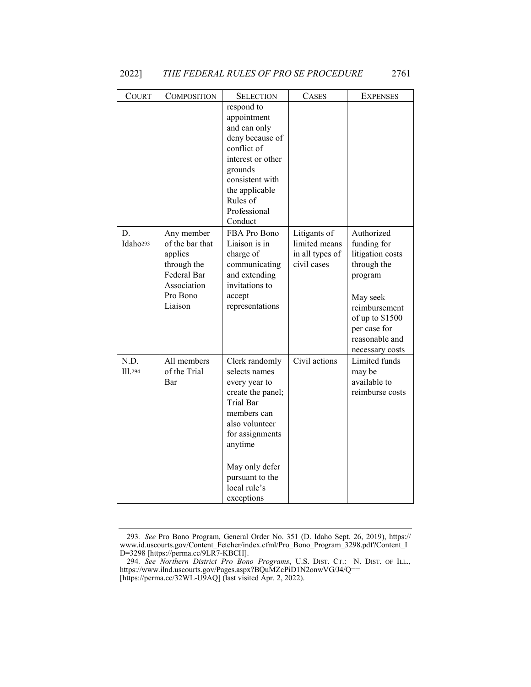| COURT                      | COMPOSITION                                                                                                  | <b>SELECTION</b>                                                                                                                                                                                                            | <b>CASES</b>                                                    | <b>EXPENSES</b>                                                                                                                                                              |
|----------------------------|--------------------------------------------------------------------------------------------------------------|-----------------------------------------------------------------------------------------------------------------------------------------------------------------------------------------------------------------------------|-----------------------------------------------------------------|------------------------------------------------------------------------------------------------------------------------------------------------------------------------------|
|                            |                                                                                                              | respond to<br>appointment<br>and can only<br>deny because of<br>conflict of<br>interest or other<br>grounds<br>consistent with<br>the applicable<br>Rules of<br>Professional<br>Conduct                                     |                                                                 |                                                                                                                                                                              |
| D.<br>Idaho <sup>293</sup> | Any member<br>of the bar that<br>applies<br>through the<br>Federal Bar<br>Association<br>Pro Bono<br>Liaison | FBA Pro Bono<br>Liaison is in<br>charge of<br>communicating<br>and extending<br>invitations to<br>accept<br>representations                                                                                                 | Litigants of<br>limited means<br>in all types of<br>civil cases | Authorized<br>funding for<br>litigation costs<br>through the<br>program<br>May seek<br>reimbursement<br>of up to \$1500<br>per case for<br>reasonable and<br>necessary costs |
| N.D.<br><b>Ill.294</b>     | All members<br>of the Trial<br>Bar                                                                           | Clerk randomly<br>selects names<br>every year to<br>create the panel;<br><b>Trial Bar</b><br>members can<br>also volunteer<br>for assignments<br>anytime<br>May only defer<br>pursuant to the<br>local rule's<br>exceptions | Civil actions                                                   | Limited funds<br>may be<br>available to<br>reimburse costs                                                                                                                   |

<sup>293</sup>*. See* Pro Bono Program, General Order No. 351 (D. Idaho Sept. 26, 2019), https:// www.id.uscourts.gov/Content\_Fetcher/index.cfml/Pro\_Bono\_Program\_3298.pdf?Content\_I D=3298 [https://perma.cc/9LR7-KBCH].

<sup>294</sup>*. See Northern District Pro Bono Programs*, U.S. DIST. CT.: N. DIST. OF ILL., https://www.ilnd.uscourts.gov/Pages.aspx?BQuMZcPiD1N2onwVG/J4/Q== [https://perma.cc/32WL-U9AQ] (last visited Apr. 2, 2022).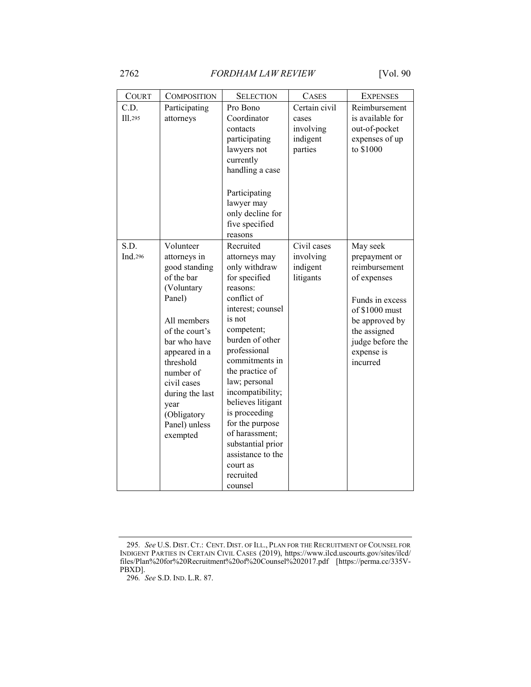| <b>COURT</b>    | <b>COMPOSITION</b>                                                                                                                                                                                                                                                 | <b>SELECTION</b>                                                                                                                                                                                                                                                                                                                                                                                           | <b>CASES</b>                                               | <b>EXPENSES</b>                                                                                                                                                                |
|-----------------|--------------------------------------------------------------------------------------------------------------------------------------------------------------------------------------------------------------------------------------------------------------------|------------------------------------------------------------------------------------------------------------------------------------------------------------------------------------------------------------------------------------------------------------------------------------------------------------------------------------------------------------------------------------------------------------|------------------------------------------------------------|--------------------------------------------------------------------------------------------------------------------------------------------------------------------------------|
| C.D.<br>II1.295 | Participating<br>attorneys                                                                                                                                                                                                                                         | Pro Bono<br>Coordinator<br>contacts<br>participating<br>lawyers not<br>currently<br>handling a case<br>Participating<br>lawyer may<br>only decline for<br>five specified<br>reasons                                                                                                                                                                                                                        | Certain civil<br>cases<br>involving<br>indigent<br>parties | Reimbursement<br>is available for<br>out-of-pocket<br>expenses of up<br>to \$1000                                                                                              |
| S.D.<br>Ind.296 | Volunteer<br>attorneys in<br>good standing<br>of the bar<br>(Voluntary<br>Panel)<br>All members<br>of the court's<br>bar who have<br>appeared in a<br>threshold<br>number of<br>civil cases<br>during the last<br>year<br>(Obligatory<br>Panel) unless<br>exempted | Recruited<br>attorneys may<br>only withdraw<br>for specified<br>reasons:<br>conflict of<br>interest; counsel<br>is not<br>competent;<br>burden of other<br>professional<br>commitments in<br>the practice of<br>law; personal<br>incompatibility;<br>believes litigant<br>is proceeding<br>for the purpose<br>of harassment;<br>substantial prior<br>assistance to the<br>court as<br>recruited<br>counsel | Civil cases<br>involving<br>indigent<br>litigants          | May seek<br>prepayment or<br>reimbursement<br>of expenses<br>Funds in excess<br>of \$1000 must<br>be approved by<br>the assigned<br>judge before the<br>expense is<br>incurred |

<sup>295</sup>*. See* U.S. DIST. CT.: CENT. DIST. OF ILL., PLAN FOR THE RECRUITMENT OF COUNSEL FOR INDIGENT PARTIES IN CERTAIN CIVIL CASES (2019), https://www.ilcd.uscourts.gov/sites/ilcd/ files/Plan%20for%20Recruitment%20of%20Counsel%202017.pdf [https://perma.cc/335V-PBXD].

<sup>296</sup>*. See* S.D. IND. L.R. 87.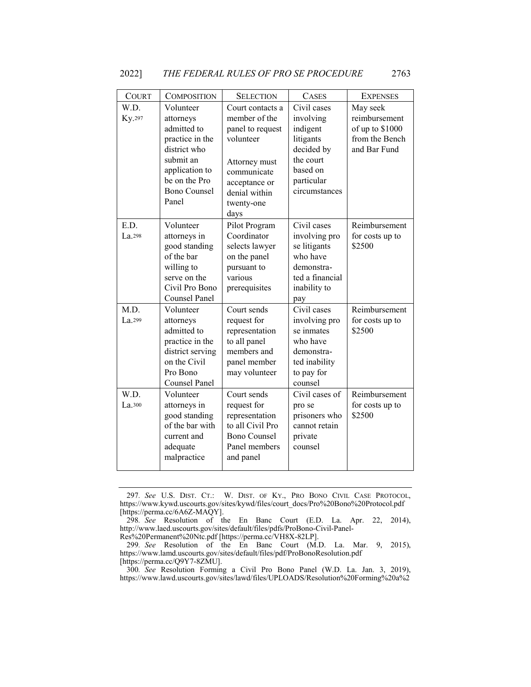| <b>COURT</b>   | <b>COMPOSITION</b>                                                                                                                                | <b>SELECTION</b>                                                                                                                                           | <b>CASES</b>                                                                                                            | <b>EXPENSES</b>                                                                |
|----------------|---------------------------------------------------------------------------------------------------------------------------------------------------|------------------------------------------------------------------------------------------------------------------------------------------------------------|-------------------------------------------------------------------------------------------------------------------------|--------------------------------------------------------------------------------|
| W.D.<br>Ky.297 | Volunteer<br>attorneys<br>admitted to<br>practice in the<br>district who<br>submit an<br>application to<br>be on the Pro<br>Bono Counsel<br>Panel | Court contacts a<br>member of the<br>panel to request<br>volunteer<br>Attorney must<br>communicate<br>acceptance or<br>denial within<br>twenty-one<br>days | Civil cases<br>involving<br>indigent<br>litigants<br>decided by<br>the court<br>based on<br>particular<br>circumstances | May seek<br>reimbursement<br>of up to \$1000<br>from the Bench<br>and Bar Fund |
| E.D.<br>La.298 | Volunteer<br>attorneys in<br>good standing<br>of the bar<br>willing to<br>serve on the<br>Civil Pro Bono<br>Counsel Panel                         | Pilot Program<br>Coordinator<br>selects lawyer<br>on the panel<br>pursuant to<br>various<br>prerequisites                                                  | Civil cases<br>involving pro<br>se litigants<br>who have<br>demonstra-<br>ted a financial<br>inability to<br>pay        | Reimbursement<br>for costs up to<br>\$2500                                     |
| M.D.<br>La.299 | Volunteer<br>attorneys<br>admitted to<br>practice in the<br>district serving<br>on the Civil<br>Pro Bono<br>Counsel Panel                         | Court sends<br>request for<br>representation<br>to all panel<br>members and<br>panel member<br>may volunteer                                               | Civil cases<br>involving pro<br>se inmates<br>who have<br>demonstra-<br>ted inability<br>to pay for<br>counsel          | Reimbursement<br>for costs up to<br>\$2500                                     |
| W.D.<br>La.300 | Volunteer<br>attorneys in<br>good standing<br>of the bar with<br>current and<br>adequate<br>malpractice                                           | Court sends<br>request for<br>representation<br>to all Civil Pro<br><b>Bono Counsel</b><br>Panel members<br>and panel                                      | Civil cases of<br>pro se<br>prisoners who<br>cannot retain<br>private<br>counsel                                        | Reimbursement<br>for costs up to<br>\$2500                                     |

<sup>297</sup>*. See* U.S. DIST. CT.: W. DIST. OF KY., PRO BONO CIVIL CASE PROTOCOL, https://www.kywd.uscourts.gov/sites/kywd/files/court\_docs/Pro%20Bono%20Protocol.pdf [https://perma.cc/6A6Z-MAQY].

<sup>298</sup>*. See* Resolution of the En Banc Court (E.D. La. Apr. 22, 2014), http://www.laed.uscourts.gov/sites/default/files/pdfs/ProBono-Civil-Panel-

Res%20Permanent%20Ntc.pdf [https://perma.cc/VH8X-82LP].

<sup>299</sup>*. See* Resolution of the En Banc Court (M.D. La. Mar. 9, 2015), https://www.lamd.uscourts.gov/sites/default/files/pdf/ProBonoResolution.pdf [https://perma.cc/Q9Y7-8ZMU].

<sup>300</sup>*. See* Resolution Forming a Civil Pro Bono Panel (W.D. La. Jan. 3, 2019), https://www.lawd.uscourts.gov/sites/lawd/files/UPLOADS/Resolution%20Forming%20a%2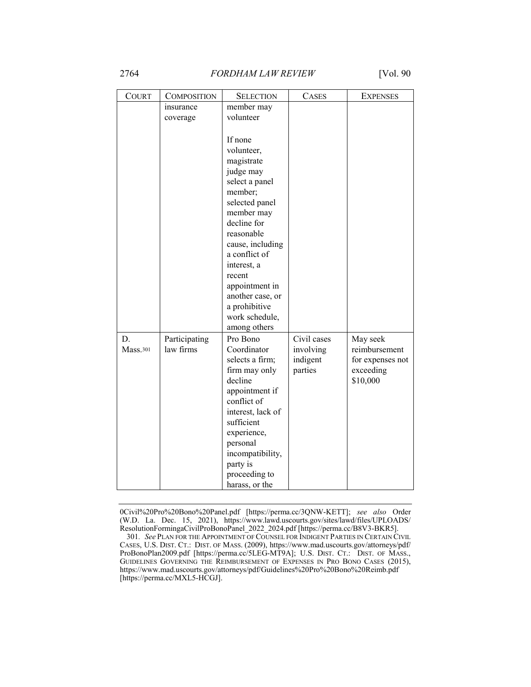## 2764 *FORDHAM LAW REVIEW* [Vol. 90

| <b>COURT</b> | <b>COMPOSITION</b> | <b>SELECTION</b>  | <b>CASES</b> | <b>EXPENSES</b>  |
|--------------|--------------------|-------------------|--------------|------------------|
|              | insurance          | member may        |              |                  |
|              | coverage           | volunteer         |              |                  |
|              |                    |                   |              |                  |
|              |                    | If none           |              |                  |
|              |                    | volunteer,        |              |                  |
|              |                    | magistrate        |              |                  |
|              |                    | judge may         |              |                  |
|              |                    | select a panel    |              |                  |
|              |                    | member;           |              |                  |
|              |                    | selected panel    |              |                  |
|              |                    | member may        |              |                  |
|              |                    | decline for       |              |                  |
|              |                    | reasonable        |              |                  |
|              |                    | cause, including  |              |                  |
|              |                    | a conflict of     |              |                  |
|              |                    | interest, a       |              |                  |
|              |                    | recent            |              |                  |
|              |                    | appointment in    |              |                  |
|              |                    | another case, or  |              |                  |
|              |                    | a prohibitive     |              |                  |
|              |                    | work schedule,    |              |                  |
|              |                    | among others      |              |                  |
| D.           | Participating      | Pro Bono          | Civil cases  | May seek         |
| Mass.301     | law firms          | Coordinator       | involving    | reimbursement    |
|              |                    | selects a firm;   | indigent     | for expenses not |
|              |                    | firm may only     | parties      | exceeding        |
|              |                    | decline           |              | \$10,000         |
|              |                    | appointment if    |              |                  |
|              |                    | conflict of       |              |                  |
|              |                    | interest, lack of |              |                  |
|              |                    | sufficient        |              |                  |
|              |                    | experience,       |              |                  |
|              |                    | personal          |              |                  |
|              |                    | incompatibility,  |              |                  |
|              |                    | party is          |              |                  |
|              |                    | proceeding to     |              |                  |
|              |                    | harass, or the    |              |                  |

0Civil%20Pro%20Bono%20Panel.pdf [https://perma.cc/3QNW-KETT]; *see also* Order (W.D. La. Dec. 15, 2021), https://www.lawd.uscourts.gov/sites/lawd/files/UPLOADS/ ResolutionFormingaCivilProBonoPanel\_2022\_2024.pdf [https://perma.cc/B8V3-BKR5].

<sup>301</sup>*. See* PLAN FOR THE APPOINTMENT OF COUNSEL FOR INDIGENT PARTIES IN CERTAIN CIVIL CASES, U.S. DIST. CT.: DIST. OF MASS. (2009), https://www.mad.uscourts.gov/attorneys/pdf/ ProBonoPlan2009.pdf [https://perma.cc/5LEG-MT9A]; U.S. DIST. CT.: DIST. OF MASS., GUIDELINES GOVERNING THE REIMBURSEMENT OF EXPENSES IN PRO BONO CASES (2015), https://www.mad.uscourts.gov/attorneys/pdf/Guidelines%20Pro%20Bono%20Reimb.pdf [https://perma.cc/MXL5-HCGJ].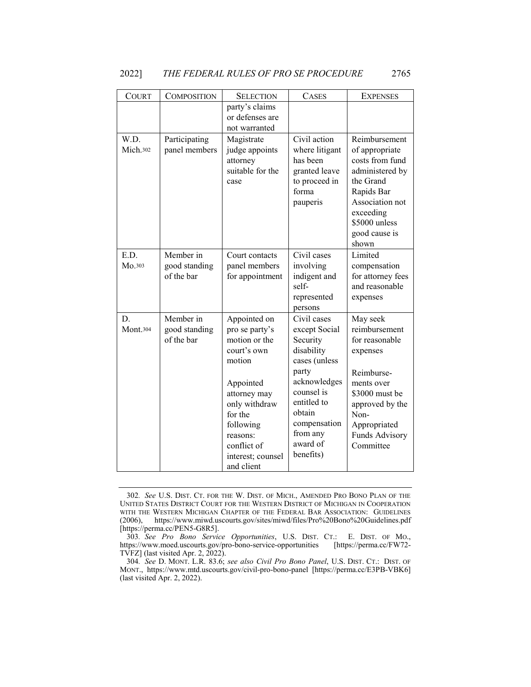| COURT            | <b>COMPOSITION</b>                       | <b>SELECTION</b>                                                                                                                                                                                             | <b>CASES</b>                                                                                                                                                                                 | <b>EXPENSES</b>                                                                                                                                                                 |
|------------------|------------------------------------------|--------------------------------------------------------------------------------------------------------------------------------------------------------------------------------------------------------------|----------------------------------------------------------------------------------------------------------------------------------------------------------------------------------------------|---------------------------------------------------------------------------------------------------------------------------------------------------------------------------------|
|                  |                                          | party's claims<br>or defenses are<br>not warranted                                                                                                                                                           |                                                                                                                                                                                              |                                                                                                                                                                                 |
| W.D.<br>Mich.302 | Participating<br>panel members           | Magistrate<br>judge appoints<br>attorney<br>suitable for the<br>case                                                                                                                                         | Civil action<br>where litigant<br>has been<br>granted leave<br>to proceed in<br>forma<br>pauperis                                                                                            | Reimbursement<br>of appropriate<br>costs from fund<br>administered by<br>the Grand<br>Rapids Bar<br>Association not<br>exceeding<br>\$5000 unless<br>good cause is<br>shown     |
| E.D.<br>Mo.303   | Member in<br>good standing<br>of the bar | Court contacts<br>panel members<br>for appointment                                                                                                                                                           | Civil cases<br>involving<br>indigent and<br>self-<br>represented<br>persons                                                                                                                  | Limited<br>compensation<br>for attorney fees<br>and reasonable<br>expenses                                                                                                      |
| D.<br>Mont.304   | Member in<br>good standing<br>of the bar | Appointed on<br>pro se party's<br>motion or the<br>court's own<br>motion<br>Appointed<br>attorney may<br>only withdraw<br>for the<br>following<br>reasons:<br>conflict of<br>interest; counsel<br>and client | Civil cases<br>except Social<br>Security<br>disability<br>cases (unless<br>party<br>acknowledges<br>counsel is<br>entitled to<br>obtain<br>compensation<br>from any<br>award of<br>benefits) | May seek<br>reimbursement<br>for reasonable<br>expenses<br>Reimburse-<br>ments over<br>\$3000 must be<br>approved by the<br>Non-<br>Appropriated<br>Funds Advisory<br>Committee |

<sup>302</sup>*. See* U.S. DIST. CT. FOR THE W. DIST. OF MICH., AMENDED PRO BONO PLAN OF THE UNITED STATES DISTRICT COURT FOR THE WESTERN DISTRICT OF MICHIGAN IN COOPERATION WITH THE WESTERN MICHIGAN CHAPTER OF THE FEDERAL BAR ASSOCIATION: GUIDELINES (2006), https://www.miwd.uscourts.gov/sites/miwd/files/Pro%20Bono%20Guidelines.pdf [https://perma.cc/PEN5-G8R5].

<sup>303</sup>*. See Pro Bono Service Opportunities*, U.S. DIST. CT.: E. DIST. OF MO., https://www.moed.uscourts.gov/pro-bono-service-opportunities TVFZ] (last visited Apr. 2, 2022).

<sup>304</sup>*. See* D. MONT. L.R. 83.6; *see also Civil Pro Bono Panel*, U.S. DIST. CT.: DIST. OF MONT., https://www.mtd.uscourts.gov/civil-pro-bono-panel [https://perma.cc/E3PB-VBK6] (last visited Apr. 2, 2022).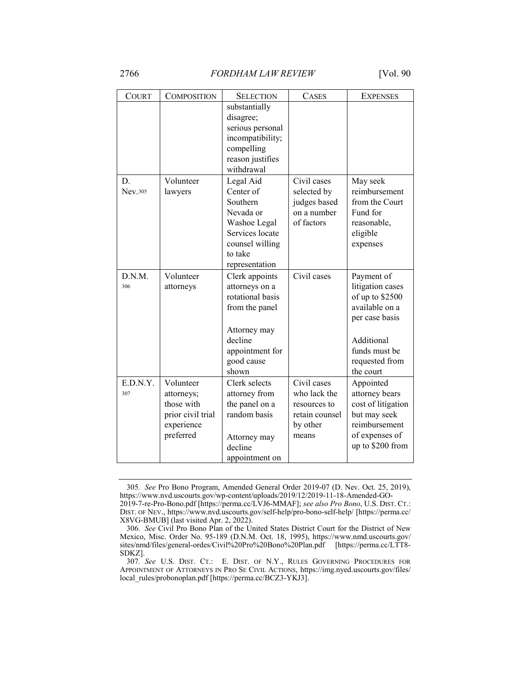| <b>COURT</b> | <b>COMPOSITION</b>              | <b>SELECTION</b>                                                                                                   | <b>CASES</b>                   | <b>EXPENSES</b>                    |
|--------------|---------------------------------|--------------------------------------------------------------------------------------------------------------------|--------------------------------|------------------------------------|
|              |                                 | substantially<br>disagree;<br>serious personal<br>incompatibility;<br>compelling<br>reason justifies<br>withdrawal |                                |                                    |
| D.           | Volunteer                       | Legal Aid                                                                                                          | Civil cases                    | May seek                           |
| Nev.305      | lawyers                         | Center of                                                                                                          | selected by                    | reimbursement                      |
|              |                                 | Southern                                                                                                           | judges based                   | from the Court                     |
|              |                                 | Nevada or                                                                                                          | on a number                    | Fund for                           |
|              |                                 | Washoe Legal                                                                                                       | of factors                     | reasonable,                        |
|              |                                 | Services locate                                                                                                    |                                | eligible                           |
|              |                                 | counsel willing<br>to take                                                                                         |                                | expenses                           |
|              |                                 | representation                                                                                                     |                                |                                    |
| D.N.M.       | Volunteer                       | Clerk appoints                                                                                                     | Civil cases                    | Payment of                         |
| 306          | attorneys                       | attorneys on a                                                                                                     |                                | litigation cases                   |
|              |                                 | rotational basis                                                                                                   |                                | of up to \$2500                    |
|              |                                 | from the panel                                                                                                     |                                | available on a                     |
|              |                                 |                                                                                                                    |                                | per case basis                     |
|              |                                 | Attorney may                                                                                                       |                                |                                    |
|              |                                 | decline                                                                                                            |                                | Additional                         |
|              |                                 | appointment for                                                                                                    |                                | funds must be                      |
|              |                                 | good cause                                                                                                         |                                | requested from                     |
|              |                                 | shown                                                                                                              |                                | the court                          |
| E.D.N.Y.     | Volunteer                       | Clerk selects                                                                                                      | Civil cases                    | Appointed                          |
| 307          | attorneys;                      | attorney from                                                                                                      | who lack the                   | attorney bears                     |
|              | those with                      | the panel on a<br>random basis                                                                                     | resources to<br>retain counsel | cost of litigation<br>but may seek |
|              | prior civil trial<br>experience |                                                                                                                    | by other                       | reimbursement                      |
|              | preferred                       | Attorney may                                                                                                       | means                          | of expenses of                     |
|              |                                 | decline                                                                                                            |                                | up to \$200 from                   |
|              |                                 | appointment on                                                                                                     |                                |                                    |

<sup>305</sup>*. See* Pro Bono Program, Amended General Order 2019-07 (D. Nev. Oct. 25, 2019), https://www.nvd.uscourts.gov/wp-content/uploads/2019/12/2019-11-18-Amended-GO-2019-7-re-Pro-Bono.pdf [https://perma.cc/LVJ6-MMAF]; *see also Pro Bono*, U.S. DIST. CT.:

DIST. OF NEV., https://www.nvd.uscourts.gov/self-help/pro-bono-self-help/ [https://perma.cc/ X8VG-BMUB] (last visited Apr. 2, 2022).

<sup>306</sup>*. See* Civil Pro Bono Plan of the United States District Court for the District of New Mexico, Misc. Order No. 95-189 (D.N.M. Oct. 18, 1995), https://www.nmd.uscourts.gov/ sites/nmd/files/general-ordes/Civil%20Pro%20Bono%20Plan.pdf [https://perma.cc/LTT8- SDKZ].

<sup>307</sup>*. See* U.S. DIST. CT.: E. DIST. OF N.Y., RULES GOVERNING PROCEDURES FOR APPOINTMENT OF ATTORNEYS IN PRO SE CIVIL ACTIONS, https://img.nyed.uscourts.gov/files/ local\_rules/probonoplan.pdf [https://perma.cc/BCZ3-YKJ3].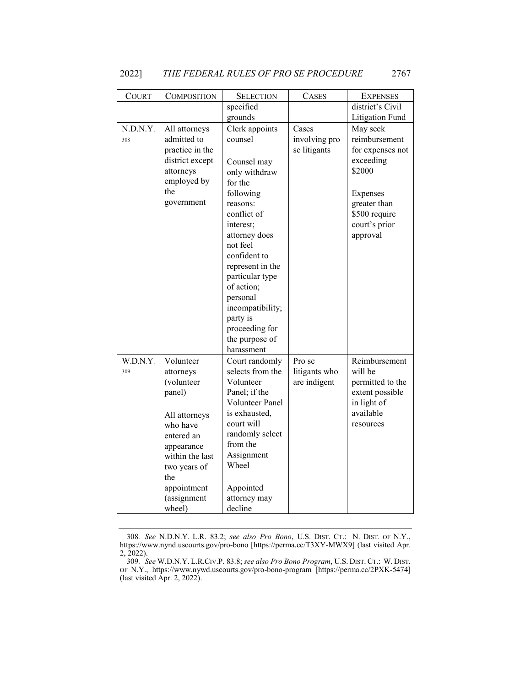| COURT           | <b>COMPOSITION</b>                                                                                                                                                                        | <b>SELECTION</b>                                                                                                                                                                                                                                                                                            | <b>CASES</b>                            | <b>EXPENSES</b>                                                                                                                                |
|-----------------|-------------------------------------------------------------------------------------------------------------------------------------------------------------------------------------------|-------------------------------------------------------------------------------------------------------------------------------------------------------------------------------------------------------------------------------------------------------------------------------------------------------------|-----------------------------------------|------------------------------------------------------------------------------------------------------------------------------------------------|
|                 |                                                                                                                                                                                           | specified                                                                                                                                                                                                                                                                                                   |                                         | district's Civil                                                                                                                               |
|                 |                                                                                                                                                                                           | grounds                                                                                                                                                                                                                                                                                                     |                                         | <b>Litigation Fund</b>                                                                                                                         |
| N.D.N.Y.<br>308 | All attorneys<br>admitted to<br>practice in the<br>district except<br>attorneys<br>employed by<br>the<br>government                                                                       | Clerk appoints<br>counsel<br>Counsel may<br>only withdraw<br>for the<br>following<br>reasons:<br>conflict of<br>interest;<br>attorney does<br>not feel<br>confident to<br>represent in the<br>particular type<br>of action;<br>personal<br>incompatibility;<br>party is<br>proceeding for<br>the purpose of | Cases<br>involving pro<br>se litigants  | May seek<br>reimbursement<br>for expenses not<br>exceeding<br>\$2000<br>Expenses<br>greater than<br>\$500 require<br>court's prior<br>approval |
| W.D.N.Y.<br>309 | Volunteer<br>attorneys<br>(volunteer<br>panel)<br>All attorneys<br>who have<br>entered an<br>appearance<br>within the last<br>two years of<br>the<br>appointment<br>(assignment<br>wheel) | harassment<br>Court randomly<br>selects from the<br>Volunteer<br>Panel; if the<br>Volunteer Panel<br>is exhausted,<br>court will<br>randomly select<br>from the<br>Assignment<br>Wheel<br>Appointed<br>attorney may<br>decline                                                                              | Pro se<br>litigants who<br>are indigent | Reimbursement<br>will be<br>permitted to the<br>extent possible<br>in light of<br>available<br>resources                                       |

<sup>308</sup>*. See* N.D.N.Y. L.R. 83.2; *see also Pro Bono*, U.S. DIST. CT.: N. DIST. OF N.Y., https://www.nynd.uscourts.gov/pro-bono [https://perma.cc/T3XY-MWX9] (last visited Apr. 2, 2022).

<sup>309</sup>*. See* W.D.N.Y. L.R.CIV.P. 83.8; *see also Pro Bono Program*, U.S. DIST. CT.: W. DIST. OF N.Y., https://www.nywd.uscourts.gov/pro-bono-program [https://perma.cc/2PXK-5474] (last visited Apr. 2, 2022).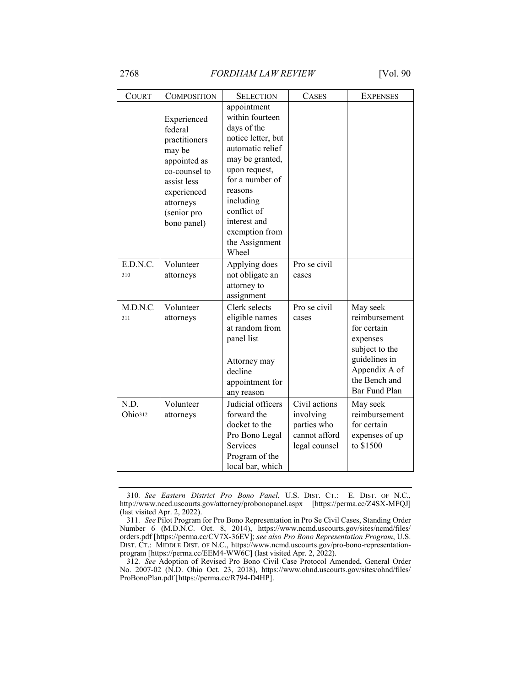2768 *FORDHAM LAW REVIEW* [Vol. 90

| <b>COURT</b> | <b>COMPOSITION</b>                                                                                                                                          | <b>SELECTION</b>                                                                                                                                                                                                                                   | <b>CASES</b>  | <b>EXPENSES</b>                |
|--------------|-------------------------------------------------------------------------------------------------------------------------------------------------------------|----------------------------------------------------------------------------------------------------------------------------------------------------------------------------------------------------------------------------------------------------|---------------|--------------------------------|
|              | Experienced<br>federal<br>practitioners<br>may be<br>appointed as<br>co-counsel to<br>assist less<br>experienced<br>attorneys<br>(senior pro<br>bono panel) | appointment<br>within fourteen<br>days of the<br>notice letter, but<br>automatic relief<br>may be granted,<br>upon request,<br>for a number of<br>reasons<br>including<br>conflict of<br>interest and<br>exemption from<br>the Assignment<br>Wheel |               |                                |
| E.D.N.C.     | Volunteer                                                                                                                                                   | Applying does                                                                                                                                                                                                                                      | Pro se civil  |                                |
| 310          | attorneys                                                                                                                                                   | not obligate an                                                                                                                                                                                                                                    | cases         |                                |
|              |                                                                                                                                                             | attorney to<br>assignment                                                                                                                                                                                                                          |               |                                |
| M.D.N.C.     | Volunteer                                                                                                                                                   | Clerk selects                                                                                                                                                                                                                                      | Pro se civil  | May seek                       |
| 311          | attorneys                                                                                                                                                   | eligible names                                                                                                                                                                                                                                     | cases         | reimbursement                  |
|              |                                                                                                                                                             | at random from                                                                                                                                                                                                                                     |               | for certain                    |
|              |                                                                                                                                                             | panel list                                                                                                                                                                                                                                         |               | expenses                       |
|              |                                                                                                                                                             |                                                                                                                                                                                                                                                    |               | subject to the                 |
|              |                                                                                                                                                             | Attorney may                                                                                                                                                                                                                                       |               | guidelines in                  |
|              |                                                                                                                                                             | decline                                                                                                                                                                                                                                            |               | Appendix A of<br>the Bench and |
|              |                                                                                                                                                             | appointment for<br>any reason                                                                                                                                                                                                                      |               | Bar Fund Plan                  |
| N.D.         | Volunteer                                                                                                                                                   | Judicial officers                                                                                                                                                                                                                                  | Civil actions | May seek                       |
| Ohio312      | attorneys                                                                                                                                                   | forward the                                                                                                                                                                                                                                        | involving     | reimbursement                  |
|              |                                                                                                                                                             | docket to the                                                                                                                                                                                                                                      | parties who   | for certain                    |
|              |                                                                                                                                                             | Pro Bono Legal                                                                                                                                                                                                                                     | cannot afford | expenses of up                 |
|              |                                                                                                                                                             | Services                                                                                                                                                                                                                                           | legal counsel | to \$1500                      |
|              |                                                                                                                                                             | Program of the                                                                                                                                                                                                                                     |               |                                |
|              |                                                                                                                                                             | local bar, which                                                                                                                                                                                                                                   |               |                                |

<sup>310</sup>*. See Eastern District Pro Bono Panel*, U.S. DIST. CT.: E. DIST. OF N.C., http://www.nced.uscourts.gov/attorney/probonopanel.aspx [https://perma.cc/Z4SX-MFQJ] (last visited Apr. 2, 2022).

<sup>311</sup>*. See* Pilot Program for Pro Bono Representation in Pro Se Civil Cases, Standing Order Number 6 (M.D.N.C. Oct. 8, 2014), https://www.ncmd.uscourts.gov/sites/ncmd/files/ orders.pdf [https://perma.cc/CV7X-36EV]; *see also Pro Bono Representation Program*, U.S. DIST. CT.: MIDDLE DIST. OF N.C., https://www.ncmd.uscourts.gov/pro-bono-representationprogram [https://perma.cc/EEM4-WW6C] (last visited Apr. 2, 2022).

<sup>312</sup>*. See* Adoption of Revised Pro Bono Civil Case Protocol Amended, General Order No. 2007-02 (N.D. Ohio Oct. 23, 2018), https://www.ohnd.uscourts.gov/sites/ohnd/files/ ProBonoPlan.pdf [https://perma.cc/R794-D4HP].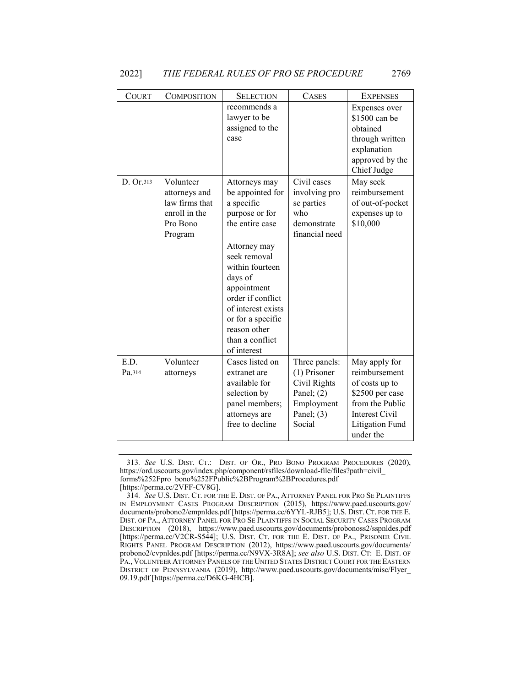| <b>COURT</b>   | <b>COMPOSITION</b>                                                                   | <b>SELECTION</b>                                                                                                                                                                                                                                                                    | <b>CASES</b>                                                                                          | <b>EXPENSES</b>                                                                                                                                 |
|----------------|--------------------------------------------------------------------------------------|-------------------------------------------------------------------------------------------------------------------------------------------------------------------------------------------------------------------------------------------------------------------------------------|-------------------------------------------------------------------------------------------------------|-------------------------------------------------------------------------------------------------------------------------------------------------|
|                |                                                                                      | recommends a<br>lawyer to be<br>assigned to the<br>case                                                                                                                                                                                                                             |                                                                                                       | Expenses over<br>\$1500 can be<br>obtained<br>through written<br>explanation<br>approved by the<br>Chief Judge                                  |
| D. Or.313      | Volunteer<br>attorneys and<br>law firms that<br>enroll in the<br>Pro Bono<br>Program | Attorneys may<br>be appointed for<br>a specific<br>purpose or for<br>the entire case<br>Attorney may<br>seek removal<br>within fourteen<br>days of<br>appointment<br>order if conflict<br>of interest exists<br>or for a specific<br>reason other<br>than a conflict<br>of interest | Civil cases<br>involving pro<br>se parties<br>who<br>demonstrate<br>financial need                    | May seek<br>reimbursement<br>of out-of-pocket<br>expenses up to<br>\$10,000                                                                     |
| E.D.<br>Pa.314 | Volunteer<br>attorneys                                                               | Cases listed on<br>extranet are<br>available for<br>selection by<br>panel members;<br>attorneys are<br>free to decline                                                                                                                                                              | Three panels:<br>(1) Prisoner<br>Civil Rights<br>Panel; $(2)$<br>Employment<br>Panel; $(3)$<br>Social | May apply for<br>reimbursement<br>of costs up to<br>\$2500 per case<br>from the Public<br>Interest Civil<br><b>Litigation Fund</b><br>under the |

<sup>313</sup>*. See* U.S. DIST. CT.: DIST. OF OR., PRO BONO PROGRAM PROCEDURES (2020), https://ord.uscourts.gov/index.php/component/rsfiles/download-file/files?path=civil\_ forms%252Fpro\_bono%252FPublic%2BProgram%2BProcedures.pdf [https://perma.cc/2VFF-CV8G].

<sup>314</sup>*. See* U.S. DIST. CT. FOR THE E. DIST. OF PA., ATTORNEY PANEL FOR PRO SE PLAINTIFFS IN EMPLOYMENT CASES PROGRAM DESCRIPTION (2015), https://www.paed.uscourts.gov/ documents/probono2/empnldes.pdf [https://perma.cc/6YYL-RJB5]; U.S. DIST. CT. FOR THE E. DIST. OF PA., ATTORNEY PANEL FOR PRO SE PLAINTIFFS IN SOCIAL SECURITY CASES PROGRAM DESCRIPTION (2018), https://www.paed.uscourts.gov/documents/probonoss2/sspnldes.pdf [https://perma.cc/V2CR-S544]; U.S. DIST. CT. FOR THE E. DIST. OF PA., PRISONER CIVIL RIGHTS PANEL PROGRAM DESCRIPTION (2012), https://www.paed.uscourts.gov/documents/ probono2/cvpnldes.pdf [https://perma.cc/N9VX-3R8A]; *see also* U.S. DIST. CT: E. DIST. OF PA., VOLUNTEER ATTORNEY PANELS OF THE UNITED STATES DISTRICT COURT FOR THE EASTERN DISTRICT OF PENNSYLVANIA (2019), http://www.paed.uscourts.gov/documents/misc/Flyer\_ 09.19.pdf [https://perma.cc/D6KG-4HCB].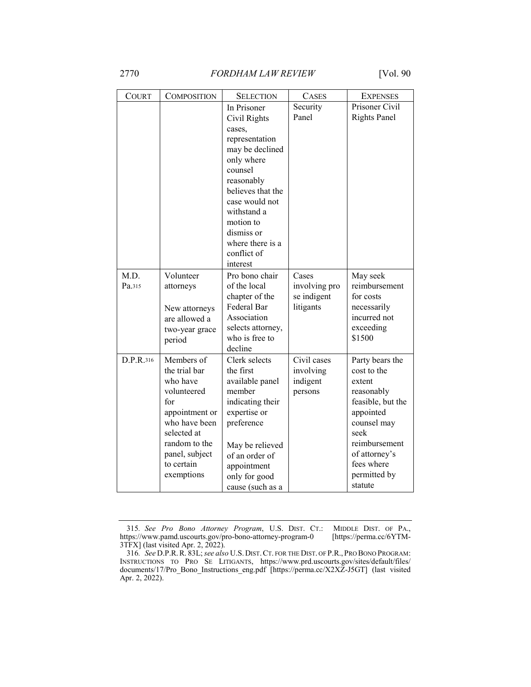| <b>COURT</b>   | <b>COMPOSITION</b>                                                                                                                                                             | <b>SELECTION</b>                                                                                                                                                                                                                                  | <b>CASES</b>                                       | <b>EXPENSES</b>                                                                                                                                                                            |
|----------------|--------------------------------------------------------------------------------------------------------------------------------------------------------------------------------|---------------------------------------------------------------------------------------------------------------------------------------------------------------------------------------------------------------------------------------------------|----------------------------------------------------|--------------------------------------------------------------------------------------------------------------------------------------------------------------------------------------------|
|                |                                                                                                                                                                                | In Prisoner<br>Civil Rights<br>cases.<br>representation<br>may be declined<br>only where<br>counsel<br>reasonably<br>believes that the<br>case would not<br>withstand a<br>motion to<br>dismiss or<br>where there is a<br>conflict of<br>interest | Security<br>Panel                                  | Prisoner Civil<br><b>Rights Panel</b>                                                                                                                                                      |
| M.D.<br>Pa.315 | Volunteer<br>attorneys<br>New attorneys<br>are allowed a<br>two-year grace<br>period                                                                                           | Pro bono chair<br>of the local<br>chapter of the<br>Federal Bar<br>Association<br>selects attorney,<br>who is free to<br>decline                                                                                                                  | Cases<br>involving pro<br>se indigent<br>litigants | May seek<br>reimbursement<br>for costs<br>necessarily<br>incurred not<br>exceeding<br>\$1500                                                                                               |
| D.P.R.316      | Members of<br>the trial bar<br>who have<br>volunteered<br>for<br>appointment or<br>who have been<br>selected at<br>random to the<br>panel, subject<br>to certain<br>exemptions | Clerk selects<br>the first<br>available panel<br>member<br>indicating their<br>expertise or<br>preference<br>May be relieved<br>of an order of<br>appointment<br>only for good<br>cause (such as a                                                | Civil cases<br>involving<br>indigent<br>persons    | Party bears the<br>cost to the<br>extent<br>reasonably<br>feasible, but the<br>appointed<br>counsel may<br>seek<br>reimbursement<br>of attorney's<br>fees where<br>permitted by<br>statute |

<sup>315</sup>*. See Pro Bono Attorney Program*, U.S. DIST. CT.: MIDDLE DIST. OF PA., https://www.pamd.uscourts.gov/pro-bono-attorney-program-0 [https://perma.cc/6YTM-3TFX] (last visited Apr. 2, 2022).

<sup>316</sup>*. See* D.P.R.R. 83L; *see also* U.S. DIST.CT. FOR THE DIST. OF P.R., PRO BONO PROGRAM: INSTRUCTIONS TO PRO SE LITIGANTS, https://www.prd.uscourts.gov/sites/default/files/ documents/17/Pro\_Bono\_Instructions\_eng.pdf [https://perma.cc/X2XZ-J5GT] (last visited Apr. 2, 2022).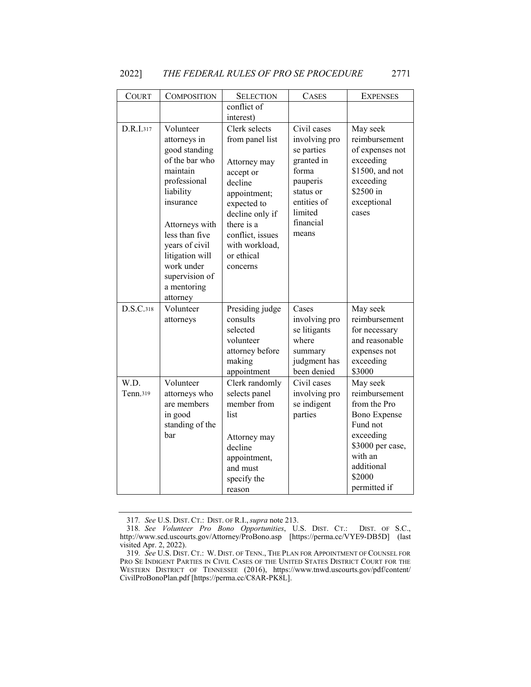| <b>COURT</b>     | <b>COMPOSITION</b>                                                                                                                                                                                                                                     | <b>SELECTION</b>                                                                                                                                                                                         | <b>CASES</b>                                                                                                                               | <b>EXPENSES</b>                                                                                                                                                  |
|------------------|--------------------------------------------------------------------------------------------------------------------------------------------------------------------------------------------------------------------------------------------------------|----------------------------------------------------------------------------------------------------------------------------------------------------------------------------------------------------------|--------------------------------------------------------------------------------------------------------------------------------------------|------------------------------------------------------------------------------------------------------------------------------------------------------------------|
|                  |                                                                                                                                                                                                                                                        | conflict of<br>interest)                                                                                                                                                                                 |                                                                                                                                            |                                                                                                                                                                  |
| D.R.I.317        | Volunteer<br>attorneys in<br>good standing<br>of the bar who<br>maintain<br>professional<br>liability<br>insurance<br>Attorneys with<br>less than five<br>years of civil<br>litigation will<br>work under<br>supervision of<br>a mentoring<br>attorney | Clerk selects<br>from panel list<br>Attorney may<br>accept or<br>decline<br>appointment;<br>expected to<br>decline only if<br>there is a<br>conflict, issues<br>with workload,<br>or ethical<br>concerns | Civil cases<br>involving pro<br>se parties<br>granted in<br>forma<br>pauperis<br>status or<br>entities of<br>limited<br>financial<br>means | May seek<br>reimbursement<br>of expenses not<br>exceeding<br>\$1500, and not<br>exceeding<br>\$2500 in<br>exceptional<br>cases                                   |
| D.S.C.318        | Volunteer<br>attorneys                                                                                                                                                                                                                                 | Presiding judge<br>consults<br>selected<br>volunteer<br>attorney before<br>making<br>appointment                                                                                                         | Cases<br>involving pro<br>se litigants<br>where<br>summary<br>judgment has<br>been denied                                                  | May seek<br>reimbursement<br>for necessary<br>and reasonable<br>expenses not<br>exceeding<br>\$3000                                                              |
| W.D.<br>Tenn.319 | Volunteer<br>attorneys who<br>are members<br>in good<br>standing of the<br>bar                                                                                                                                                                         | Clerk randomly<br>selects panel<br>member from<br>list<br>Attorney may<br>decline<br>appointment,<br>and must<br>specify the<br>reason                                                                   | Civil cases<br>involving pro<br>se indigent<br>parties                                                                                     | May seek<br>reimbursement<br>from the Pro<br><b>Bono Expense</b><br>Fund not<br>exceeding<br>\$3000 per case,<br>with an<br>additional<br>\$2000<br>permitted if |

<sup>317</sup>*. See* U.S. DIST. CT.: DIST. OF R.I.,*supra* note 213.

<sup>318</sup>*. See Volunteer Pro Bono Opportunities*, U.S. DIST. CT.: DIST. OF S.C., http://www.scd.uscourts.gov/Attorney/ProBono.asp [https://perma.cc/VYE9-DB5D] (last visited Apr. 2, 2022).

<sup>319</sup>*. See* U.S. DIST. CT.: W. DIST. OF TENN., THE PLAN FOR APPOINTMENT OF COUNSEL FOR PRO SE INDIGENT PARTIES IN CIVIL CASES OF THE UNITED STATES DISTRICT COURT FOR THE WESTERN DISTRICT OF TENNESSEE (2016), https://www.tnwd.uscourts.gov/pdf/content/ CivilProBonoPlan.pdf [https://perma.cc/C8AR-PK8L].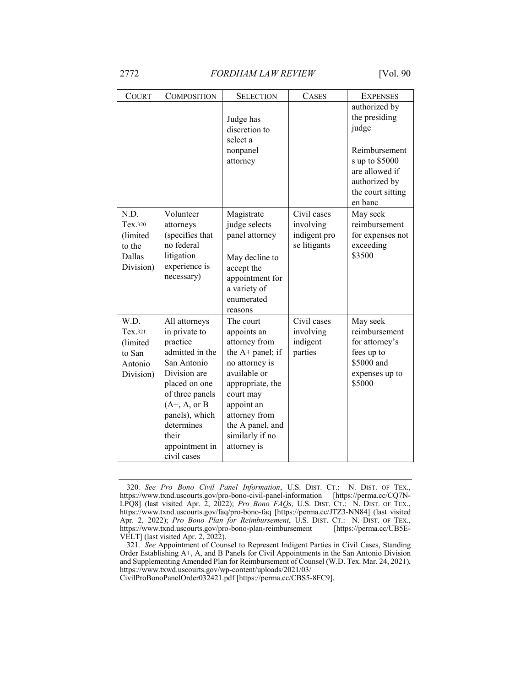| <b>COURT</b>                                                  | <b>COMPOSITION</b>                                                                                                                                                                                                             | <b>SELECTION</b>                                                                                                                                                                                                      | <b>CASES</b>                                             | <b>EXPENSES</b>                                                                                                                               |
|---------------------------------------------------------------|--------------------------------------------------------------------------------------------------------------------------------------------------------------------------------------------------------------------------------|-----------------------------------------------------------------------------------------------------------------------------------------------------------------------------------------------------------------------|----------------------------------------------------------|-----------------------------------------------------------------------------------------------------------------------------------------------|
|                                                               |                                                                                                                                                                                                                                | Judge has<br>discretion to<br>select a<br>nonpanel<br>attorney                                                                                                                                                        |                                                          | authorized by<br>the presiding<br>judge<br>Reimbursement<br>s up to \$5000<br>are allowed if<br>authorized by<br>the court sitting<br>en banc |
| N.D.<br>Tex.320<br>(limited<br>to the<br>Dallas<br>Division)  | Volunteer<br>attorneys<br>(specifies that<br>no federal<br>litigation<br>experience is<br>necessary)                                                                                                                           | Magistrate<br>judge selects<br>panel attorney<br>May decline to<br>accept the<br>appointment for<br>a variety of<br>enumerated<br>reasons                                                                             | Civil cases<br>involving<br>indigent pro<br>se litigants | May seek<br>reimbursement<br>for expenses not<br>exceeding<br>\$3500                                                                          |
| W.D.<br>Tex.321<br>(limited<br>to San<br>Antonio<br>Division) | All attorneys<br>in private to<br>practice<br>admitted in the<br>San Antonio<br>Division are<br>placed on one<br>of three panels<br>$(A^+, A, or B)$<br>panels), which<br>determines<br>their<br>appointment in<br>civil cases | The court<br>appoints an<br>attorney from<br>the A+ panel; if<br>no attorney is<br>available or<br>appropriate, the<br>court may<br>appoint an<br>attorney from<br>the A panel, and<br>similarly if no<br>attorney is | Civil cases<br>involving<br>indigent<br>parties          | May seek<br>reimbursement<br>for attorney's<br>fees up to<br>\$5000 and<br>expenses up to<br>\$5000                                           |

<sup>320</sup>*. See Pro Bono Civil Panel Information*, U.S. DIST. CT.: N. DIST. OF TEX., https://www.txnd.uscourts.gov/pro-bono-civil-panel-information [https://perma.cc/CQ7N-LPQ8] (last visited Apr. 2, 2022); *Pro Bono FAQs*, U.S. DIST. CT.: N. DIST. OF TEX., https://www.txnd.uscourts.gov/faq/pro-bono-faq [https://perma.cc/JTZ3-NN84] (last visited Apr. 2, 2022); *Pro Bono Plan for Reimbursement*, U.S. DIST. CT.: N. DIST. OF TEX., https://www.txnd.uscourts.gov/pro-bono-plan-reimbursement [https://perma.cc/UB5E-VELT] (last visited Apr. 2, 2022).

CivilProBonoPanelOrder032421.pdf [https://perma.cc/CBS5-8FC9].

<sup>321</sup>*. See* Appointment of Counsel to Represent Indigent Parties in Civil Cases, Standing Order Establishing A+, A, and B Panels for Civil Appointments in the San Antonio Division and Supplementing Amended Plan for Reimbursement of Counsel (W.D. Tex. Mar. 24, 2021), https://www.txwd.uscourts.gov/wp-content/uploads/2021/03/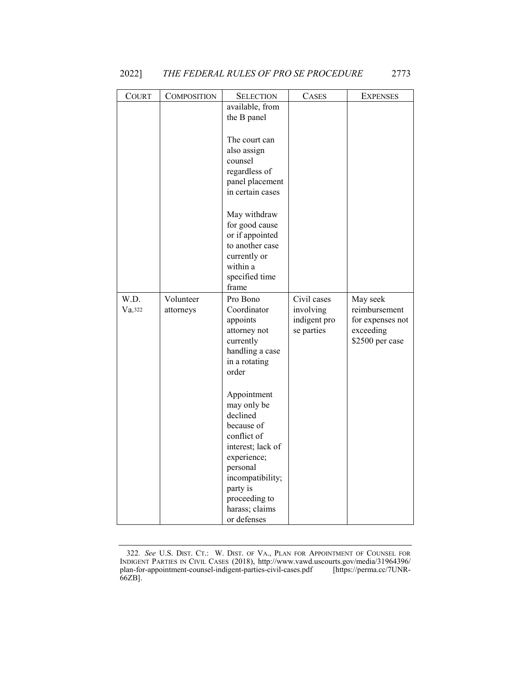| COURT  | COMPOSITION | <b>SELECTION</b>                | CASES        | <b>EXPENSES</b>              |
|--------|-------------|---------------------------------|--------------|------------------------------|
|        |             | available, from                 |              |                              |
|        |             | the B panel                     |              |                              |
|        |             |                                 |              |                              |
|        |             | The court can                   |              |                              |
|        |             | also assign                     |              |                              |
|        |             | counsel                         |              |                              |
|        |             | regardless of                   |              |                              |
|        |             | panel placement                 |              |                              |
|        |             | in certain cases                |              |                              |
|        |             | May withdraw                    |              |                              |
|        |             | for good cause                  |              |                              |
|        |             | or if appointed                 |              |                              |
|        |             | to another case                 |              |                              |
|        |             | currently or                    |              |                              |
|        |             | within a                        |              |                              |
|        |             | specified time                  |              |                              |
|        |             | frame                           |              |                              |
| W.D.   | Volunteer   | Pro Bono                        | Civil cases  | May seek                     |
| Va.322 | attorneys   | Coordinator                     | involving    | reimbursement                |
|        |             | appoints                        | indigent pro | for expenses not             |
|        |             | attorney not<br>currently       | se parties   | exceeding<br>\$2500 per case |
|        |             | handling a case                 |              |                              |
|        |             | in a rotating                   |              |                              |
|        |             | order                           |              |                              |
|        |             |                                 |              |                              |
|        |             | Appointment                     |              |                              |
|        |             | may only be                     |              |                              |
|        |             | declined                        |              |                              |
|        |             | because of                      |              |                              |
|        |             | conflict of                     |              |                              |
|        |             | interest; lack of               |              |                              |
|        |             | experience;                     |              |                              |
|        |             | personal                        |              |                              |
|        |             | incompatibility;                |              |                              |
|        |             | party is                        |              |                              |
|        |             | proceeding to<br>harass; claims |              |                              |
|        |             | or defenses                     |              |                              |
|        |             |                                 |              |                              |

<sup>322</sup>*. See* U.S. DIST. CT.: W. DIST. OF VA., PLAN FOR APPOINTMENT OF COUNSEL FOR INDIGENT PARTIES IN CIVIL CASES (2018), http://www.vawd.uscourts.gov/media/31964396/ plan-for-appointment-counsel-indigent-parties-civil-cases.pdf [https://perma.cc/7UNR-66ZB].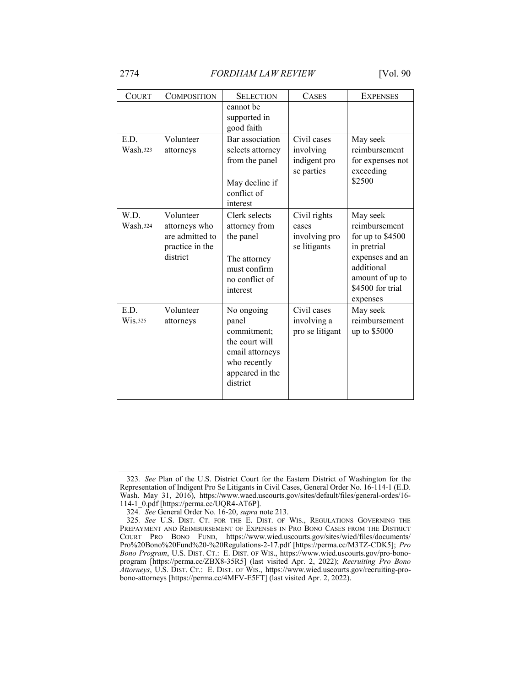| <b>COMPOSITION</b>                                                           | <b>SELECTION</b>                                                                                                       | <b>CASES</b>                                           | <b>EXPENSES</b>                                                                                                                                  |
|------------------------------------------------------------------------------|------------------------------------------------------------------------------------------------------------------------|--------------------------------------------------------|--------------------------------------------------------------------------------------------------------------------------------------------------|
|                                                                              | cannot be<br>supported in<br>good faith                                                                                |                                                        |                                                                                                                                                  |
| Volunteer<br>attorneys                                                       | Bar association<br>selects attorney<br>from the panel<br>May decline if<br>conflict of<br>interest                     | Civil cases<br>involving<br>indigent pro<br>se parties | May seek<br>reimbursement<br>for expenses not<br>exceeding<br>\$2500                                                                             |
| Volunteer<br>attorneys who<br>are admitted to<br>practice in the<br>district | Clerk selects<br>attorney from<br>the panel<br>The attorney<br>must confirm<br>no conflict of<br>interest              | Civil rights<br>cases<br>involving pro<br>se litigants | May seek<br>reimbursement<br>for up to \$4500<br>in pretrial<br>expenses and an<br>additional<br>amount of up to<br>\$4500 for trial<br>expenses |
| Volunteer<br>attorneys                                                       | No ongoing<br>panel<br>commitment;<br>the court will<br>email attorneys<br>who recently<br>appeared in the<br>district | Civil cases<br>involving a<br>pro se litigant          | May seek<br>reimbursement<br>up to \$5000                                                                                                        |
|                                                                              |                                                                                                                        |                                                        |                                                                                                                                                  |

<sup>323</sup>*. See* Plan of the U.S. District Court for the Eastern District of Washington for the Representation of Indigent Pro Se Litigants in Civil Cases, General Order No. 16-114-1 (E.D. Wash. May 31, 2016), https://www.waed.uscourts.gov/sites/default/files/general-ordes/16- 114-1\_0.pdf [https://perma.cc/UQR4-AT6P].

<sup>324</sup>*. See* General Order No. 16-20, *supra* note 213.

<sup>325</sup>*. See* U.S. DIST. CT. FOR THE E. DIST. OF WIS., REGULATIONS GOVERNING THE PREPAYMENT AND REIMBURSEMENT OF EXPENSES IN PRO BONO CASES FROM THE DISTRICT COURT PRO BONO FUND, https://www.wied.uscourts.gov/sites/wied/files/documents/ Pro%20Bono%20Fund%20-%20Regulations-2-17.pdf [https://perma.cc/M3TZ-CDK5]; *Pro Bono Program*, U.S. DIST. CT.: E. DIST. OF WIS., https://www.wied.uscourts.gov/pro-bonoprogram [https://perma.cc/ZBX8-35R5] (last visited Apr. 2, 2022); *Recruiting Pro Bono Attorneys*, U.S. DIST. CT.: E. DIST. OF WIS., https://www.wied.uscourts.gov/recruiting-probono-attorneys [https://perma.cc/4MFV-E5FT] (last visited Apr. 2, 2022).